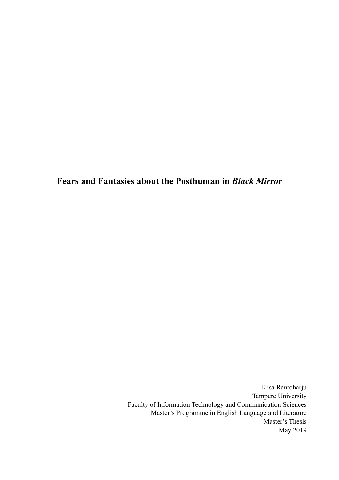**Fears and Fantasies about the Posthuman in** *Black Mirror* 

Elisa Rantoharju Tampere University Faculty of Information Technology and Communication Sciences Master's Programme in English Language and Literature Master's Thesis May 2019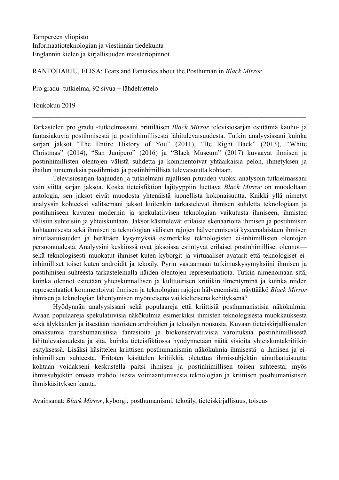RANTOHARJU, ELISA: Fears and Fantasies about the Posthuman in *Black Mirror*

Pro gradu -tutkielma, 92 sivua + lähdeluettelo

Toukokuu 2019

Tarkastelen pro gradu -tutkielmassani brittiläisen *Black Mirror* televisiosarjan esittämiä kauhu- ja fantasiakuvia postihmisestä ja postinhimillisestä lähitulevaisuudesta. Tutkin analyysissani kuinka sarjan jaksot "The Entire History of You" (2011), "Be Right Back" (2013), "White Christmas" (2014), "San Junipero" (2016) ja "Black Museum" (2017) kuvaavat ihmisen ja postinhimillisten olentojen välistä suhdetta ja kommentoivat yhtäaikaisia pelon, ihmetyksen ja ihailun tuntemuksia postihmistä ja postinhimillistä tulevaisuutta kohtaan.

 $\mathcal{L}_\mathcal{L} = \mathcal{L}_\mathcal{L} = \mathcal{L}_\mathcal{L} = \mathcal{L}_\mathcal{L} = \mathcal{L}_\mathcal{L} = \mathcal{L}_\mathcal{L} = \mathcal{L}_\mathcal{L} = \mathcal{L}_\mathcal{L} = \mathcal{L}_\mathcal{L} = \mathcal{L}_\mathcal{L} = \mathcal{L}_\mathcal{L} = \mathcal{L}_\mathcal{L} = \mathcal{L}_\mathcal{L} = \mathcal{L}_\mathcal{L} = \mathcal{L}_\mathcal{L} = \mathcal{L}_\mathcal{L} = \mathcal{L}_\mathcal{L}$ 

Televisiosarjan laajuuden ja tutkielmani rajallisen pituuden vuoksi analysoin tutkielmassani vain viittä sarjan jaksoa. Koska tieteisfiktion lajityyppiin luettava *Black Mirror* on muodoltaan antologia, sen jaksot eivät muodosta yhtenäistä juonellista kokonaisuutta. Kaikki yllä nimetyt analyysin kohteeksi valitsemani jaksot kuitenkin tarkastelevat ihmisen suhdetta teknologiaan ja postihmiseen kuvaten modernin ja spekulatiivisen teknologian vaikutusta ihmiseen, ihmisten välisiin suhteisiin ja yhteiskuntaan. Jaksot käsittelevät erilaisia skenaarioita ihmisen ja postihmisen kohtaamisesta sekä ihmisen ja teknologian välisten rajojen hälvenemisestä kyseenalaistaen ihmisen ainutlaatuisuuden ja herättäen kysymyksiä esimerkiksi teknologisten ei-inhimillisten olentojen persoonuudesta. Analyysini keskiössä ovat jaksoissa esiintyvät erilaiset postinhimilliset olennot sekä teknologisesti muokatut ihmiset kuten kyborgit ja virtuaaliset avatarit että teknologiset eiinhimilliset toiset kuten androidit ja tekoäly. Pyrin vastaamaan tutkimuskysymyksiini ihmisen ja postihmisen suhteesta tarkastelemalla näiden olentojen representaatiota. Tutkin nimenomaan sitä, kuinka olennot esitetään yhteiskunnallisen ja kulttuurisen kritiikin ilmentyminä ja kuinka niiden representaatiot kommentoivat ihmisen ja teknologian rajojen hälvenemistä: näyttääkö *Black Mirror* ihmisen ja teknologian lähentymisen myönteisenä vai kielteisenä kehityksenä?

Hyödynnän analyysissani sekä populaareja että kriittisiä posthumanistisia näkökulmia. Avaan populaareja spekulatiivisia näkökulmia esimerkiksi ihmisten teknologisesta muokkauksesta sekä älykkäiden ja itsestään tietoisten androidien ja tekoälyn noususta. Kuvaan tieteiskirjallisuuden omaksumia transhumanistisia fantasioita ja biokonservatiivisia varoituksia postinhimillisestä lähitulevaisuudesta ja sitä, kuinka tieteisfiktiossa hyödynnetään näitä visioita yhteiskuntakritiikin esityksessä. Lisäksi käsittelen kriittisen posthumanismin näkökulmia ihmisestä ja ihmisen ja eiinhimillisen suhteesta. Eritoten käsittelen kritiikkiä oletettua ihmissubjektin ainutlaatuisuutta kohtaan voidakseni keskustella paitsi ihmisen ja postinhimillisen toisen suhteesta, myös ihmissubjektin omasta mahdollisesta voimaantumisesta teknologian ja kriittisen posthumanistisen ihmiskäsityksen kautta.

Avainsanat: *Black Mirror*, kyborgi, posthumanismi, tekoäly, tieteiskirjallisuus, toiseus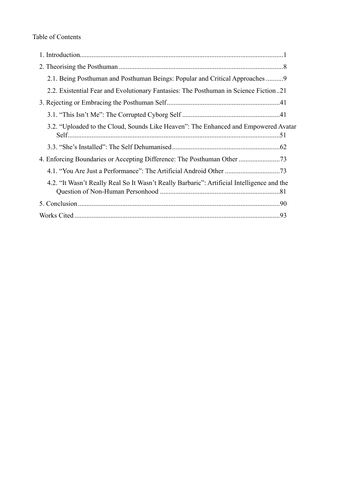| 2.1. Being Posthuman and Posthuman Beings: Popular and Critical Approaches 9               |
|--------------------------------------------------------------------------------------------|
| 2.2. Existential Fear and Evolutionary Fantasies: The Posthuman in Science Fiction21       |
|                                                                                            |
|                                                                                            |
| 3.2. "Uploaded to the Cloud, Sounds Like Heaven": The Enhanced and Empowered Avatar        |
|                                                                                            |
|                                                                                            |
|                                                                                            |
| 4.2. "It Wasn't Really Real So It Wasn't Really Barbaric": Artificial Intelligence and the |
|                                                                                            |
|                                                                                            |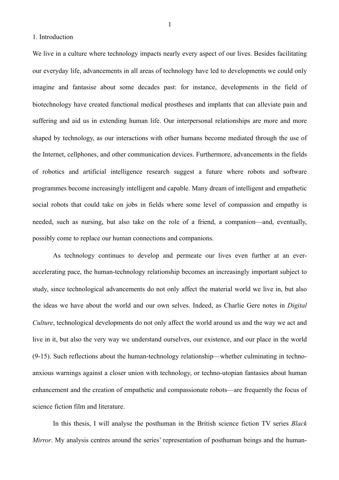<span id="page-3-0"></span>1. Introduction

We live in a culture where technology impacts nearly every aspect of our lives. Besides facilitating our everyday life, advancements in all areas of technology have led to developments we could only imagine and fantasise about some decades past: for instance, developments in the field of biotechnology have created functional medical prostheses and implants that can alleviate pain and suffering and aid us in extending human life. Our interpersonal relationships are more and more shaped by technology, as our interactions with other humans become mediated through the use of the Internet, cellphones, and other communication devices. Furthermore, advancements in the fields of robotics and artificial intelligence research suggest a future where robots and software programmes become increasingly intelligent and capable. Many dream of intelligent and empathetic social robots that could take on jobs in fields where some level of compassion and empathy is needed, such as nursing, but also take on the role of a friend, a companion—and, eventually, possibly come to replace our human connections and companions.

 As technology continues to develop and permeate our lives even further at an everaccelerating pace, the human-technology relationship becomes an increasingly important subject to study, since technological advancements do not only affect the material world we live in, but also the ideas we have about the world and our own selves. Indeed, as Charlie Gere notes in *Digital Culture*, technological developments do not only affect the world around us and the way we act and live in it, but also the very way we understand ourselves, our existence, and our place in the world (9-15). Such reflections about the human-technology relationship—whether culminating in technoanxious warnings against a closer union with technology, or techno-utopian fantasies about human enhancement and the creation of empathetic and compassionate robots—are frequently the focus of science fiction film and literature.

 In this thesis, I will analyse the posthuman in the British science fiction TV series *Black Mirror*. My analysis centres around the series' representation of posthuman beings and the human-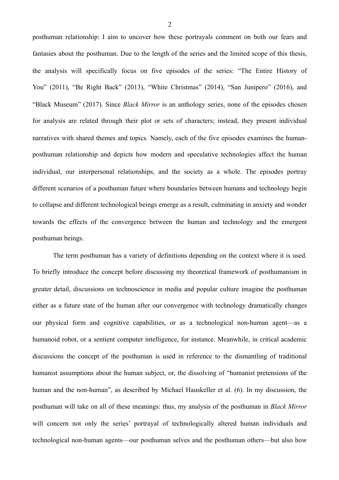posthuman relationship: I aim to uncover how these portrayals comment on both our fears and fantasies about the posthuman. Due to the length of the series and the limited scope of this thesis, the analysis will specifically focus on five episodes of the series: "The Entire History of You" (2011), "Be Right Back" (2013), "White Christmas" (2014), "San Junipero" (2016), and "Black Museum" (2017). Since *Black Mirror* is an anthology series, none of the episodes chosen for analysis are related through their plot or sets of characters; instead, they present individual narratives with shared themes and topics. Namely, each of the five episodes examines the humanposthuman relationship and depicts how modern and speculative technologies affect the human individual, our interpersonal relationships, and the society as a whole. The episodes portray different scenarios of a posthuman future where boundaries between humans and technology begin to collapse and different technological beings emerge as a result, culminating in anxiety and wonder towards the effects of the convergence between the human and technology and the emergent posthuman beings.

 The term posthuman has a variety of definitions depending on the context where it is used. To briefly introduce the concept before discussing my theoretical framework of posthumanism in greater detail, discussions on technoscience in media and popular culture imagine the posthuman either as a future state of the human after our convergence with technology dramatically changes our physical form and cognitive capabilities, or as a technological non-human agent—as a humanoid robot, or a sentient computer intelligence, for instance. Meanwhile, in critical academic discussions the concept of the posthuman is used in reference to the dismantling of traditional humanist assumptions about the human subject, or, the dissolving of "humanist pretensions of the human and the non-human", as described by Michael Hauskeller et al. (6). In my discussion, the posthuman will take on all of these meanings: thus, my analysis of the posthuman in *Black Mirror* will concern not only the series' portrayal of technologically altered human individuals and technological non-human agents—our posthuman selves and the posthuman others—but also how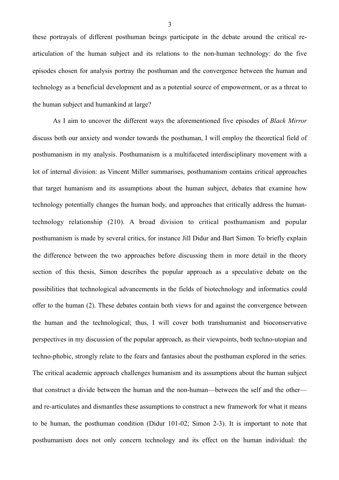these portrayals of different posthuman beings participate in the debate around the critical rearticulation of the human subject and its relations to the non-human technology: do the five episodes chosen for analysis portray the posthuman and the convergence between the human and technology as a beneficial development and as a potential source of empowerment, or as a threat to the human subject and humankind at large?

 As I aim to uncover the different ways the aforementioned five episodes of *Black Mirror* discuss both our anxiety and wonder towards the posthuman, I will employ the theoretical field of posthumanism in my analysis. Posthumanism is a multifaceted interdisciplinary movement with a lot of internal division: as Vincent Miller summarises, posthumanism contains critical approaches that target humanism and its assumptions about the human subject, debates that examine how technology potentially changes the human body, and approaches that critically address the humantechnology relationship (210). A broad division to critical posthumanism and popular posthumanism is made by several critics, for instance Jill Didur and Bart Simon. To briefly explain the difference between the two approaches before discussing them in more detail in the theory section of this thesis, Simon describes the popular approach as a speculative debate on the possibilities that technological advancements in the fields of biotechnology and informatics could offer to the human (2). These debates contain both views for and against the convergence between the human and the technological; thus, I will cover both transhumanist and bioconservative perspectives in my discussion of the popular approach, as their viewpoints, both techno-utopian and techno-phobic, strongly relate to the fears and fantasies about the posthuman explored in the series. The critical academic approach challenges humanism and its assumptions about the human subject that construct a divide between the human and the non-human—between the self and the other and re-articulates and dismantles these assumptions to construct a new framework for what it means to be human, the posthuman condition (Didur 101-02; Simon 2-3). It is important to note that posthumanism does not only concern technology and its effect on the human individual: the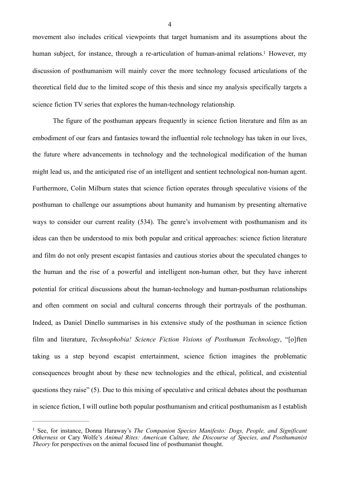<span id="page-6-1"></span>movement also includes critical viewpoints that target humanism and its assumptions about the human subject, for instance, through a re-articulation of human-animal relations[.](#page-6-0)<sup>[1](#page-6-0)</sup> However, my discussion of posthumanism will mainly cover the more technology focused articulations of the theoretical field due to the limited scope of this thesis and since my analysis specifically targets a science fiction TV series that explores the human-technology relationship.

 The figure of the posthuman appears frequently in science fiction literature and film as an embodiment of our fears and fantasies toward the influential role technology has taken in our lives, the future where advancements in technology and the technological modification of the human might lead us, and the anticipated rise of an intelligent and sentient technological non-human agent. Furthermore, Colin Milburn states that science fiction operates through speculative visions of the posthuman to challenge our assumptions about humanity and humanism by presenting alternative ways to consider our current reality (534). The genre's involvement with posthumanism and its ideas can then be understood to mix both popular and critical approaches: science fiction literature and film do not only present escapist fantasies and cautious stories about the speculated changes to the human and the rise of a powerful and intelligent non-human other, but they have inherent potential for critical discussions about the human-technology and human-posthuman relationships and often comment on social and cultural concerns through their portrayals of the posthuman. Indeed, as Daniel Dinello summarises in his extensive study of the posthuman in science fiction film and literature, *Technophobia! Science Fiction Visions of Posthuman Technology*, "[o]ften taking us a step beyond escapist entertainment, science fiction imagines the problematic consequences brought about by these new technologies and the ethical, political, and existential questions they raise" (5). Due to this mixing of speculative and critical debates about the posthuman in science fiction, I will outline both popular posthumanism and critical posthumanism as I establish

<span id="page-6-0"></span>See, for instance, Donna Haraway's *The Companion Species Manifesto: Dogs, People, and Significant* [1](#page-6-1) *Otherness* or Cary Wolfe's *Animal Rites: American Culture, the Discourse of Species, and Posthumanist Theory* for perspectives on the animal focused line of posthumanist thought.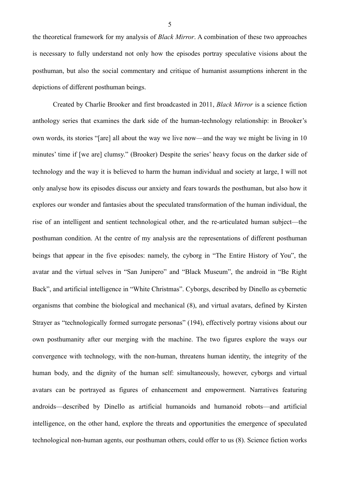the theoretical framework for my analysis of *Black Mirror*. A combination of these two approaches is necessary to fully understand not only how the episodes portray speculative visions about the posthuman, but also the social commentary and critique of humanist assumptions inherent in the depictions of different posthuman beings.

 Created by Charlie Brooker and first broadcasted in 2011, *Black Mirror* is a science fiction anthology series that examines the dark side of the human-technology relationship: in Brooker's own words, its stories "[are] all about the way we live now—and the way we might be living in 10 minutes' time if [we are] clumsy." (Brooker) Despite the series' heavy focus on the darker side of technology and the way it is believed to harm the human individual and society at large, I will not only analyse how its episodes discuss our anxiety and fears towards the posthuman, but also how it explores our wonder and fantasies about the speculated transformation of the human individual, the rise of an intelligent and sentient technological other, and the re-articulated human subject—the posthuman condition. At the centre of my analysis are the representations of different posthuman beings that appear in the five episodes: namely, the cyborg in "The Entire History of You", the avatar and the virtual selves in "San Junipero" and "Black Museum", the android in "Be Right Back", and artificial intelligence in "White Christmas". Cyborgs, described by Dinello as cybernetic organisms that combine the biological and mechanical (8), and virtual avatars, defined by Kirsten Strayer as "technologically formed surrogate personas" (194), effectively portray visions about our own posthumanity after our merging with the machine. The two figures explore the ways our convergence with technology, with the non-human, threatens human identity, the integrity of the human body, and the dignity of the human self: simultaneously, however, cyborgs and virtual avatars can be portrayed as figures of enhancement and empowerment. Narratives featuring androids—described by Dinello as artificial humanoids and humanoid robots—and artificial intelligence, on the other hand, explore the threats and opportunities the emergence of speculated technological non-human agents, our posthuman others, could offer to us (8). Science fiction works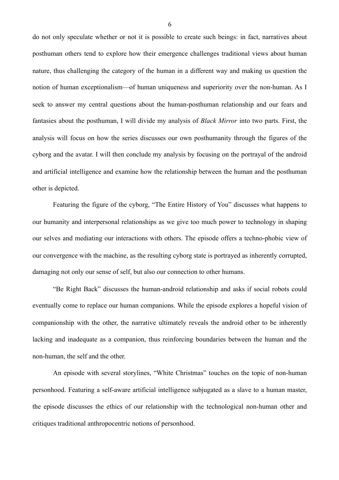do not only speculate whether or not it is possible to create such beings: in fact, narratives about posthuman others tend to explore how their emergence challenges traditional views about human nature, thus challenging the category of the human in a different way and making us question the notion of human exceptionalism—of human uniqueness and superiority over the non-human. As I seek to answer my central questions about the human-posthuman relationship and our fears and fantasies about the posthuman, I will divide my analysis of *Black Mirror* into two parts. First, the analysis will focus on how the series discusses our own posthumanity through the figures of the cyborg and the avatar. I will then conclude my analysis by focusing on the portrayal of the android and artificial intelligence and examine how the relationship between the human and the posthuman other is depicted.

 Featuring the figure of the cyborg, "The Entire History of You" discusses what happens to our humanity and interpersonal relationships as we give too much power to technology in shaping our selves and mediating our interactions with others. The episode offers a techno-phobic view of our convergence with the machine, as the resulting cyborg state is portrayed as inherently corrupted, damaging not only our sense of self, but also our connection to other humans.

"Be Right Back" discusses the human-android relationship and asks if social robots could eventually come to replace our human companions. While the episode explores a hopeful vision of companionship with the other, the narrative ultimately reveals the android other to be inherently lacking and inadequate as a companion, thus reinforcing boundaries between the human and the non-human, the self and the other.

An episode with several storylines, "White Christmas" touches on the topic of non-human personhood. Featuring a self-aware artificial intelligence subjugated as a slave to a human master, the episode discusses the ethics of our relationship with the technological non-human other and critiques traditional anthropocentric notions of personhood.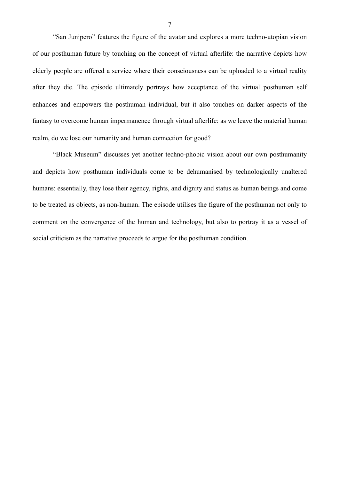"San Junipero" features the figure of the avatar and explores a more techno-utopian vision of our posthuman future by touching on the concept of virtual afterlife: the narrative depicts how elderly people are offered a service where their consciousness can be uploaded to a virtual reality after they die. The episode ultimately portrays how acceptance of the virtual posthuman self enhances and empowers the posthuman individual, but it also touches on darker aspects of the fantasy to overcome human impermanence through virtual afterlife: as we leave the material human realm, do we lose our humanity and human connection for good?

 "Black Museum" discusses yet another techno-phobic vision about our own posthumanity and depicts how posthuman individuals come to be dehumanised by technologically unaltered humans: essentially, they lose their agency, rights, and dignity and status as human beings and come to be treated as objects, as non-human. The episode utilises the figure of the posthuman not only to comment on the convergence of the human and technology, but also to portray it as a vessel of social criticism as the narrative proceeds to argue for the posthuman condition.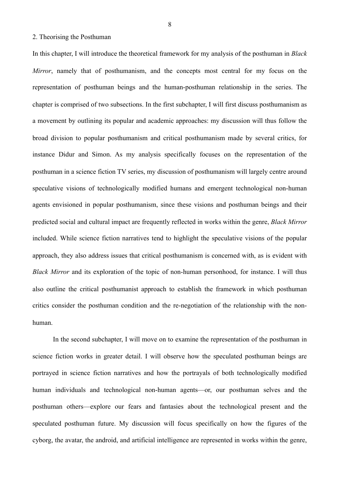#### <span id="page-10-0"></span>2. Theorising the Posthuman

In this chapter, I will introduce the theoretical framework for my analysis of the posthuman in *Black Mirror*, namely that of posthumanism, and the concepts most central for my focus on the representation of posthuman beings and the human-posthuman relationship in the series. The chapter is comprised of two subsections. In the first subchapter, I will first discuss posthumanism as a movement by outlining its popular and academic approaches: my discussion will thus follow the broad division to popular posthumanism and critical posthumanism made by several critics, for instance Didur and Simon. As my analysis specifically focuses on the representation of the posthuman in a science fiction TV series, my discussion of posthumanism will largely centre around speculative visions of technologically modified humans and emergent technological non-human agents envisioned in popular posthumanism, since these visions and posthuman beings and their predicted social and cultural impact are frequently reflected in works within the genre, *Black Mirror* included. While science fiction narratives tend to highlight the speculative visions of the popular approach, they also address issues that critical posthumanism is concerned with, as is evident with *Black Mirror* and its exploration of the topic of non-human personhood, for instance. I will thus also outline the critical posthumanist approach to establish the framework in which posthuman critics consider the posthuman condition and the re-negotiation of the relationship with the nonhuman.

 In the second subchapter, I will move on to examine the representation of the posthuman in science fiction works in greater detail. I will observe how the speculated posthuman beings are portrayed in science fiction narratives and how the portrayals of both technologically modified human individuals and technological non-human agents—or, our posthuman selves and the posthuman others—explore our fears and fantasies about the technological present and the speculated posthuman future. My discussion will focus specifically on how the figures of the cyborg, the avatar, the android, and artificial intelligence are represented in works within the genre,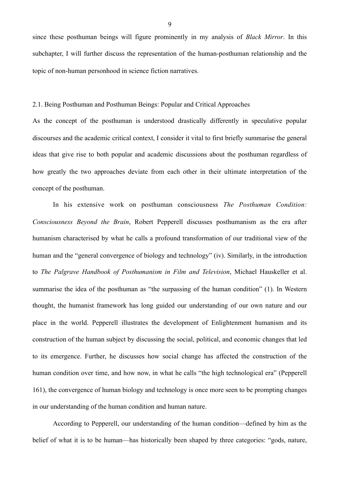since these posthuman beings will figure prominently in my analysis of *Black Mirror*. In this subchapter, I will further discuss the representation of the human-posthuman relationship and the topic of non-human personhood in science fiction narratives.

<span id="page-11-0"></span>2.1. Being Posthuman and Posthuman Beings: Popular and Critical Approaches

As the concept of the posthuman is understood drastically differently in speculative popular discourses and the academic critical context, I consider it vital to first briefly summarise the general ideas that give rise to both popular and academic discussions about the posthuman regardless of how greatly the two approaches deviate from each other in their ultimate interpretation of the concept of the posthuman.

 In his extensive work on posthuman consciousness *The Posthuman Condition: Consciousness Beyond the Brain*, Robert Pepperell discusses posthumanism as the era after humanism characterised by what he calls a profound transformation of our traditional view of the human and the "general convergence of biology and technology" (iv). Similarly, in the introduction to *The Palgrave Handbook of Posthumanism in Film and Television*, Michael Hauskeller et al. summarise the idea of the posthuman as "the surpassing of the human condition" (1). In Western thought, the humanist framework has long guided our understanding of our own nature and our place in the world. Pepperell illustrates the development of Enlightenment humanism and its construction of the human subject by discussing the social, political, and economic changes that led to its emergence. Further, he discusses how social change has affected the construction of the human condition over time, and how now, in what he calls "the high technological era" (Pepperell 161), the convergence of human biology and technology is once more seen to be prompting changes in our understanding of the human condition and human nature.

 According to Pepperell, our understanding of the human condition—defined by him as the belief of what it is to be human—has historically been shaped by three categories: "gods, nature,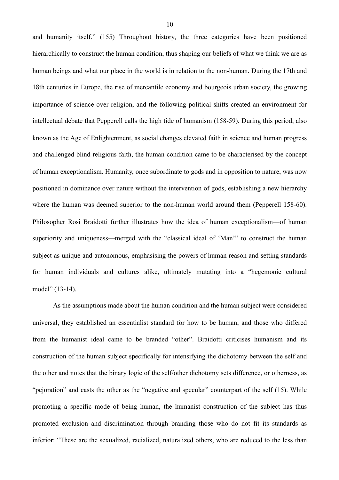and humanity itself." (155) Throughout history, the three categories have been positioned hierarchically to construct the human condition, thus shaping our beliefs of what we think we are as human beings and what our place in the world is in relation to the non-human. During the 17th and 18th centuries in Europe, the rise of mercantile economy and bourgeois urban society, the growing importance of science over religion, and the following political shifts created an environment for intellectual debate that Pepperell calls the high tide of humanism (158-59). During this period, also known as the Age of Enlightenment, as social changes elevated faith in science and human progress and challenged blind religious faith, the human condition came to be characterised by the concept of human exceptionalism. Humanity, once subordinate to gods and in opposition to nature, was now positioned in dominance over nature without the intervention of gods, establishing a new hierarchy where the human was deemed superior to the non-human world around them (Pepperell 158-60). Philosopher Rosi Braidotti further illustrates how the idea of human exceptionalism—of human superiority and uniqueness—merged with the "classical ideal of 'Man'" to construct the human subject as unique and autonomous, emphasising the powers of human reason and setting standards for human individuals and cultures alike, ultimately mutating into a "hegemonic cultural model" (13-14).

 As the assumptions made about the human condition and the human subject were considered universal, they established an essentialist standard for how to be human, and those who differed from the humanist ideal came to be branded "other". Braidotti criticises humanism and its construction of the human subject specifically for intensifying the dichotomy between the self and the other and notes that the binary logic of the self/other dichotomy sets difference, or otherness, as "pejoration" and casts the other as the "negative and specular" counterpart of the self (15). While promoting a specific mode of being human, the humanist construction of the subject has thus promoted exclusion and discrimination through branding those who do not fit its standards as inferior: "These are the sexualized, racialized, naturalized others, who are reduced to the less than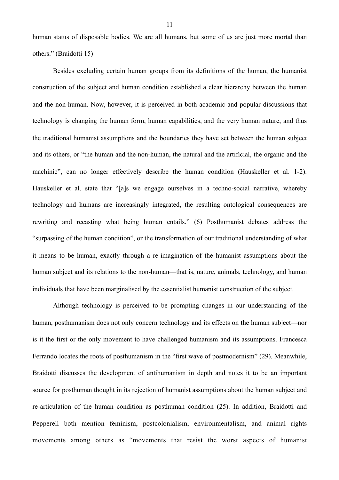human status of disposable bodies. We are all humans, but some of us are just more mortal than others." (Braidotti 15)

 Besides excluding certain human groups from its definitions of the human, the humanist construction of the subject and human condition established a clear hierarchy between the human and the non-human. Now, however, it is perceived in both academic and popular discussions that technology is changing the human form, human capabilities, and the very human nature, and thus the traditional humanist assumptions and the boundaries they have set between the human subject and its others, or "the human and the non-human, the natural and the artificial, the organic and the machinic", can no longer effectively describe the human condition (Hauskeller et al. 1-2). Hauskeller et al. state that "[a]s we engage ourselves in a techno-social narrative, whereby technology and humans are increasingly integrated, the resulting ontological consequences are rewriting and recasting what being human entails." (6) Posthumanist debates address the "surpassing of the human condition", or the transformation of our traditional understanding of what it means to be human, exactly through a re-imagination of the humanist assumptions about the human subject and its relations to the non-human—that is, nature, animals, technology, and human individuals that have been marginalised by the essentialist humanist construction of the subject.

 Although technology is perceived to be prompting changes in our understanding of the human, posthumanism does not only concern technology and its effects on the human subject—nor is it the first or the only movement to have challenged humanism and its assumptions. Francesca Ferrando locates the roots of posthumanism in the "first wave of postmodernism" (29). Meanwhile, Braidotti discusses the development of antihumanism in depth and notes it to be an important source for posthuman thought in its rejection of humanist assumptions about the human subject and re-articulation of the human condition as posthuman condition (25). In addition, Braidotti and Pepperell both mention feminism, postcolonialism, environmentalism, and animal rights movements among others as "movements that resist the worst aspects of humanist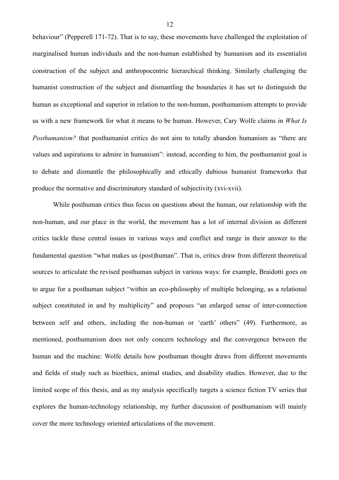behaviour" (Pepperell 171-72). That is to say, these movements have challenged the exploitation of marginalised human individuals and the non-human established by humanism and its essentialist construction of the subject and anthropocentric hierarchical thinking. Similarly challenging the humanist construction of the subject and dismantling the boundaries it has set to distinguish the human as exceptional and superior in relation to the non-human, posthumanism attempts to provide us with a new framework for what it means to be human. However, Cary Wolfe claims in *What Is Posthumanism?* that posthumanist critics do not aim to totally abandon humanism as "there are values and aspirations to admire in humanism": instead, according to him, the posthumanist goal is to debate and dismantle the philosophically and ethically dubious humanist frameworks that produce the normative and discriminatory standard of subjectivity (xvi-xvii).

 While posthuman critics thus focus on questions about the human, our relationship with the non-human, and our place in the world, the movement has a lot of internal division as different critics tackle these central issues in various ways and conflict and range in their answer to the fundamental question "what makes us (post)human". That is, critics draw from different theoretical sources to articulate the revised posthuman subject in various ways: for example, Braidotti goes on to argue for a posthuman subject "within an eco-philosophy of multiple belonging, as a relational subject constituted in and by multiplicity" and proposes "an enlarged sense of inter-connection between self and others, including the non-human or 'earth' others" (49). Furthermore, as mentioned, posthumanism does not only concern technology and the convergence between the human and the machine: Wolfe details how posthuman thought draws from different movements and fields of study such as bioethics, animal studies, and disability studies. However, due to the limited scope of this thesis, and as my analysis specifically targets a science fiction TV series that explores the human-technology relationship, my further discussion of posthumanism will mainly cover the more technology oriented articulations of the movement.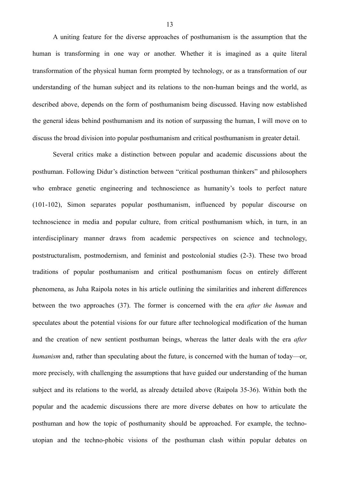A uniting feature for the diverse approaches of posthumanism is the assumption that the human is transforming in one way or another. Whether it is imagined as a quite literal transformation of the physical human form prompted by technology, or as a transformation of our understanding of the human subject and its relations to the non-human beings and the world, as described above, depends on the form of posthumanism being discussed. Having now established the general ideas behind posthumanism and its notion of surpassing the human, I will move on to discuss the broad division into popular posthumanism and critical posthumanism in greater detail.

 Several critics make a distinction between popular and academic discussions about the posthuman. Following Didur's distinction between "critical posthuman thinkers" and philosophers who embrace genetic engineering and technoscience as humanity's tools to perfect nature (101-102), Simon separates popular posthumanism, influenced by popular discourse on technoscience in media and popular culture, from critical posthumanism which, in turn, in an interdisciplinary manner draws from academic perspectives on science and technology, poststructuralism, postmodernism, and feminist and postcolonial studies (2-3). These two broad traditions of popular posthumanism and critical posthumanism focus on entirely different phenomena, as Juha Raipola notes in his article outlining the similarities and inherent differences between the two approaches (37). The former is concerned with the era *after the human* and speculates about the potential visions for our future after technological modification of the human and the creation of new sentient posthuman beings, whereas the latter deals with the era *after humanism* and, rather than speculating about the future, is concerned with the human of today—or, more precisely, with challenging the assumptions that have guided our understanding of the human subject and its relations to the world, as already detailed above (Raipola 35-36). Within both the popular and the academic discussions there are more diverse debates on how to articulate the posthuman and how the topic of posthumanity should be approached. For example, the technoutopian and the techno-phobic visions of the posthuman clash within popular debates on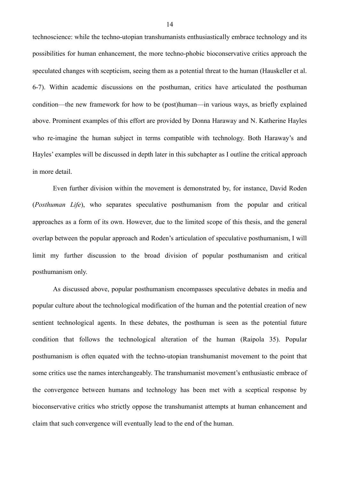technoscience: while the techno-utopian transhumanists enthusiastically embrace technology and its possibilities for human enhancement, the more techno-phobic bioconservative critics approach the speculated changes with scepticism, seeing them as a potential threat to the human (Hauskeller et al. 6-7). Within academic discussions on the posthuman, critics have articulated the posthuman condition—the new framework for how to be (post)human—in various ways, as briefly explained above. Prominent examples of this effort are provided by Donna Haraway and N. Katherine Hayles who re-imagine the human subject in terms compatible with technology. Both Haraway's and Hayles' examples will be discussed in depth later in this subchapter as I outline the critical approach in more detail.

 Even further division within the movement is demonstrated by, for instance, David Roden (*Posthuman Life*), who separates speculative posthumanism from the popular and critical approaches as a form of its own. However, due to the limited scope of this thesis, and the general overlap between the popular approach and Roden's articulation of speculative posthumanism, I will limit my further discussion to the broad division of popular posthumanism and critical posthumanism only.

 As discussed above, popular posthumanism encompasses speculative debates in media and popular culture about the technological modification of the human and the potential creation of new sentient technological agents. In these debates, the posthuman is seen as the potential future condition that follows the technological alteration of the human (Raipola 35). Popular posthumanism is often equated with the techno-utopian transhumanist movement to the point that some critics use the names interchangeably. The transhumanist movement's enthusiastic embrace of the convergence between humans and technology has been met with a sceptical response by bioconservative critics who strictly oppose the transhumanist attempts at human enhancement and claim that such convergence will eventually lead to the end of the human.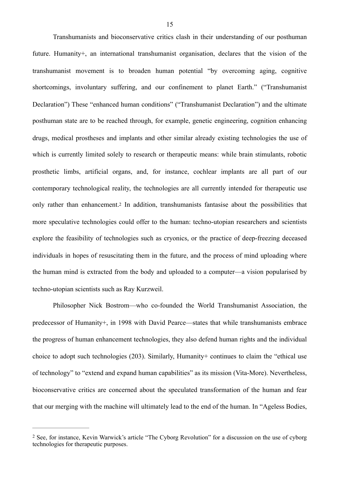Transhumanists and bioconservative critics clash in their understanding of our posthuman future. Humanity+, an international transhumanist organisation, declares that the vision of the transhumanist movement is to broaden human potential "by overcoming aging, cognitive shortcomings, involuntary suffering, and our confinement to planet Earth." ("Transhumanist Declaration") These "enhanced human conditions" ("Transhumanist Declaration") and the ultimate posthuman state are to be reached through, for example, genetic engineering, cognition enhancing drugs, medical prostheses and implants and other similar already existing technologies the use of which is currently limited solely to research or therapeutic means: while brain stimulants, robotic prosthetic limbs, artificial organs, and, for instance, cochlear implants are all part of our contemporary technological reality, the technologies are all currently intended for therapeutic use only rather than enhancement[.2](#page-17-0) In addition, transhumanists fantasise about the possibilities that more speculative technologies could offer to the human: techno-utopian researchers and scientists explore the feasibility of technologies such as cryonics, or the practice of deep-freezing deceased individuals in hopes of resuscitating them in the future, and the process of mind uploading where the human mind is extracted from the body and uploaded to a computer—a vision popularised by techno-utopian scientists such as Ray Kurzweil.

<span id="page-17-1"></span> Philosopher Nick Bostrom—who co-founded the World Transhumanist Association, the predecessor of Humanity+, in 1998 with David Pearce—states that while transhumanists embrace the progress of human enhancement technologies, they also defend human rights and the individual choice to adopt such technologies (203). Similarly, Humanity+ continues to claim the "ethical use of technology" to "extend and expand human capabilities" as its mission (Vita-More). Nevertheless, bioconservative critics are concerned about the speculated transformation of the human and fear that our merging with the machine will ultimately lead to the end of the human. In "Ageless Bodies,

<span id="page-17-0"></span><sup>&</sup>lt;sup>[2](#page-17-1)</sup> See, for instance, Kevin Warwick's article "The Cyborg Revolution" for a discussion on the use of cyborg technologies for therapeutic purposes.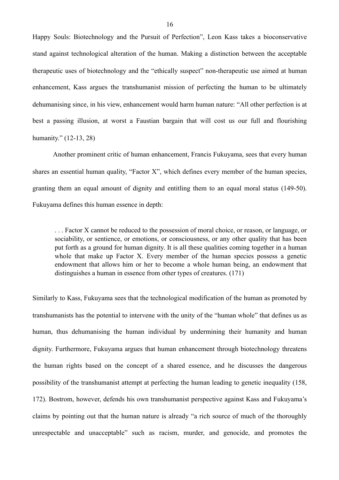Happy Souls: Biotechnology and the Pursuit of Perfection", Leon Kass takes a bioconservative stand against technological alteration of the human. Making a distinction between the acceptable therapeutic uses of biotechnology and the "ethically suspect" non-therapeutic use aimed at human enhancement, Kass argues the transhumanist mission of perfecting the human to be ultimately dehumanising since, in his view, enhancement would harm human nature: "All other perfection is at best a passing illusion, at worst a Faustian bargain that will cost us our full and flourishing humanity." (12-13, 28)

 Another prominent critic of human enhancement, Francis Fukuyama, sees that every human shares an essential human quality, "Factor X", which defines every member of the human species, granting them an equal amount of dignity and entitling them to an equal moral status (149-50). Fukuyama defines this human essence in depth:

. . . Factor X cannot be reduced to the possession of moral choice, or reason, or language, or sociability, or sentience, or emotions, or consciousness, or any other quality that has been put forth as a ground for human dignity. It is all these qualities coming together in a human whole that make up Factor X. Every member of the human species possess a genetic endowment that allows him or her to become a whole human being, an endowment that distinguishes a human in essence from other types of creatures. (171)

Similarly to Kass, Fukuyama sees that the technological modification of the human as promoted by transhumanists has the potential to intervene with the unity of the "human whole" that defines us as human, thus dehumanising the human individual by undermining their humanity and human dignity. Furthermore, Fukuyama argues that human enhancement through biotechnology threatens the human rights based on the concept of a shared essence, and he discusses the dangerous possibility of the transhumanist attempt at perfecting the human leading to genetic inequality (158, 172). Bostrom, however, defends his own transhumanist perspective against Kass and Fukuyama's claims by pointing out that the human nature is already "a rich source of much of the thoroughly unrespectable and unacceptable" such as racism, murder, and genocide, and promotes the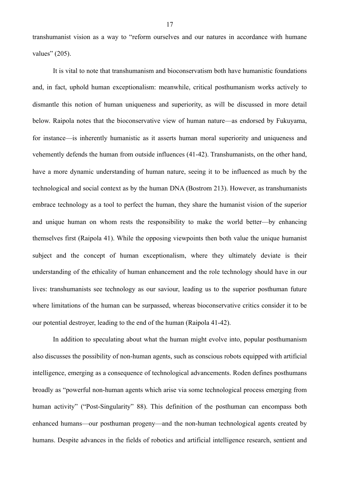transhumanist vision as a way to "reform ourselves and our natures in accordance with humane values" (205).

 It is vital to note that transhumanism and bioconservatism both have humanistic foundations and, in fact, uphold human exceptionalism: meanwhile, critical posthumanism works actively to dismantle this notion of human uniqueness and superiority, as will be discussed in more detail below. Raipola notes that the bioconservative view of human nature—as endorsed by Fukuyama, for instance—is inherently humanistic as it asserts human moral superiority and uniqueness and vehemently defends the human from outside influences (41-42). Transhumanists, on the other hand, have a more dynamic understanding of human nature, seeing it to be influenced as much by the technological and social context as by the human DNA (Bostrom 213). However, as transhumanists embrace technology as a tool to perfect the human, they share the humanist vision of the superior and unique human on whom rests the responsibility to make the world better—by enhancing themselves first (Raipola 41). While the opposing viewpoints then both value the unique humanist subject and the concept of human exceptionalism, where they ultimately deviate is their understanding of the ethicality of human enhancement and the role technology should have in our lives: transhumanists see technology as our saviour, leading us to the superior posthuman future where limitations of the human can be surpassed, whereas bioconservative critics consider it to be our potential destroyer, leading to the end of the human (Raipola 41-42).

 In addition to speculating about what the human might evolve into, popular posthumanism also discusses the possibility of non-human agents, such as conscious robots equipped with artificial intelligence, emerging as a consequence of technological advancements. Roden defines posthumans broadly as "powerful non-human agents which arise via some technological process emerging from human activity" ("Post-Singularity" 88). This definition of the posthuman can encompass both enhanced humans—our posthuman progeny—and the non-human technological agents created by humans. Despite advances in the fields of robotics and artificial intelligence research, sentient and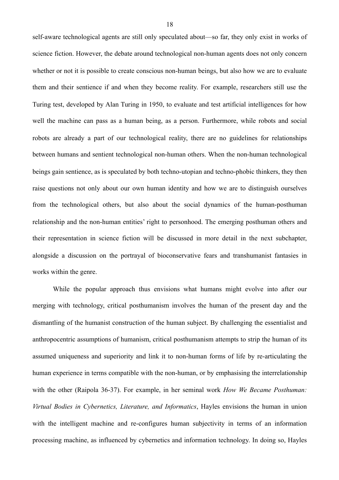self-aware technological agents are still only speculated about—so far, they only exist in works of science fiction. However, the debate around technological non-human agents does not only concern whether or not it is possible to create conscious non-human beings, but also how we are to evaluate them and their sentience if and when they become reality. For example, researchers still use the Turing test, developed by Alan Turing in 1950, to evaluate and test artificial intelligences for how well the machine can pass as a human being, as a person. Furthermore, while robots and social robots are already a part of our technological reality, there are no guidelines for relationships between humans and sentient technological non-human others. When the non-human technological beings gain sentience, as is speculated by both techno-utopian and techno-phobic thinkers, they then raise questions not only about our own human identity and how we are to distinguish ourselves from the technological others, but also about the social dynamics of the human-posthuman relationship and the non-human entities' right to personhood. The emerging posthuman others and their representation in science fiction will be discussed in more detail in the next subchapter, alongside a discussion on the portrayal of bioconservative fears and transhumanist fantasies in works within the genre.

 While the popular approach thus envisions what humans might evolve into after our merging with technology, critical posthumanism involves the human of the present day and the dismantling of the humanist construction of the human subject. By challenging the essentialist and anthropocentric assumptions of humanism, critical posthumanism attempts to strip the human of its assumed uniqueness and superiority and link it to non-human forms of life by re-articulating the human experience in terms compatible with the non-human, or by emphasising the interrelationship with the other (Raipola 36-37). For example, in her seminal work *How We Became Posthuman: Virtual Bodies in Cybernetics, Literature, and Informatics*, Hayles envisions the human in union with the intelligent machine and re-configures human subjectivity in terms of an information processing machine, as influenced by cybernetics and information technology. In doing so, Hayles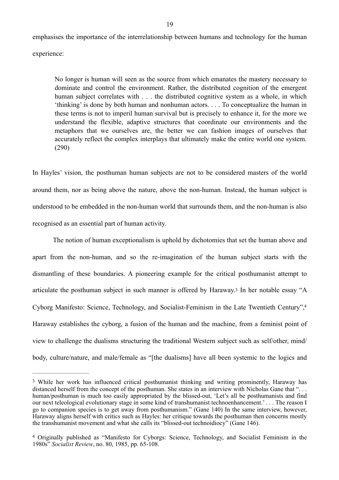emphasises the importance of the interrelationship between humans and technology for the human experience:

No longer is human will seen as the source from which emanates the mastery necessary to dominate and control the environment. Rather, the distributed cognition of the emergent human subject correlates with . . . the distributed cognitive system as a whole, in which 'thinking' is done by both human and nonhuman actors. . . . To conceptualize the human in these terms is not to imperil human survival but is precisely to enhance it, for the more we understand the flexible, adaptive structures that coordinate our environments and the metaphors that we ourselves are, the better we can fashion images of ourselves that accurately reflect the complex interplays that ultimately make the entire world one system. (290)

In Hayles' vision, the posthuman human subjects are not to be considered masters of the world around them, nor as being above the nature, above the non-human. Instead, the human subject is understood to be embedded in the non-human world that surrounds them, and the non-human is also recognised as an essential part of human activity.

<span id="page-21-3"></span><span id="page-21-2"></span> The notion of human exceptionalism is uphold by dichotomies that set the human above and apart from the non-human, and so the re-imagination of the human subject starts with the dismantling of these boundaries. A pioneering example for the critical posthumanist attempt to articulate the posthuman subject in such manner is offered by Haraway[.3](#page-21-0) In her notable essay "A Cyborg Manifesto: Science, Technology, and Socialist-Feminism in the Late Twentieth Century"[,4](#page-21-1) Haraway establishes the cyborg, a fusion of the human and the machine, from a feminist point of view to challenge the dualisms structuring the traditional Western subject such as self/other, mind/ body, culture/nature, and male/female as "[the dualisms] have all been systemic to the logics and

<span id="page-21-0"></span><sup>&</sup>lt;sup>[3](#page-21-2)</sup> While her work has influenced critical posthumanist thinking and writing prominently. Haraway has distanced herself from the concept of the posthuman. She states in an interview with Nicholas Gane that "... human/posthuman is much too easily appropriated by the blissed-out, 'Let's all be posthumanists and find our next teleological evolutionary stage in some kind of transhumanist technoenhancement.' . . . The reason I go to companion species is to get away from posthumanism." (Gane 140) In the same interview, however, Haraway aligns herself with critics such as Hayles: her critique towards the posthuman then concerns mostly the transhumanist movement and what she calls its "blissed-out technoidiocy" (Gane 146).

<span id="page-21-1"></span>Originally published as "Manifesto for Cyborgs: Science, Technology, and Socialist Feminism in the [4](#page-21-3) 1980s" *Socialist Review*, no. 80, 1985, pp. 65-108.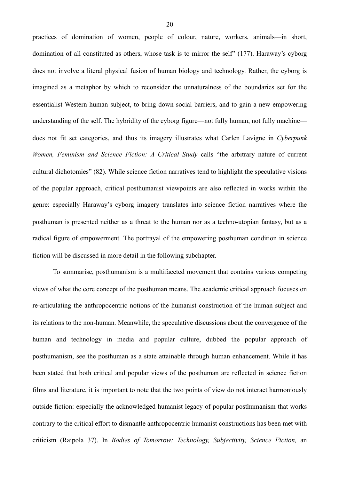practices of domination of women, people of colour, nature, workers, animals—in short, domination of all constituted as others, whose task is to mirror the self" (177). Haraway's cyborg does not involve a literal physical fusion of human biology and technology. Rather, the cyborg is imagined as a metaphor by which to reconsider the unnaturalness of the boundaries set for the essentialist Western human subject, to bring down social barriers, and to gain a new empowering understanding of the self. The hybridity of the cyborg figure—not fully human, not fully machine does not fit set categories, and thus its imagery illustrates what Carlen Lavigne in *Cyberpunk Women, Feminism and Science Fiction: A Critical Study* calls "the arbitrary nature of current cultural dichotomies" (82). While science fiction narratives tend to highlight the speculative visions of the popular approach, critical posthumanist viewpoints are also reflected in works within the genre: especially Haraway's cyborg imagery translates into science fiction narratives where the posthuman is presented neither as a threat to the human nor as a techno-utopian fantasy, but as a radical figure of empowerment. The portrayal of the empowering posthuman condition in science fiction will be discussed in more detail in the following subchapter.

 To summarise, posthumanism is a multifaceted movement that contains various competing views of what the core concept of the posthuman means. The academic critical approach focuses on re-articulating the anthropocentric notions of the humanist construction of the human subject and its relations to the non-human. Meanwhile, the speculative discussions about the convergence of the human and technology in media and popular culture, dubbed the popular approach of posthumanism, see the posthuman as a state attainable through human enhancement. While it has been stated that both critical and popular views of the posthuman are reflected in science fiction films and literature, it is important to note that the two points of view do not interact harmoniously outside fiction: especially the acknowledged humanist legacy of popular posthumanism that works contrary to the critical effort to dismantle anthropocentric humanist constructions has been met with criticism (Raipola 37). In *Bodies of Tomorrow: Technology, Subjectivity, Science Fiction,* an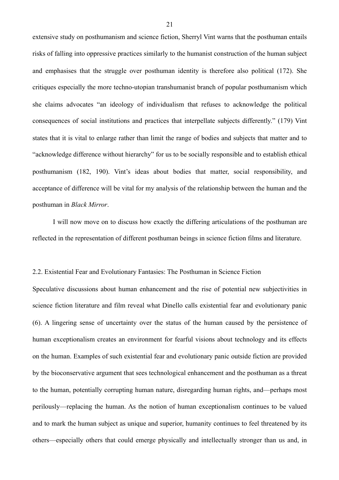extensive study on posthumanism and science fiction, Sherryl Vint warns that the posthuman entails risks of falling into oppressive practices similarly to the humanist construction of the human subject and emphasises that the struggle over posthuman identity is therefore also political (172). She critiques especially the more techno-utopian transhumanist branch of popular posthumanism which she claims advocates "an ideology of individualism that refuses to acknowledge the political consequences of social institutions and practices that interpellate subjects differently." (179) Vint states that it is vital to enlarge rather than limit the range of bodies and subjects that matter and to "acknowledge difference without hierarchy" for us to be socially responsible and to establish ethical posthumanism (182, 190). Vint's ideas about bodies that matter, social responsibility, and acceptance of difference will be vital for my analysis of the relationship between the human and the posthuman in *Black Mirror*.

 I will now move on to discuss how exactly the differing articulations of the posthuman are reflected in the representation of different posthuman beings in science fiction films and literature.

# <span id="page-23-0"></span>2.2. Existential Fear and Evolutionary Fantasies: The Posthuman in Science Fiction

Speculative discussions about human enhancement and the rise of potential new subjectivities in science fiction literature and film reveal what Dinello calls existential fear and evolutionary panic (6). A lingering sense of uncertainty over the status of the human caused by the persistence of human exceptionalism creates an environment for fearful visions about technology and its effects on the human. Examples of such existential fear and evolutionary panic outside fiction are provided by the bioconservative argument that sees technological enhancement and the posthuman as a threat to the human, potentially corrupting human nature, disregarding human rights, and—perhaps most perilously—replacing the human. As the notion of human exceptionalism continues to be valued and to mark the human subject as unique and superior, humanity continues to feel threatened by its others—especially others that could emerge physically and intellectually stronger than us and, in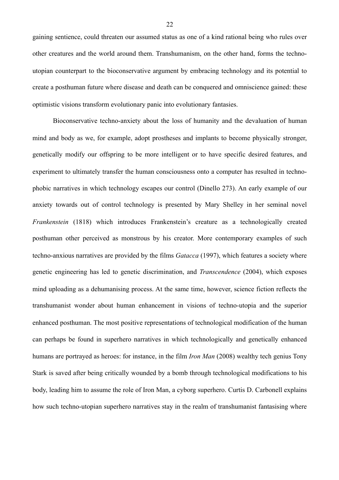gaining sentience, could threaten our assumed status as one of a kind rational being who rules over other creatures and the world around them. Transhumanism, on the other hand, forms the technoutopian counterpart to the bioconservative argument by embracing technology and its potential to create a posthuman future where disease and death can be conquered and omniscience gained: these optimistic visions transform evolutionary panic into evolutionary fantasies.

 Bioconservative techno-anxiety about the loss of humanity and the devaluation of human mind and body as we, for example, adopt prostheses and implants to become physically stronger, genetically modify our offspring to be more intelligent or to have specific desired features, and experiment to ultimately transfer the human consciousness onto a computer has resulted in technophobic narratives in which technology escapes our control (Dinello 273). An early example of our anxiety towards out of control technology is presented by Mary Shelley in her seminal novel *Frankenstein* (1818) which introduces Frankenstein's creature as a technologically created posthuman other perceived as monstrous by his creator. More contemporary examples of such techno-anxious narratives are provided by the films *Gatacca* (1997), which features a society where genetic engineering has led to genetic discrimination, and *Transcendence* (2004), which exposes mind uploading as a dehumanising process. At the same time, however, science fiction reflects the transhumanist wonder about human enhancement in visions of techno-utopia and the superior enhanced posthuman. The most positive representations of technological modification of the human can perhaps be found in superhero narratives in which technologically and genetically enhanced humans are portrayed as heroes: for instance, in the film *Iron Man* (2008) wealthy tech genius Tony Stark is saved after being critically wounded by a bomb through technological modifications to his body, leading him to assume the role of Iron Man, a cyborg superhero. Curtis D. Carbonell explains how such techno-utopian superhero narratives stay in the realm of transhumanist fantasising where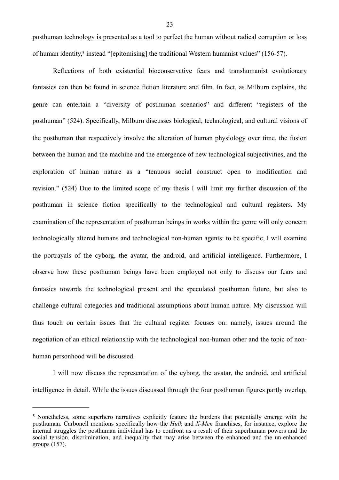<span id="page-25-1"></span>posthuman technology is presented as a tool to perfect the human without radical corruption or loss of human identity[,](#page-25-0)<sup>[5](#page-25-0)</sup> instead "[epitomising] the traditional Western humanist values" (156-57).

 Reflections of both existential bioconservative fears and transhumanist evolutionary fantasies can then be found in science fiction literature and film. In fact, as Milburn explains, the genre can entertain a "diversity of posthuman scenarios" and different "registers of the posthuman" (524). Specifically, Milburn discusses biological, technological, and cultural visions of the posthuman that respectively involve the alteration of human physiology over time, the fusion between the human and the machine and the emergence of new technological subjectivities, and the exploration of human nature as a "tenuous social construct open to modification and revision." (524) Due to the limited scope of my thesis I will limit my further discussion of the posthuman in science fiction specifically to the technological and cultural registers. My examination of the representation of posthuman beings in works within the genre will only concern technologically altered humans and technological non-human agents: to be specific, I will examine the portrayals of the cyborg, the avatar, the android, and artificial intelligence. Furthermore, I observe how these posthuman beings have been employed not only to discuss our fears and fantasies towards the technological present and the speculated posthuman future, but also to challenge cultural categories and traditional assumptions about human nature. My discussion will thus touch on certain issues that the cultural register focuses on: namely, issues around the negotiation of an ethical relationship with the technological non-human other and the topic of nonhuman personhood will be discussed.

 I will now discuss the representation of the cyborg, the avatar, the android, and artificial intelligence in detail. While the issues discussed through the four posthuman figures partly overlap,

<span id="page-25-0"></span><sup>&</sup>lt;sup>[5](#page-25-1)</sup> Nonetheless, some superhero narratives explicitly feature the burdens that potentially emerge with the posthuman. Carbonell mentions specifically how the *Hulk* and *X-Men* franchises, for instance, explore the internal struggles the posthuman individual has to confront as a result of their superhuman powers and the social tension, discrimination, and inequality that may arise between the enhanced and the un-enhanced groups (157).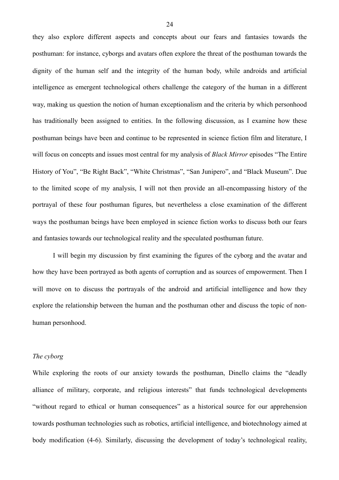they also explore different aspects and concepts about our fears and fantasies towards the posthuman: for instance, cyborgs and avatars often explore the threat of the posthuman towards the dignity of the human self and the integrity of the human body, while androids and artificial intelligence as emergent technological others challenge the category of the human in a different way, making us question the notion of human exceptionalism and the criteria by which personhood has traditionally been assigned to entities. In the following discussion, as I examine how these posthuman beings have been and continue to be represented in science fiction film and literature, I will focus on concepts and issues most central for my analysis of *Black Mirror* episodes "The Entire History of You", "Be Right Back", "White Christmas", "San Junipero", and "Black Museum". Due to the limited scope of my analysis, I will not then provide an all-encompassing history of the portrayal of these four posthuman figures, but nevertheless a close examination of the different ways the posthuman beings have been employed in science fiction works to discuss both our fears and fantasies towards our technological reality and the speculated posthuman future.

I will begin my discussion by first examining the figures of the cyborg and the avatar and how they have been portrayed as both agents of corruption and as sources of empowerment. Then I will move on to discuss the portrayals of the android and artificial intelligence and how they explore the relationship between the human and the posthuman other and discuss the topic of nonhuman personhood.

# *The cyborg*

While exploring the roots of our anxiety towards the posthuman, Dinello claims the "deadly alliance of military, corporate, and religious interests" that funds technological developments "without regard to ethical or human consequences" as a historical source for our apprehension towards posthuman technologies such as robotics, artificial intelligence, and biotechnology aimed at body modification (4-6). Similarly, discussing the development of today's technological reality,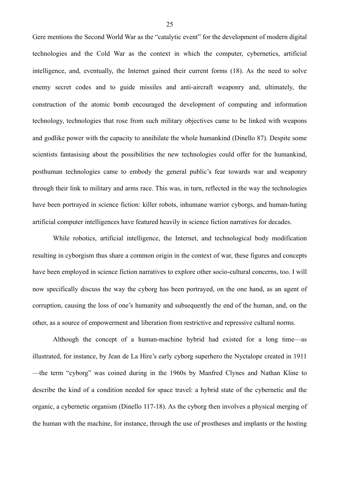Gere mentions the Second World War as the "catalytic event" for the development of modern digital technologies and the Cold War as the context in which the computer, cybernetics, artificial intelligence, and, eventually, the Internet gained their current forms (18). As the need to solve enemy secret codes and to guide missiles and anti-aircraft weaponry and, ultimately, the construction of the atomic bomb encouraged the development of computing and information technology, technologies that rose from such military objectives came to be linked with weapons and godlike power with the capacity to annihilate the whole humankind (Dinello 87). Despite some scientists fantasising about the possibilities the new technologies could offer for the humankind, posthuman technologies came to embody the general public's fear towards war and weaponry through their link to military and arms race. This was, in turn, reflected in the way the technologies have been portrayed in science fiction: killer robots, inhumane warrior cyborgs, and human-hating artificial computer intelligences have featured heavily in science fiction narratives for decades.

 While robotics, artificial intelligence, the Internet, and technological body modification resulting in cyborgism thus share a common origin in the context of war, these figures and concepts have been employed in science fiction narratives to explore other socio-cultural concerns, too. I will now specifically discuss the way the cyborg has been portrayed, on the one hand, as an agent of corruption, causing the loss of one's humanity and subsequently the end of the human, and, on the other, as a source of empowerment and liberation from restrictive and repressive cultural norms.

 Although the concept of a human-machine hybrid had existed for a long time—as illustrated, for instance, by Jean de La Hire's early cyborg superhero the Nyctalope created in 1911 —the term "cyborg" was coined during in the 1960s by Manfred Clynes and Nathan Kline to describe the kind of a condition needed for space travel: a hybrid state of the cybernetic and the organic, a cybernetic organism (Dinello 117-18). As the cyborg then involves a physical merging of the human with the machine, for instance, through the use of prostheses and implants or the hosting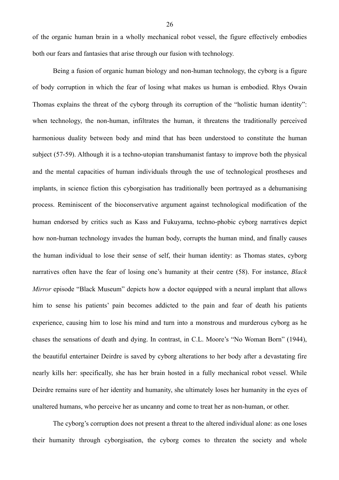of the organic human brain in a wholly mechanical robot vessel, the figure effectively embodies both our fears and fantasies that arise through our fusion with technology.

 Being a fusion of organic human biology and non-human technology, the cyborg is a figure of body corruption in which the fear of losing what makes us human is embodied. Rhys Owain Thomas explains the threat of the cyborg through its corruption of the "holistic human identity": when technology, the non-human, infiltrates the human, it threatens the traditionally perceived harmonious duality between body and mind that has been understood to constitute the human subject (57-59). Although it is a techno-utopian transhumanist fantasy to improve both the physical and the mental capacities of human individuals through the use of technological prostheses and implants, in science fiction this cyborgisation has traditionally been portrayed as a dehumanising process. Reminiscent of the bioconservative argument against technological modification of the human endorsed by critics such as Kass and Fukuyama, techno-phobic cyborg narratives depict how non-human technology invades the human body, corrupts the human mind, and finally causes the human individual to lose their sense of self, their human identity: as Thomas states, cyborg narratives often have the fear of losing one's humanity at their centre (58). For instance, *Black Mirror* episode "Black Museum" depicts how a doctor equipped with a neural implant that allows him to sense his patients' pain becomes addicted to the pain and fear of death his patients experience, causing him to lose his mind and turn into a monstrous and murderous cyborg as he chases the sensations of death and dying. In contrast, in C.L. Moore's "No Woman Born" (1944), the beautiful entertainer Deirdre is saved by cyborg alterations to her body after a devastating fire nearly kills her: specifically, she has her brain hosted in a fully mechanical robot vessel. While Deirdre remains sure of her identity and humanity, she ultimately loses her humanity in the eyes of unaltered humans, who perceive her as uncanny and come to treat her as non-human, or other.

 The cyborg's corruption does not present a threat to the altered individual alone: as one loses their humanity through cyborgisation, the cyborg comes to threaten the society and whole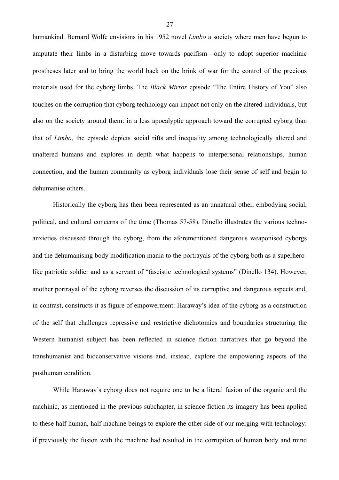humankind. Bernard Wolfe envisions in his 1952 novel *Limbo* a society where men have begun to amputate their limbs in a disturbing move towards pacifism—only to adopt superior machinic prostheses later and to bring the world back on the brink of war for the control of the precious materials used for the cyborg limbs. The *Black Mirror* episode "The Entire History of You" also touches on the corruption that cyborg technology can impact not only on the altered individuals, but also on the society around them: in a less apocalyptic approach toward the corrupted cyborg than that of *Limbo*, the episode depicts social rifts and inequality among technologically altered and unaltered humans and explores in depth what happens to interpersonal relationships, human connection, and the human community as cyborg individuals lose their sense of self and begin to dehumanise others.

Historically the cyborg has then been represented as an unnatural other, embodying social, political, and cultural concerns of the time (Thomas 57-58). Dinello illustrates the various technoanxieties discussed through the cyborg, from the aforementioned dangerous weaponised cyborgs and the dehumanising body modification mania to the portrayals of the cyborg both as a superherolike patriotic soldier and as a servant of "fascistic technological systems" (Dinello 134). However, another portrayal of the cyborg reverses the discussion of its corruptive and dangerous aspects and, in contrast, constructs it as figure of empowerment: Haraway's idea of the cyborg as a construction of the self that challenges repressive and restrictive dichotomies and boundaries structuring the Western humanist subject has been reflected in science fiction narratives that go beyond the transhumanist and bioconservative visions and, instead, explore the empowering aspects of the posthuman condition.

While Haraway's cyborg does not require one to be a literal fusion of the organic and the machinic, as mentioned in the previous subchapter, in science fiction its imagery has been applied to these half human, half machine beings to explore the other side of our merging with technology: if previously the fusion with the machine had resulted in the corruption of human body and mind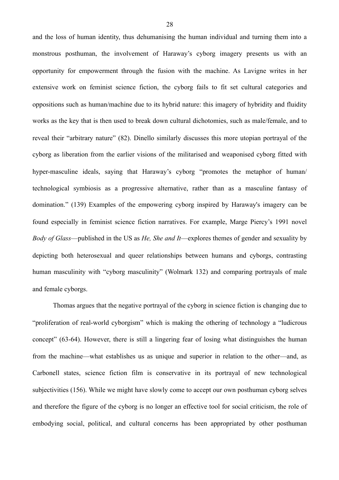and the loss of human identity, thus dehumanising the human individual and turning them into a monstrous posthuman, the involvement of Haraway's cyborg imagery presents us with an opportunity for empowerment through the fusion with the machine. As Lavigne writes in her extensive work on feminist science fiction, the cyborg fails to fit set cultural categories and oppositions such as human/machine due to its hybrid nature: this imagery of hybridity and fluidity works as the key that is then used to break down cultural dichotomies, such as male/female, and to reveal their "arbitrary nature" (82). Dinello similarly discusses this more utopian portrayal of the cyborg as liberation from the earlier visions of the militarised and weaponised cyborg fitted with hyper-masculine ideals, saying that Haraway's cyborg "promotes the metaphor of human/ technological symbiosis as a progressive alternative, rather than as a masculine fantasy of domination." (139) Examples of the empowering cyborg inspired by Haraway's imagery can be found especially in feminist science fiction narratives. For example, Marge Piercy's 1991 novel *Body of Glass*—published in the US as *He, She and It*—explores themes of gender and sexuality by depicting both heterosexual and queer relationships between humans and cyborgs, contrasting human masculinity with "cyborg masculinity" (Wolmark 132) and comparing portrayals of male and female cyborgs.

 Thomas argues that the negative portrayal of the cyborg in science fiction is changing due to "proliferation of real-world cyborgism" which is making the othering of technology a "ludicrous concept" (63-64). However, there is still a lingering fear of losing what distinguishes the human from the machine—what establishes us as unique and superior in relation to the other—and, as Carbonell states, science fiction film is conservative in its portrayal of new technological subjectivities (156). While we might have slowly come to accept our own posthuman cyborg selves and therefore the figure of the cyborg is no longer an effective tool for social criticism, the role of embodying social, political, and cultural concerns has been appropriated by other posthuman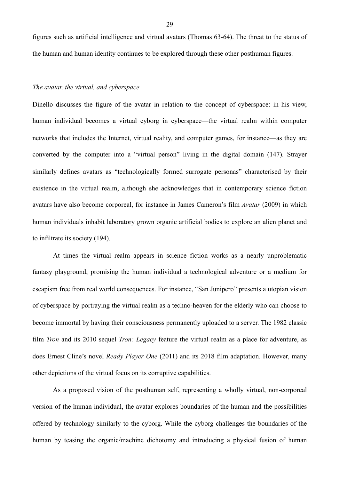figures such as artificial intelligence and virtual avatars (Thomas 63-64). The threat to the status of the human and human identity continues to be explored through these other posthuman figures.

#### *The avatar, the virtual, and cyberspace*

Dinello discusses the figure of the avatar in relation to the concept of cyberspace: in his view, human individual becomes a virtual cyborg in cyberspace—the virtual realm within computer networks that includes the Internet, virtual reality, and computer games, for instance—as they are converted by the computer into a "virtual person" living in the digital domain (147). Strayer similarly defines avatars as "technologically formed surrogate personas" characterised by their existence in the virtual realm, although she acknowledges that in contemporary science fiction avatars have also become corporeal, for instance in James Cameron's film *Avatar* (2009) in which human individuals inhabit laboratory grown organic artificial bodies to explore an alien planet and to infiltrate its society (194).

 At times the virtual realm appears in science fiction works as a nearly unproblematic fantasy playground, promising the human individual a technological adventure or a medium for escapism free from real world consequences. For instance, "San Junipero" presents a utopian vision of cyberspace by portraying the virtual realm as a techno-heaven for the elderly who can choose to become immortal by having their consciousness permanently uploaded to a server. The 1982 classic film *Tron* and its 2010 sequel *Tron: Legacy* feature the virtual realm as a place for adventure, as does Ernest Cline's novel *Ready Player One* (2011) and its 2018 film adaptation. However, many other depictions of the virtual focus on its corruptive capabilities.

 As a proposed vision of the posthuman self, representing a wholly virtual, non-corporeal version of the human individual, the avatar explores boundaries of the human and the possibilities offered by technology similarly to the cyborg. While the cyborg challenges the boundaries of the human by teasing the organic/machine dichotomy and introducing a physical fusion of human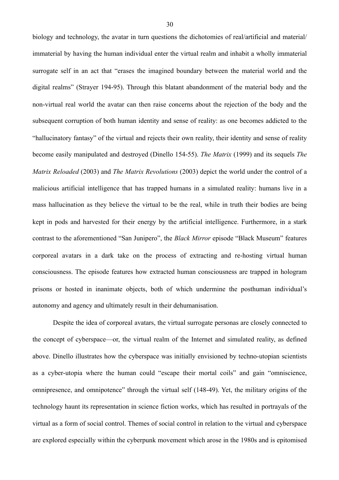biology and technology, the avatar in turn questions the dichotomies of real/artificial and material/ immaterial by having the human individual enter the virtual realm and inhabit a wholly immaterial surrogate self in an act that "erases the imagined boundary between the material world and the digital realms" (Strayer 194-95). Through this blatant abandonment of the material body and the non-virtual real world the avatar can then raise concerns about the rejection of the body and the subsequent corruption of both human identity and sense of reality: as one becomes addicted to the "hallucinatory fantasy" of the virtual and rejects their own reality, their identity and sense of reality become easily manipulated and destroyed (Dinello 154-55). *The Matrix* (1999) and its sequels *The Matrix Reloaded* (2003) and *The Matrix Revolutions* (2003) depict the world under the control of a malicious artificial intelligence that has trapped humans in a simulated reality: humans live in a mass hallucination as they believe the virtual to be the real, while in truth their bodies are being kept in pods and harvested for their energy by the artificial intelligence. Furthermore, in a stark contrast to the aforementioned "San Junipero", the *Black Mirror* episode "Black Museum" features corporeal avatars in a dark take on the process of extracting and re-hosting virtual human consciousness. The episode features how extracted human consciousness are trapped in hologram prisons or hosted in inanimate objects, both of which undermine the posthuman individual's autonomy and agency and ultimately result in their dehumanisation.

Despite the idea of corporeal avatars, the virtual surrogate personas are closely connected to the concept of cyberspace—or, the virtual realm of the Internet and simulated reality, as defined above. Dinello illustrates how the cyberspace was initially envisioned by techno-utopian scientists as a cyber-utopia where the human could "escape their mortal coils" and gain "omniscience, omnipresence, and omnipotence" through the virtual self (148-49). Yet, the military origins of the technology haunt its representation in science fiction works, which has resulted in portrayals of the virtual as a form of social control. Themes of social control in relation to the virtual and cyberspace are explored especially within the cyberpunk movement which arose in the 1980s and is epitomised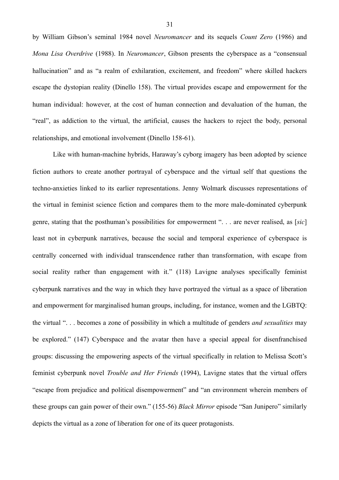by William Gibson's seminal 1984 novel *Neuromancer* and its sequels *Count Zero* (1986) and *Mona Lisa Overdrive* (1988). In *Neuromancer*, Gibson presents the cyberspace as a "consensual hallucination" and as "a realm of exhilaration, excitement, and freedom" where skilled hackers escape the dystopian reality (Dinello 158). The virtual provides escape and empowerment for the human individual: however, at the cost of human connection and devaluation of the human, the "real", as addiction to the virtual, the artificial, causes the hackers to reject the body, personal relationships, and emotional involvement (Dinello 158-61).

Like with human-machine hybrids, Haraway's cyborg imagery has been adopted by science fiction authors to create another portrayal of cyberspace and the virtual self that questions the techno-anxieties linked to its earlier representations. Jenny Wolmark discusses representations of the virtual in feminist science fiction and compares them to the more male-dominated cyberpunk genre, stating that the posthuman's possibilities for empowerment ". . . are never realised, as [*sic*] least not in cyberpunk narratives, because the social and temporal experience of cyberspace is centrally concerned with individual transcendence rather than transformation, with escape from social reality rather than engagement with it." (118) Lavigne analyses specifically feminist cyberpunk narratives and the way in which they have portrayed the virtual as a space of liberation and empowerment for marginalised human groups, including, for instance, women and the LGBTQ: the virtual ". . . becomes a zone of possibility in which a multitude of genders *and sexualities* may be explored." (147) Cyberspace and the avatar then have a special appeal for disenfranchised groups: discussing the empowering aspects of the virtual specifically in relation to Melissa Scott's feminist cyberpunk novel *Trouble and Her Friends* (1994), Lavigne states that the virtual offers "escape from prejudice and political disempowerment" and "an environment wherein members of these groups can gain power of their own." (155-56) *Black Mirror* episode "San Junipero" similarly depicts the virtual as a zone of liberation for one of its queer protagonists.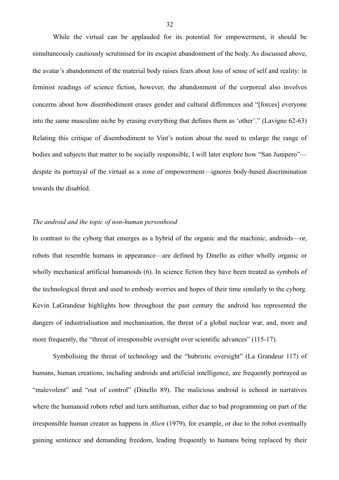While the virtual can be applauded for its potential for empowerment, it should be simultaneously cautiously scrutinised for its escapist abandonment of the body. As discussed above, the avatar's abandonment of the material body raises fears about loss of sense of self and reality: in feminist readings of science fiction, however, the abandonment of the corporeal also involves concerns about how disembodiment erases gender and cultural differences and "[forces] everyone into the same masculine niche by erasing everything that defines them as 'other'." (Lavigne 62-63) Relating this critique of disembodiment to Vint's notion about the need to enlarge the range of bodies and subjects that matter to be socially responsible. I will later explore how "San Junipero" despite its portrayal of the virtual as a zone of empowerment—ignores body-based discrimination towards the disabled.

# *The android and the topic of non-human personhood*

In contrast to the cyborg that emerges as a hybrid of the organic and the machinic, androids—or, robots that resemble humans in appearance—are defined by Dinello as either wholly organic or wholly mechanical artificial humanoids (6). In science fiction they have been treated as symbols of the technological threat and used to embody worries and hopes of their time similarly to the cyborg. Kevin LaGrandeur highlights how throughout the past century the android has represented the dangers of industrialisation and mechanisation, the threat of a global nuclear war, and, more and more frequently, the "threat of irresponsible oversight over scientific advances" (115-17).

 Symbolising the threat of technology and the "hubristic oversight" (La Grandeur 117) of humans, human creations, including androids and artificial intelligence, are frequently portrayed as "malevolent" and "out of control" (Dinello 89). The malicious android is echoed in narratives where the humanoid robots rebel and turn antihuman, either due to bad programming on part of the irresponsible human creator as happens in *Alien* (1979), for example, or due to the robot eventually gaining sentience and demanding freedom, leading frequently to humans being replaced by their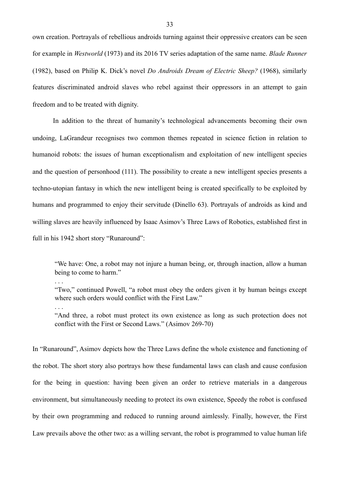own creation. Portrayals of rebellious androids turning against their oppressive creators can be seen for example in *Westworld* (1973) and its 2016 TV series adaptation of the same name. *Blade Runner* (1982), based on Philip K. Dick's novel *Do Androids Dream of Electric Sheep?* (1968), similarly features discriminated android slaves who rebel against their oppressors in an attempt to gain freedom and to be treated with dignity.

In addition to the threat of humanity's technological advancements becoming their own undoing, LaGrandeur recognises two common themes repeated in science fiction in relation to humanoid robots: the issues of human exceptionalism and exploitation of new intelligent species and the question of personhood (111). The possibility to create a new intelligent species presents a techno-utopian fantasy in which the new intelligent being is created specifically to be exploited by humans and programmed to enjoy their servitude (Dinello 63). Portrayals of androids as kind and willing slaves are heavily influenced by Isaac Asimov's Three Laws of Robotics, established first in full in his 1942 short story "Runaround":

"We have: One, a robot may not injure a human being, or, through inaction, allow a human being to come to harm."

. . .

. . .

"Two," continued Powell, "a robot must obey the orders given it by human beings except where such orders would conflict with the First Law."

"And three, a robot must protect its own existence as long as such protection does not conflict with the First or Second Laws." (Asimov 269-70)

In "Runaround", Asimov depicts how the Three Laws define the whole existence and functioning of the robot. The short story also portrays how these fundamental laws can clash and cause confusion for the being in question: having been given an order to retrieve materials in a dangerous environment, but simultaneously needing to protect its own existence, Speedy the robot is confused by their own programming and reduced to running around aimlessly. Finally, however, the First Law prevails above the other two: as a willing servant, the robot is programmed to value human life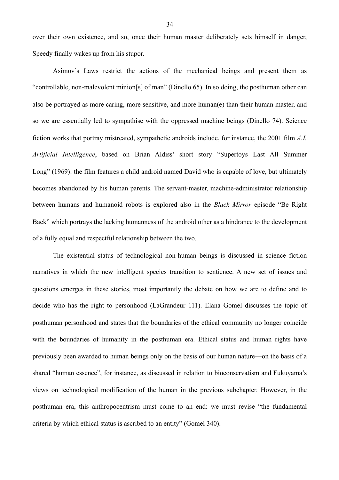over their own existence, and so, once their human master deliberately sets himself in danger, Speedy finally wakes up from his stupor.

 Asimov's Laws restrict the actions of the mechanical beings and present them as "controllable, non-malevolent minion[s] of man" (Dinello 65). In so doing, the posthuman other can also be portrayed as more caring, more sensitive, and more human(e) than their human master, and so we are essentially led to sympathise with the oppressed machine beings (Dinello 74). Science fiction works that portray mistreated, sympathetic androids include, for instance, the 2001 film *A.I. Artificial Intelligence*, based on Brian Aldiss' short story "Supertoys Last All Summer Long" (1969): the film features a child android named David who is capable of love, but ultimately becomes abandoned by his human parents. The servant-master, machine-administrator relationship between humans and humanoid robots is explored also in the *Black Mirror* episode "Be Right Back" which portrays the lacking humanness of the android other as a hindrance to the development of a fully equal and respectful relationship between the two.

 The existential status of technological non-human beings is discussed in science fiction narratives in which the new intelligent species transition to sentience. A new set of issues and questions emerges in these stories, most importantly the debate on how we are to define and to decide who has the right to personhood (LaGrandeur 111). Elana Gomel discusses the topic of posthuman personhood and states that the boundaries of the ethical community no longer coincide with the boundaries of humanity in the posthuman era. Ethical status and human rights have previously been awarded to human beings only on the basis of our human nature—on the basis of a shared "human essence", for instance, as discussed in relation to bioconservatism and Fukuyama's views on technological modification of the human in the previous subchapter. However, in the posthuman era, this anthropocentrism must come to an end: we must revise "the fundamental criteria by which ethical status is ascribed to an entity" (Gomel 340).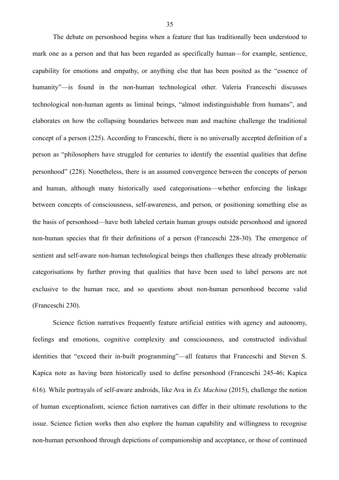The debate on personhood begins when a feature that has traditionally been understood to mark one as a person and that has been regarded as specifically human—for example, sentience, capability for emotions and empathy, or anything else that has been posited as the "essence of humanity"—is found in the non-human technological other. Valeria Franceschi discusses technological non-human agents as liminal beings, "almost indistinguishable from humans", and elaborates on how the collapsing boundaries between man and machine challenge the traditional concept of a person (225). According to Franceschi, there is no universally accepted definition of a person as "philosophers have struggled for centuries to identify the essential qualities that define personhood" (228). Nonetheless, there is an assumed convergence between the concepts of person and human, although many historically used categorisations—whether enforcing the linkage between concepts of consciousness, self-awareness, and person, or positioning something else as the basis of personhood—have both labeled certain human groups outside personhood and ignored non-human species that fit their definitions of a person (Franceschi 228-30). The emergence of sentient and self-aware non-human technological beings then challenges these already problematic categorisations by further proving that qualities that have been used to label persons are not exclusive to the human race, and so questions about non-human personhood become valid (Franceschi 230).

 Science fiction narratives frequently feature artificial entities with agency and autonomy, feelings and emotions, cognitive complexity and consciousness, and constructed individual identities that "exceed their in-built programming"—all features that Franceschi and Steven S. Kapica note as having been historically used to define personhood (Franceschi 245-46; Kapica 616). While portrayals of self-aware androids, like Ava in *Ex Machina* (2015), challenge the notion of human exceptionalism, science fiction narratives can differ in their ultimate resolutions to the issue. Science fiction works then also explore the human capability and willingness to recognise non-human personhood through depictions of companionship and acceptance, or those of continued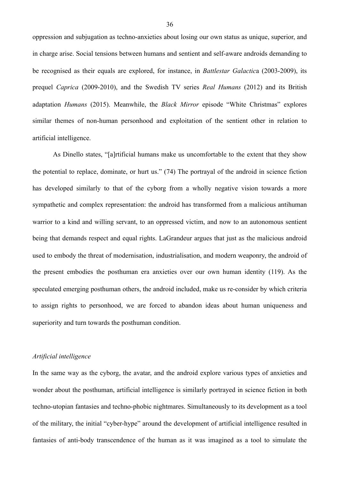oppression and subjugation as techno-anxieties about losing our own status as unique, superior, and in charge arise. Social tensions between humans and sentient and self-aware androids demanding to be recognised as their equals are explored, for instance, in *Battlestar Galactic*a (2003-2009), its prequel *Caprica* (2009-2010), and the Swedish TV series *Real Humans* (2012) and its British adaptation *Humans* (2015). Meanwhile, the *Black Mirror* episode "White Christmas" explores similar themes of non-human personhood and exploitation of the sentient other in relation to artificial intelligence.

 As Dinello states, "[a]rtificial humans make us uncomfortable to the extent that they show the potential to replace, dominate, or hurt us." (74) The portrayal of the android in science fiction has developed similarly to that of the cyborg from a wholly negative vision towards a more sympathetic and complex representation: the android has transformed from a malicious antihuman warrior to a kind and willing servant, to an oppressed victim, and now to an autonomous sentient being that demands respect and equal rights. LaGrandeur argues that just as the malicious android used to embody the threat of modernisation, industrialisation, and modern weaponry, the android of the present embodies the posthuman era anxieties over our own human identity (119). As the speculated emerging posthuman others, the android included, make us re-consider by which criteria to assign rights to personhood, we are forced to abandon ideas about human uniqueness and superiority and turn towards the posthuman condition.

## *Artificial intelligence*

In the same way as the cyborg, the avatar, and the android explore various types of anxieties and wonder about the posthuman, artificial intelligence is similarly portrayed in science fiction in both techno-utopian fantasies and techno-phobic nightmares. Simultaneously to its development as a tool of the military, the initial "cyber-hype" around the development of artificial intelligence resulted in fantasies of anti-body transcendence of the human as it was imagined as a tool to simulate the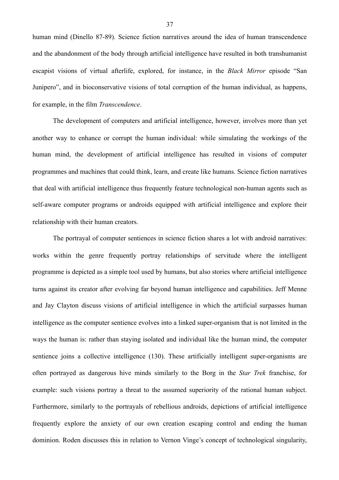human mind (Dinello 87-89). Science fiction narratives around the idea of human transcendence and the abandonment of the body through artificial intelligence have resulted in both transhumanist escapist visions of virtual afterlife, explored, for instance, in the *Black Mirror* episode "San Junipero", and in bioconservative visions of total corruption of the human individual, as happens, for example, in the film *Transcendence*.

 The development of computers and artificial intelligence, however, involves more than yet another way to enhance or corrupt the human individual: while simulating the workings of the human mind, the development of artificial intelligence has resulted in visions of computer programmes and machines that could think, learn, and create like humans. Science fiction narratives that deal with artificial intelligence thus frequently feature technological non-human agents such as self-aware computer programs or androids equipped with artificial intelligence and explore their relationship with their human creators.

 The portrayal of computer sentiences in science fiction shares a lot with android narratives: works within the genre frequently portray relationships of servitude where the intelligent programme is depicted as a simple tool used by humans, but also stories where artificial intelligence turns against its creator after evolving far beyond human intelligence and capabilities. Jeff Menne and Jay Clayton discuss visions of artificial intelligence in which the artificial surpasses human intelligence as the computer sentience evolves into a linked super-organism that is not limited in the ways the human is: rather than staying isolated and individual like the human mind, the computer sentience joins a collective intelligence (130). These artificially intelligent super-organisms are often portrayed as dangerous hive minds similarly to the Borg in the *Star Trek* franchise, for example: such visions portray a threat to the assumed superiority of the rational human subject. Furthermore, similarly to the portrayals of rebellious androids, depictions of artificial intelligence frequently explore the anxiety of our own creation escaping control and ending the human dominion. Roden discusses this in relation to Vernon Vinge's concept of technological singularity,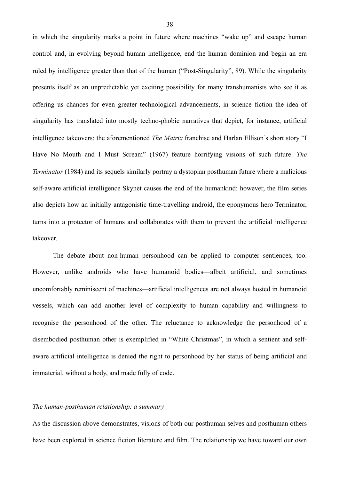in which the singularity marks a point in future where machines "wake up" and escape human control and, in evolving beyond human intelligence, end the human dominion and begin an era ruled by intelligence greater than that of the human ("Post-Singularity", 89). While the singularity presents itself as an unpredictable yet exciting possibility for many transhumanists who see it as offering us chances for even greater technological advancements, in science fiction the idea of singularity has translated into mostly techno-phobic narratives that depict, for instance, artificial intelligence takeovers: the aforementioned *The Matrix* franchise and Harlan Ellison's short story "I Have No Mouth and I Must Scream" (1967) feature horrifying visions of such future. *The Terminator* (1984) and its sequels similarly portray a dystopian posthuman future where a malicious self-aware artificial intelligence Skynet causes the end of the humankind: however, the film series also depicts how an initially antagonistic time-travelling android, the eponymous hero Terminator, turns into a protector of humans and collaborates with them to prevent the artificial intelligence takeover.

 The debate about non-human personhood can be applied to computer sentiences, too. However, unlike androids who have humanoid bodies—albeit artificial, and sometimes uncomfortably reminiscent of machines—artificial intelligences are not always hosted in humanoid vessels, which can add another level of complexity to human capability and willingness to recognise the personhood of the other. The reluctance to acknowledge the personhood of a disembodied posthuman other is exemplified in "White Christmas", in which a sentient and selfaware artificial intelligence is denied the right to personhood by her status of being artificial and immaterial, without a body, and made fully of code.

## *The human-posthuman relationship: a summary*

As the discussion above demonstrates, visions of both our posthuman selves and posthuman others have been explored in science fiction literature and film. The relationship we have toward our own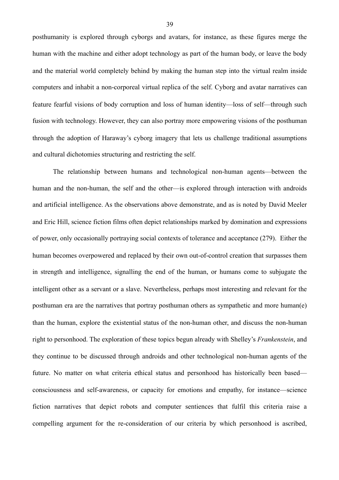posthumanity is explored through cyborgs and avatars, for instance, as these figures merge the human with the machine and either adopt technology as part of the human body, or leave the body and the material world completely behind by making the human step into the virtual realm inside computers and inhabit a non-corporeal virtual replica of the self. Cyborg and avatar narratives can feature fearful visions of body corruption and loss of human identity—loss of self—through such fusion with technology. However, they can also portray more empowering visions of the posthuman through the adoption of Haraway's cyborg imagery that lets us challenge traditional assumptions and cultural dichotomies structuring and restricting the self.

 The relationship between humans and technological non-human agents—between the human and the non-human, the self and the other—is explored through interaction with androids and artificial intelligence. As the observations above demonstrate, and as is noted by David Meeler and Eric Hill, science fiction films often depict relationships marked by domination and expressions of power, only occasionally portraying social contexts of tolerance and acceptance (279). Either the human becomes overpowered and replaced by their own out-of-control creation that surpasses them in strength and intelligence, signalling the end of the human, or humans come to subjugate the intelligent other as a servant or a slave. Nevertheless, perhaps most interesting and relevant for the posthuman era are the narratives that portray posthuman others as sympathetic and more human(e) than the human, explore the existential status of the non-human other, and discuss the non-human right to personhood. The exploration of these topics begun already with Shelley's *Frankenstein*, and they continue to be discussed through androids and other technological non-human agents of the future. No matter on what criteria ethical status and personhood has historically been based consciousness and self-awareness, or capacity for emotions and empathy, for instance—science fiction narratives that depict robots and computer sentiences that fulfil this criteria raise a compelling argument for the re-consideration of our criteria by which personhood is ascribed,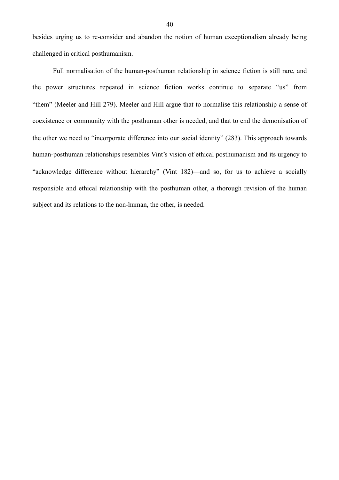besides urging us to re-consider and abandon the notion of human exceptionalism already being challenged in critical posthumanism.

 Full normalisation of the human-posthuman relationship in science fiction is still rare, and the power structures repeated in science fiction works continue to separate "us" from "them" (Meeler and Hill 279). Meeler and Hill argue that to normalise this relationship a sense of coexistence or community with the posthuman other is needed, and that to end the demonisation of the other we need to "incorporate difference into our social identity" (283). This approach towards human-posthuman relationships resembles Vint's vision of ethical posthumanism and its urgency to "acknowledge difference without hierarchy" (Vint 182)—and so, for us to achieve a socially responsible and ethical relationship with the posthuman other, a thorough revision of the human subject and its relations to the non-human, the other, is needed.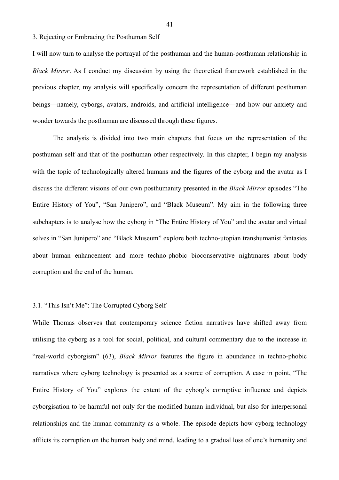3. Rejecting or Embracing the Posthuman Self

I will now turn to analyse the portrayal of the posthuman and the human-posthuman relationship in *Black Mirror*. As I conduct my discussion by using the theoretical framework established in the previous chapter, my analysis will specifically concern the representation of different posthuman beings—namely, cyborgs, avatars, androids, and artificial intelligence—and how our anxiety and wonder towards the posthuman are discussed through these figures.

 The analysis is divided into two main chapters that focus on the representation of the posthuman self and that of the posthuman other respectively. In this chapter, I begin my analysis with the topic of technologically altered humans and the figures of the cyborg and the avatar as I discuss the different visions of our own posthumanity presented in the *Black Mirror* episodes "The Entire History of You", "San Junipero", and "Black Museum". My aim in the following three subchapters is to analyse how the cyborg in "The Entire History of You" and the avatar and virtual selves in "San Junipero" and "Black Museum" explore both techno-utopian transhumanist fantasies about human enhancement and more techno-phobic bioconservative nightmares about body corruption and the end of the human.

## 3.1. "This Isn't Me": The Corrupted Cyborg Self

While Thomas observes that contemporary science fiction narratives have shifted away from utilising the cyborg as a tool for social, political, and cultural commentary due to the increase in "real-world cyborgism" (63), *Black Mirror* features the figure in abundance in techno-phobic narratives where cyborg technology is presented as a source of corruption. A case in point, "The Entire History of You" explores the extent of the cyborg's corruptive influence and depicts cyborgisation to be harmful not only for the modified human individual, but also for interpersonal relationships and the human community as a whole. The episode depicts how cyborg technology afflicts its corruption on the human body and mind, leading to a gradual loss of one's humanity and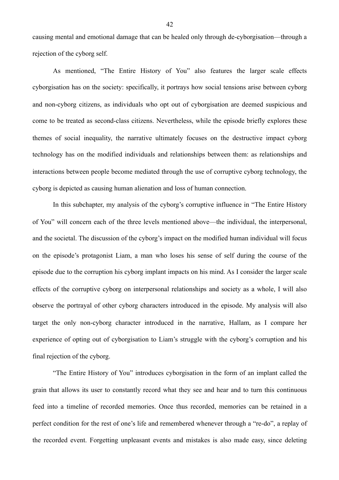causing mental and emotional damage that can be healed only through de-cyborgisation—through a rejection of the cyborg self.

 As mentioned, "The Entire History of You" also features the larger scale effects cyborgisation has on the society: specifically, it portrays how social tensions arise between cyborg and non-cyborg citizens, as individuals who opt out of cyborgisation are deemed suspicious and come to be treated as second-class citizens. Nevertheless, while the episode briefly explores these themes of social inequality, the narrative ultimately focuses on the destructive impact cyborg technology has on the modified individuals and relationships between them: as relationships and interactions between people become mediated through the use of corruptive cyborg technology, the cyborg is depicted as causing human alienation and loss of human connection.

 In this subchapter, my analysis of the cyborg's corruptive influence in "The Entire History of You" will concern each of the three levels mentioned above—the individual, the interpersonal, and the societal. The discussion of the cyborg's impact on the modified human individual will focus on the episode's protagonist Liam, a man who loses his sense of self during the course of the episode due to the corruption his cyborg implant impacts on his mind. As I consider the larger scale effects of the corruptive cyborg on interpersonal relationships and society as a whole, I will also observe the portrayal of other cyborg characters introduced in the episode. My analysis will also target the only non-cyborg character introduced in the narrative, Hallam, as I compare her experience of opting out of cyborgisation to Liam's struggle with the cyborg's corruption and his final rejection of the cyborg.

 "The Entire History of You" introduces cyborgisation in the form of an implant called the grain that allows its user to constantly record what they see and hear and to turn this continuous feed into a timeline of recorded memories. Once thus recorded, memories can be retained in a perfect condition for the rest of one's life and remembered whenever through a "re-do", a replay of the recorded event. Forgetting unpleasant events and mistakes is also made easy, since deleting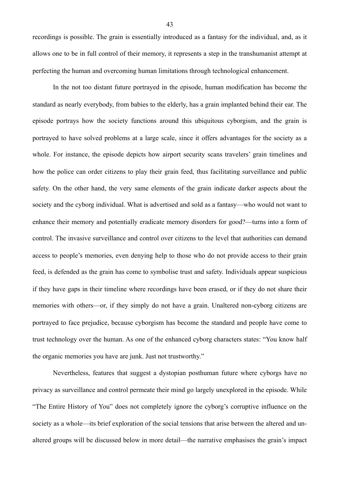recordings is possible. The grain is essentially introduced as a fantasy for the individual, and, as it allows one to be in full control of their memory, it represents a step in the transhumanist attempt at perfecting the human and overcoming human limitations through technological enhancement.

 In the not too distant future portrayed in the episode, human modification has become the standard as nearly everybody, from babies to the elderly, has a grain implanted behind their ear. The episode portrays how the society functions around this ubiquitous cyborgism, and the grain is portrayed to have solved problems at a large scale, since it offers advantages for the society as a whole. For instance, the episode depicts how airport security scans travelers' grain timelines and how the police can order citizens to play their grain feed, thus facilitating surveillance and public safety. On the other hand, the very same elements of the grain indicate darker aspects about the society and the cyborg individual. What is advertised and sold as a fantasy—who would not want to enhance their memory and potentially eradicate memory disorders for good?—turns into a form of control. The invasive surveillance and control over citizens to the level that authorities can demand access to people's memories, even denying help to those who do not provide access to their grain feed, is defended as the grain has come to symbolise trust and safety. Individuals appear suspicious if they have gaps in their timeline where recordings have been erased, or if they do not share their memories with others—or, if they simply do not have a grain. Unaltered non-cyborg citizens are portrayed to face prejudice, because cyborgism has become the standard and people have come to trust technology over the human. As one of the enhanced cyborg characters states: "You know half the organic memories you have are junk. Just not trustworthy."

 Nevertheless, features that suggest a dystopian posthuman future where cyborgs have no privacy as surveillance and control permeate their mind go largely unexplored in the episode. While "The Entire History of You" does not completely ignore the cyborg's corruptive influence on the society as a whole—its brief exploration of the social tensions that arise between the altered and unaltered groups will be discussed below in more detail—the narrative emphasises the grain's impact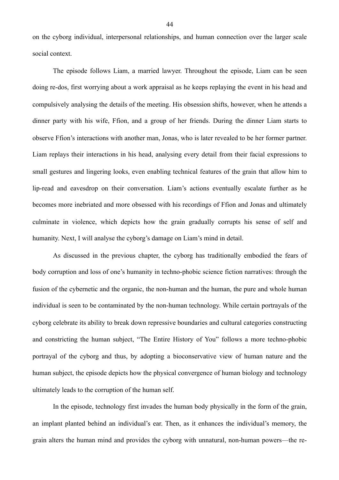on the cyborg individual, interpersonal relationships, and human connection over the larger scale social context.

The episode follows Liam, a married lawyer. Throughout the episode, Liam can be seen doing re-dos, first worrying about a work appraisal as he keeps replaying the event in his head and compulsively analysing the details of the meeting. His obsession shifts, however, when he attends a dinner party with his wife, Ffion, and a group of her friends. During the dinner Liam starts to observe Ffion's interactions with another man, Jonas, who is later revealed to be her former partner. Liam replays their interactions in his head, analysing every detail from their facial expressions to small gestures and lingering looks, even enabling technical features of the grain that allow him to lip-read and eavesdrop on their conversation. Liam's actions eventually escalate further as he becomes more inebriated and more obsessed with his recordings of Ffion and Jonas and ultimately culminate in violence, which depicts how the grain gradually corrupts his sense of self and humanity. Next, I will analyse the cyborg's damage on Liam's mind in detail.

 As discussed in the previous chapter, the cyborg has traditionally embodied the fears of body corruption and loss of one's humanity in techno-phobic science fiction narratives: through the fusion of the cybernetic and the organic, the non-human and the human, the pure and whole human individual is seen to be contaminated by the non-human technology. While certain portrayals of the cyborg celebrate its ability to break down repressive boundaries and cultural categories constructing and constricting the human subject, "The Entire History of You" follows a more techno-phobic portrayal of the cyborg and thus, by adopting a bioconservative view of human nature and the human subject, the episode depicts how the physical convergence of human biology and technology ultimately leads to the corruption of the human self.

 In the episode, technology first invades the human body physically in the form of the grain, an implant planted behind an individual's ear. Then, as it enhances the individual's memory, the grain alters the human mind and provides the cyborg with unnatural, non-human powers—the re-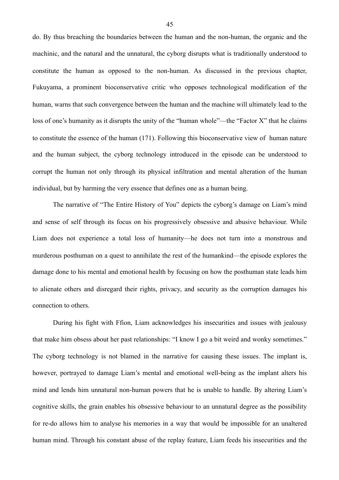do. By thus breaching the boundaries between the human and the non-human, the organic and the machinic, and the natural and the unnatural, the cyborg disrupts what is traditionally understood to constitute the human as opposed to the non-human. As discussed in the previous chapter, Fukuyama, a prominent bioconservative critic who opposes technological modification of the human, warns that such convergence between the human and the machine will ultimately lead to the loss of one's humanity as it disrupts the unity of the "human whole"—the "Factor X" that he claims to constitute the essence of the human (171). Following this bioconservative view of human nature and the human subject, the cyborg technology introduced in the episode can be understood to corrupt the human not only through its physical infiltration and mental alteration of the human individual, but by harming the very essence that defines one as a human being.

 The narrative of "The Entire History of You" depicts the cyborg's damage on Liam's mind and sense of self through its focus on his progressively obsessive and abusive behaviour. While Liam does not experience a total loss of humanity—he does not turn into a monstrous and murderous posthuman on a quest to annihilate the rest of the humankind—the episode explores the damage done to his mental and emotional health by focusing on how the posthuman state leads him to alienate others and disregard their rights, privacy, and security as the corruption damages his connection to others.

 During his fight with Ffion, Liam acknowledges his insecurities and issues with jealousy that make him obsess about her past relationships: "I know I go a bit weird and wonky sometimes." The cyborg technology is not blamed in the narrative for causing these issues. The implant is, however, portrayed to damage Liam's mental and emotional well-being as the implant alters his mind and lends him unnatural non-human powers that he is unable to handle. By altering Liam's cognitive skills, the grain enables his obsessive behaviour to an unnatural degree as the possibility for re-do allows him to analyse his memories in a way that would be impossible for an unaltered human mind. Through his constant abuse of the replay feature, Liam feeds his insecurities and the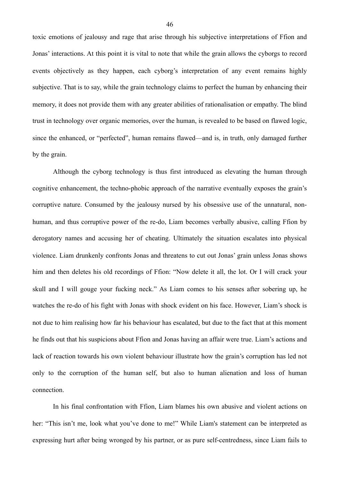toxic emotions of jealousy and rage that arise through his subjective interpretations of Ffion and Jonas' interactions. At this point it is vital to note that while the grain allows the cyborgs to record events objectively as they happen, each cyborg's interpretation of any event remains highly subjective. That is to say, while the grain technology claims to perfect the human by enhancing their memory, it does not provide them with any greater abilities of rationalisation or empathy. The blind trust in technology over organic memories, over the human, is revealed to be based on flawed logic, since the enhanced, or "perfected", human remains flawed—and is, in truth, only damaged further by the grain.

 Although the cyborg technology is thus first introduced as elevating the human through cognitive enhancement, the techno-phobic approach of the narrative eventually exposes the grain's corruptive nature. Consumed by the jealousy nursed by his obsessive use of the unnatural, nonhuman, and thus corruptive power of the re-do, Liam becomes verbally abusive, calling Ffion by derogatory names and accusing her of cheating. Ultimately the situation escalates into physical violence. Liam drunkenly confronts Jonas and threatens to cut out Jonas' grain unless Jonas shows him and then deletes his old recordings of Ffion: "Now delete it all, the lot. Or I will crack your skull and I will gouge your fucking neck." As Liam comes to his senses after sobering up, he watches the re-do of his fight with Jonas with shock evident on his face. However, Liam's shock is not due to him realising how far his behaviour has escalated, but due to the fact that at this moment he finds out that his suspicions about Ffion and Jonas having an affair were true. Liam's actions and lack of reaction towards his own violent behaviour illustrate how the grain's corruption has led not only to the corruption of the human self, but also to human alienation and loss of human connection.

In his final confrontation with Ffion, Liam blames his own abusive and violent actions on her: "This isn't me, look what you've done to me!" While Liam's statement can be interpreted as expressing hurt after being wronged by his partner, or as pure self-centredness, since Liam fails to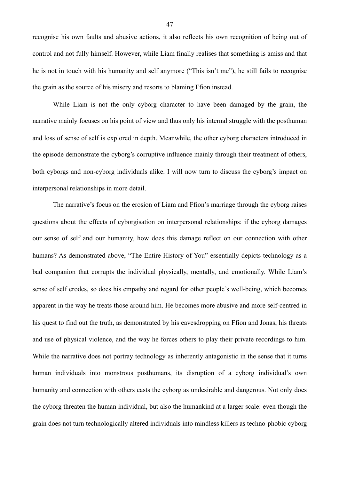recognise his own faults and abusive actions, it also reflects his own recognition of being out of control and not fully himself. However, while Liam finally realises that something is amiss and that he is not in touch with his humanity and self anymore ("This isn't me"), he still fails to recognise the grain as the source of his misery and resorts to blaming Ffion instead.

 While Liam is not the only cyborg character to have been damaged by the grain, the narrative mainly focuses on his point of view and thus only his internal struggle with the posthuman and loss of sense of self is explored in depth. Meanwhile, the other cyborg characters introduced in the episode demonstrate the cyborg's corruptive influence mainly through their treatment of others, both cyborgs and non-cyborg individuals alike. I will now turn to discuss the cyborg's impact on interpersonal relationships in more detail.

 The narrative's focus on the erosion of Liam and Ffion's marriage through the cyborg raises questions about the effects of cyborgisation on interpersonal relationships: if the cyborg damages our sense of self and our humanity, how does this damage reflect on our connection with other humans? As demonstrated above, "The Entire History of You" essentially depicts technology as a bad companion that corrupts the individual physically, mentally, and emotionally. While Liam's sense of self erodes, so does his empathy and regard for other people's well-being, which becomes apparent in the way he treats those around him. He becomes more abusive and more self-centred in his quest to find out the truth, as demonstrated by his eavesdropping on Ffion and Jonas, his threats and use of physical violence, and the way he forces others to play their private recordings to him. While the narrative does not portray technology as inherently antagonistic in the sense that it turns human individuals into monstrous posthumans, its disruption of a cyborg individual's own humanity and connection with others casts the cyborg as undesirable and dangerous. Not only does the cyborg threaten the human individual, but also the humankind at a larger scale: even though the grain does not turn technologically altered individuals into mindless killers as techno-phobic cyborg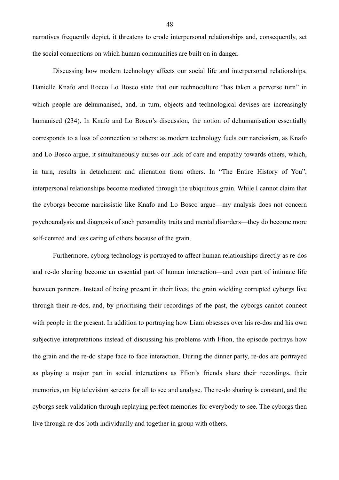narratives frequently depict, it threatens to erode interpersonal relationships and, consequently, set the social connections on which human communities are built on in danger.

 Discussing how modern technology affects our social life and interpersonal relationships, Danielle Knafo and Rocco Lo Bosco state that our technoculture "has taken a perverse turn" in which people are dehumanised, and, in turn, objects and technological devises are increasingly humanised (234). In Knafo and Lo Bosco's discussion, the notion of dehumanisation essentially corresponds to a loss of connection to others: as modern technology fuels our narcissism, as Knafo and Lo Bosco argue, it simultaneously nurses our lack of care and empathy towards others, which, in turn, results in detachment and alienation from others. In "The Entire History of You", interpersonal relationships become mediated through the ubiquitous grain. While I cannot claim that the cyborgs become narcissistic like Knafo and Lo Bosco argue—my analysis does not concern psychoanalysis and diagnosis of such personality traits and mental disorders—they do become more self-centred and less caring of others because of the grain.

 Furthermore, cyborg technology is portrayed to affect human relationships directly as re-dos and re-do sharing become an essential part of human interaction—and even part of intimate life between partners. Instead of being present in their lives, the grain wielding corrupted cyborgs live through their re-dos, and, by prioritising their recordings of the past, the cyborgs cannot connect with people in the present. In addition to portraying how Liam obsesses over his re-dos and his own subjective interpretations instead of discussing his problems with Ffion, the episode portrays how the grain and the re-do shape face to face interaction. During the dinner party, re-dos are portrayed as playing a major part in social interactions as Ffion's friends share their recordings, their memories, on big television screens for all to see and analyse. The re-do sharing is constant, and the cyborgs seek validation through replaying perfect memories for everybody to see. The cyborgs then live through re-dos both individually and together in group with others.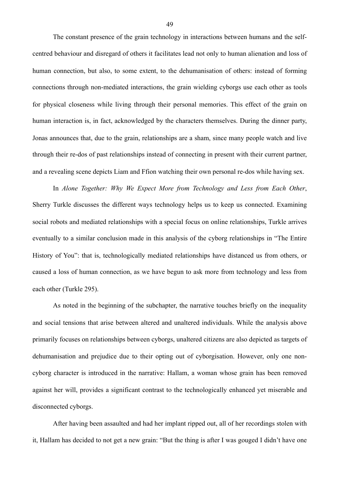The constant presence of the grain technology in interactions between humans and the selfcentred behaviour and disregard of others it facilitates lead not only to human alienation and loss of human connection, but also, to some extent, to the dehumanisation of others: instead of forming connections through non-mediated interactions, the grain wielding cyborgs use each other as tools for physical closeness while living through their personal memories. This effect of the grain on human interaction is, in fact, acknowledged by the characters themselves. During the dinner party, Jonas announces that, due to the grain, relationships are a sham, since many people watch and live through their re-dos of past relationships instead of connecting in present with their current partner, and a revealing scene depicts Liam and Ffion watching their own personal re-dos while having sex.

In *Alone Together: Why We Expect More from Technology and Less from Each Other*, Sherry Turkle discusses the different ways technology helps us to keep us connected. Examining social robots and mediated relationships with a special focus on online relationships, Turkle arrives eventually to a similar conclusion made in this analysis of the cyborg relationships in "The Entire History of You": that is, technologically mediated relationships have distanced us from others, or caused a loss of human connection, as we have begun to ask more from technology and less from each other (Turkle 295).

 As noted in the beginning of the subchapter, the narrative touches briefly on the inequality and social tensions that arise between altered and unaltered individuals. While the analysis above primarily focuses on relationships between cyborgs, unaltered citizens are also depicted as targets of dehumanisation and prejudice due to their opting out of cyborgisation. However, only one noncyborg character is introduced in the narrative: Hallam, a woman whose grain has been removed against her will, provides a significant contrast to the technologically enhanced yet miserable and disconnected cyborgs.

 After having been assaulted and had her implant ripped out, all of her recordings stolen with it, Hallam has decided to not get a new grain: "But the thing is after I was gouged I didn't have one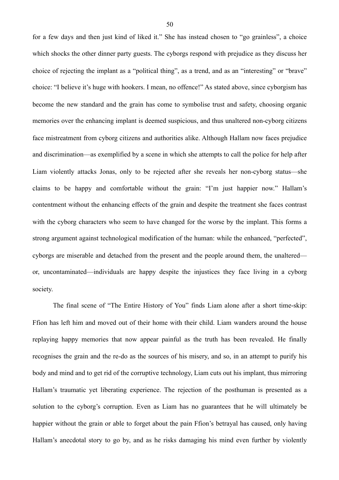for a few days and then just kind of liked it." She has instead chosen to "go grainless", a choice which shocks the other dinner party guests. The cyborgs respond with prejudice as they discuss her choice of rejecting the implant as a "political thing", as a trend, and as an "interesting" or "brave" choice: "I believe it's huge with hookers. I mean, no offence!" As stated above, since cyborgism has become the new standard and the grain has come to symbolise trust and safety, choosing organic memories over the enhancing implant is deemed suspicious, and thus unaltered non-cyborg citizens face mistreatment from cyborg citizens and authorities alike. Although Hallam now faces prejudice and discrimination—as exemplified by a scene in which she attempts to call the police for help after Liam violently attacks Jonas, only to be rejected after she reveals her non-cyborg status—she claims to be happy and comfortable without the grain: "I'm just happier now." Hallam's contentment without the enhancing effects of the grain and despite the treatment she faces contrast with the cyborg characters who seem to have changed for the worse by the implant. This forms a strong argument against technological modification of the human: while the enhanced, "perfected", cyborgs are miserable and detached from the present and the people around them, the unaltered or, uncontaminated—individuals are happy despite the injustices they face living in a cyborg society.

 The final scene of "The Entire History of You" finds Liam alone after a short time-skip: Ffion has left him and moved out of their home with their child. Liam wanders around the house replaying happy memories that now appear painful as the truth has been revealed. He finally recognises the grain and the re-do as the sources of his misery, and so, in an attempt to purify his body and mind and to get rid of the corruptive technology, Liam cuts out his implant, thus mirroring Hallam's traumatic yet liberating experience. The rejection of the posthuman is presented as a solution to the cyborg's corruption. Even as Liam has no guarantees that he will ultimately be happier without the grain or able to forget about the pain Ffion's betrayal has caused, only having Hallam's anecdotal story to go by, and as he risks damaging his mind even further by violently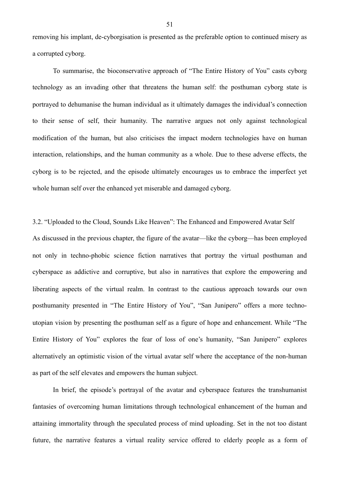removing his implant, de-cyborgisation is presented as the preferable option to continued misery as a corrupted cyborg.

 To summarise, the bioconservative approach of "The Entire History of You" casts cyborg technology as an invading other that threatens the human self: the posthuman cyborg state is portrayed to dehumanise the human individual as it ultimately damages the individual's connection to their sense of self, their humanity. The narrative argues not only against technological modification of the human, but also criticises the impact modern technologies have on human interaction, relationships, and the human community as a whole. Due to these adverse effects, the cyborg is to be rejected, and the episode ultimately encourages us to embrace the imperfect yet whole human self over the enhanced yet miserable and damaged cyborg.

3.2. "Uploaded to the Cloud, Sounds Like Heaven": The Enhanced and Empowered Avatar Self As discussed in the previous chapter, the figure of the avatar—like the cyborg—has been employed not only in techno-phobic science fiction narratives that portray the virtual posthuman and cyberspace as addictive and corruptive, but also in narratives that explore the empowering and liberating aspects of the virtual realm. In contrast to the cautious approach towards our own posthumanity presented in "The Entire History of You", "San Junipero" offers a more technoutopian vision by presenting the posthuman self as a figure of hope and enhancement. While "The Entire History of You" explores the fear of loss of one's humanity, "San Junipero" explores alternatively an optimistic vision of the virtual avatar self where the acceptance of the non-human as part of the self elevates and empowers the human subject.

 In brief, the episode's portrayal of the avatar and cyberspace features the transhumanist fantasies of overcoming human limitations through technological enhancement of the human and attaining immortality through the speculated process of mind uploading. Set in the not too distant future, the narrative features a virtual reality service offered to elderly people as a form of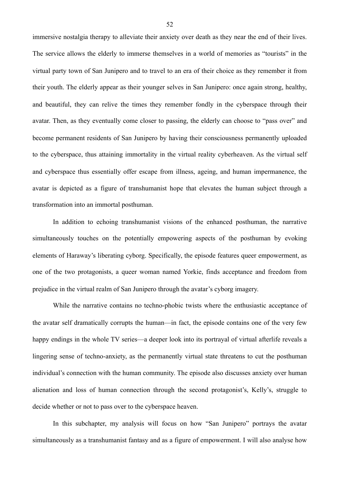immersive nostalgia therapy to alleviate their anxiety over death as they near the end of their lives. The service allows the elderly to immerse themselves in a world of memories as "tourists" in the virtual party town of San Junipero and to travel to an era of their choice as they remember it from their youth. The elderly appear as their younger selves in San Junipero: once again strong, healthy, and beautiful, they can relive the times they remember fondly in the cyberspace through their avatar. Then, as they eventually come closer to passing, the elderly can choose to "pass over" and become permanent residents of San Junipero by having their consciousness permanently uploaded to the cyberspace, thus attaining immortality in the virtual reality cyberheaven. As the virtual self and cyberspace thus essentially offer escape from illness, ageing, and human impermanence, the avatar is depicted as a figure of transhumanist hope that elevates the human subject through a transformation into an immortal posthuman.

 In addition to echoing transhumanist visions of the enhanced posthuman, the narrative simultaneously touches on the potentially empowering aspects of the posthuman by evoking elements of Haraway's liberating cyborg. Specifically, the episode features queer empowerment, as one of the two protagonists, a queer woman named Yorkie, finds acceptance and freedom from prejudice in the virtual realm of San Junipero through the avatar's cyborg imagery.

 While the narrative contains no techno-phobic twists where the enthusiastic acceptance of the avatar self dramatically corrupts the human—in fact, the episode contains one of the very few happy endings in the whole TV series—a deeper look into its portrayal of virtual afterlife reveals a lingering sense of techno-anxiety, as the permanently virtual state threatens to cut the posthuman individual's connection with the human community. The episode also discusses anxiety over human alienation and loss of human connection through the second protagonist's, Kelly's, struggle to decide whether or not to pass over to the cyberspace heaven.

In this subchapter, my analysis will focus on how "San Junipero" portrays the avatar simultaneously as a transhumanist fantasy and as a figure of empowerment. I will also analyse how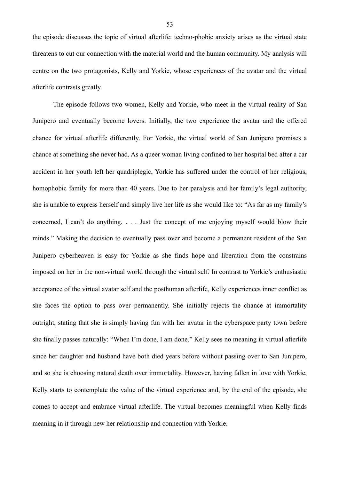the episode discusses the topic of virtual afterlife: techno-phobic anxiety arises as the virtual state threatens to cut our connection with the material world and the human community. My analysis will centre on the two protagonists, Kelly and Yorkie, whose experiences of the avatar and the virtual afterlife contrasts greatly.

 The episode follows two women, Kelly and Yorkie, who meet in the virtual reality of San Junipero and eventually become lovers. Initially, the two experience the avatar and the offered chance for virtual afterlife differently. For Yorkie, the virtual world of San Junipero promises a chance at something she never had. As a queer woman living confined to her hospital bed after a car accident in her youth left her quadriplegic, Yorkie has suffered under the control of her religious, homophobic family for more than 40 years. Due to her paralysis and her family's legal authority, she is unable to express herself and simply live her life as she would like to: "As far as my family's concerned, I can't do anything. . . . Just the concept of me enjoying myself would blow their minds." Making the decision to eventually pass over and become a permanent resident of the San Junipero cyberheaven is easy for Yorkie as she finds hope and liberation from the constrains imposed on her in the non-virtual world through the virtual self. In contrast to Yorkie's enthusiastic acceptance of the virtual avatar self and the posthuman afterlife, Kelly experiences inner conflict as she faces the option to pass over permanently. She initially rejects the chance at immortality outright, stating that she is simply having fun with her avatar in the cyberspace party town before she finally passes naturally: "When I'm done, I am done." Kelly sees no meaning in virtual afterlife since her daughter and husband have both died years before without passing over to San Junipero, and so she is choosing natural death over immortality. However, having fallen in love with Yorkie, Kelly starts to contemplate the value of the virtual experience and, by the end of the episode, she comes to accept and embrace virtual afterlife. The virtual becomes meaningful when Kelly finds meaning in it through new her relationship and connection with Yorkie.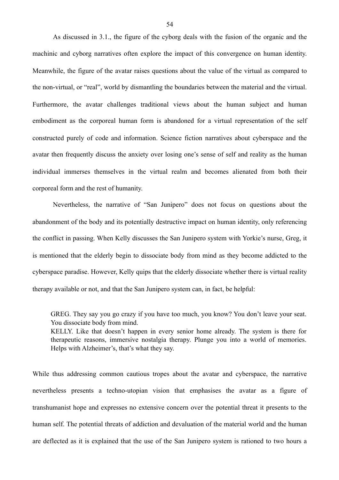As discussed in 3.1., the figure of the cyborg deals with the fusion of the organic and the machinic and cyborg narratives often explore the impact of this convergence on human identity. Meanwhile, the figure of the avatar raises questions about the value of the virtual as compared to the non-virtual, or "real", world by dismantling the boundaries between the material and the virtual. Furthermore, the avatar challenges traditional views about the human subject and human embodiment as the corporeal human form is abandoned for a virtual representation of the self constructed purely of code and information. Science fiction narratives about cyberspace and the avatar then frequently discuss the anxiety over losing one's sense of self and reality as the human individual immerses themselves in the virtual realm and becomes alienated from both their corporeal form and the rest of humanity.

 Nevertheless, the narrative of "San Junipero" does not focus on questions about the abandonment of the body and its potentially destructive impact on human identity, only referencing the conflict in passing. When Kelly discusses the San Junipero system with Yorkie's nurse, Greg, it is mentioned that the elderly begin to dissociate body from mind as they become addicted to the cyberspace paradise. However, Kelly quips that the elderly dissociate whether there is virtual reality therapy available or not, and that the San Junipero system can, in fact, be helpful:

GREG. They say you go crazy if you have too much, you know? You don't leave your seat. You dissociate body from mind. KELLY. Like that doesn't happen in every senior home already. The system is there for therapeutic reasons, immersive nostalgia therapy. Plunge you into a world of memories. Helps with Alzheimer's, that's what they say.

While thus addressing common cautious tropes about the avatar and cyberspace, the narrative nevertheless presents a techno-utopian vision that emphasises the avatar as a figure of transhumanist hope and expresses no extensive concern over the potential threat it presents to the human self. The potential threats of addiction and devaluation of the material world and the human are deflected as it is explained that the use of the San Junipero system is rationed to two hours a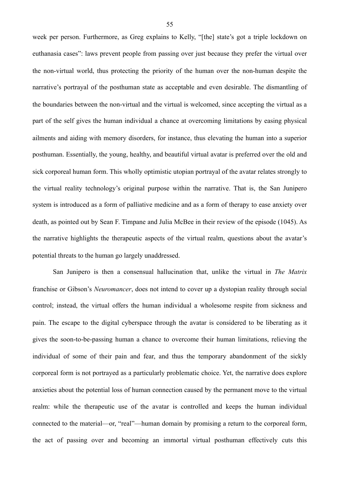week per person. Furthermore, as Greg explains to Kelly, "[the] state's got a triple lockdown on euthanasia cases": laws prevent people from passing over just because they prefer the virtual over the non-virtual world, thus protecting the priority of the human over the non-human despite the narrative's portrayal of the posthuman state as acceptable and even desirable. The dismantling of the boundaries between the non-virtual and the virtual is welcomed, since accepting the virtual as a part of the self gives the human individual a chance at overcoming limitations by easing physical ailments and aiding with memory disorders, for instance, thus elevating the human into a superior posthuman. Essentially, the young, healthy, and beautiful virtual avatar is preferred over the old and sick corporeal human form. This wholly optimistic utopian portrayal of the avatar relates strongly to the virtual reality technology's original purpose within the narrative. That is, the San Junipero system is introduced as a form of palliative medicine and as a form of therapy to ease anxiety over death, as pointed out by Sean F. Timpane and Julia McBee in their review of the episode (1045). As the narrative highlights the therapeutic aspects of the virtual realm, questions about the avatar's potential threats to the human go largely unaddressed.

 San Junipero is then a consensual hallucination that, unlike the virtual in *The Matrix* franchise or Gibson's *Neuromancer*, does not intend to cover up a dystopian reality through social control; instead, the virtual offers the human individual a wholesome respite from sickness and pain. The escape to the digital cyberspace through the avatar is considered to be liberating as it gives the soon-to-be-passing human a chance to overcome their human limitations, relieving the individual of some of their pain and fear, and thus the temporary abandonment of the sickly corporeal form is not portrayed as a particularly problematic choice. Yet, the narrative does explore anxieties about the potential loss of human connection caused by the permanent move to the virtual realm: while the therapeutic use of the avatar is controlled and keeps the human individual connected to the material—or, "real"—human domain by promising a return to the corporeal form, the act of passing over and becoming an immortal virtual posthuman effectively cuts this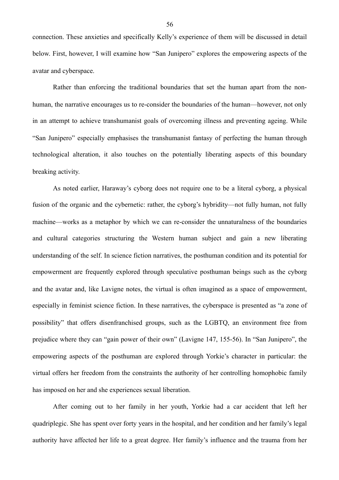connection. These anxieties and specifically Kelly's experience of them will be discussed in detail below. First, however, I will examine how "San Junipero" explores the empowering aspects of the avatar and cyberspace.

 Rather than enforcing the traditional boundaries that set the human apart from the nonhuman, the narrative encourages us to re-consider the boundaries of the human—however, not only in an attempt to achieve transhumanist goals of overcoming illness and preventing ageing. While "San Junipero" especially emphasises the transhumanist fantasy of perfecting the human through technological alteration, it also touches on the potentially liberating aspects of this boundary breaking activity.

 As noted earlier, Haraway's cyborg does not require one to be a literal cyborg, a physical fusion of the organic and the cybernetic: rather, the cyborg's hybridity—not fully human, not fully machine—works as a metaphor by which we can re-consider the unnaturalness of the boundaries and cultural categories structuring the Western human subject and gain a new liberating understanding of the self. In science fiction narratives, the posthuman condition and its potential for empowerment are frequently explored through speculative posthuman beings such as the cyborg and the avatar and, like Lavigne notes, the virtual is often imagined as a space of empowerment, especially in feminist science fiction. In these narratives, the cyberspace is presented as "a zone of possibility" that offers disenfranchised groups, such as the LGBTQ, an environment free from prejudice where they can "gain power of their own" (Lavigne 147, 155-56). In "San Junipero", the empowering aspects of the posthuman are explored through Yorkie's character in particular: the virtual offers her freedom from the constraints the authority of her controlling homophobic family has imposed on her and she experiences sexual liberation.

 After coming out to her family in her youth, Yorkie had a car accident that left her quadriplegic. She has spent over forty years in the hospital, and her condition and her family's legal authority have affected her life to a great degree. Her family's influence and the trauma from her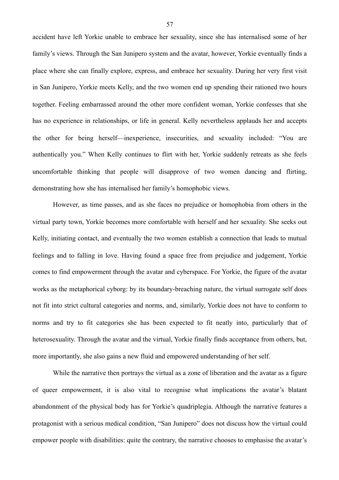accident have left Yorkie unable to embrace her sexuality, since she has internalised some of her family's views. Through the San Junipero system and the avatar, however, Yorkie eventually finds a place where she can finally explore, express, and embrace her sexuality. During her very first visit in San Junipero, Yorkie meets Kelly, and the two women end up spending their rationed two hours together. Feeling embarrassed around the other more confident woman, Yorkie confesses that she has no experience in relationships, or life in general. Kelly nevertheless applauds her and accepts the other for being herself—inexperience, insecurities, and sexuality included: "You are authentically you." When Kelly continues to flirt with her, Yorkie suddenly retreats as she feels uncomfortable thinking that people will disapprove of two women dancing and flirting, demonstrating how she has internalised her family's homophobic views.

 However, as time passes, and as she faces no prejudice or homophobia from others in the virtual party town, Yorkie becomes more comfortable with herself and her sexuality. She seeks out Kelly, initiating contact, and eventually the two women establish a connection that leads to mutual feelings and to falling in love. Having found a space free from prejudice and judgement, Yorkie comes to find empowerment through the avatar and cyberspace. For Yorkie, the figure of the avatar works as the metaphorical cyborg: by its boundary-breaching nature, the virtual surrogate self does not fit into strict cultural categories and norms, and, similarly, Yorkie does not have to conform to norms and try to fit categories she has been expected to fit neatly into, particularly that of heterosexuality. Through the avatar and the virtual, Yorkie finally finds acceptance from others, but, more importantly, she also gains a new fluid and empowered understanding of her self.

 While the narrative then portrays the virtual as a zone of liberation and the avatar as a figure of queer empowerment, it is also vital to recognise what implications the avatar's blatant abandonment of the physical body has for Yorkie's quadriplegia. Although the narrative features a protagonist with a serious medical condition, "San Junipero" does not discuss how the virtual could empower people with disabilities: quite the contrary, the narrative chooses to emphasise the avatar's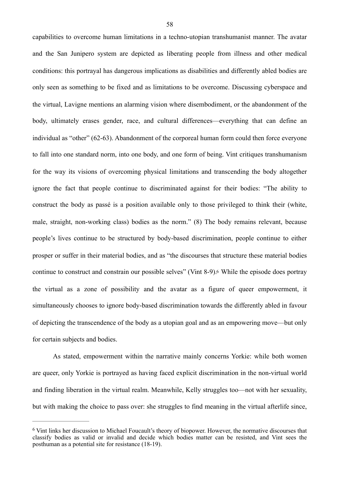capabilities to overcome human limitations in a techno-utopian transhumanist manner. The avatar and the San Junipero system are depicted as liberating people from illness and other medical conditions: this portrayal has dangerous implications as disabilities and differently abled bodies are only seen as something to be fixed and as limitations to be overcome. Discussing cyberspace and the virtual, Lavigne mentions an alarming vision where disembodiment, or the abandonment of the body, ultimately erases gender, race, and cultural differences—everything that can define an individual as "other" (62-63). Abandonment of the corporeal human form could then force everyone to fall into one standard norm, into one body, and one form of being. Vint critiques transhumanism for the way its visions of overcoming physical limitations and transcending the body altogether ignore the fact that people continue to discriminated against for their bodies: "The ability to construct the body as passé is a position available only to those privileged to think their (white, male, straight, non-working class) bodies as the norm." (8) The body remains relevant, because people's lives continue to be structured by body-based discrimination, people continue to either prosper or suffer in their material bodies, and as "the discourses that structure these material bodies continue to construct and constrain our possible selves" (Vint 8-9)[.6](#page-60-0) While the episode does portray the virtual as a zone of possibility and the avatar as a figure of queer empowerment, it simultaneously chooses to ignore body-based discrimination towards the differently abled in favour of depicting the transcendence of the body as a utopian goal and as an empowering move—but only for certain subjects and bodies.

<span id="page-60-1"></span>As stated, empowerment within the narrative mainly concerns Yorkie: while both women are queer, only Yorkie is portrayed as having faced explicit discrimination in the non-virtual world and finding liberation in the virtual realm. Meanwhile, Kelly struggles too—not with her sexuality, but with making the choice to pass over: she struggles to find meaning in the virtual afterlife since,

<span id="page-60-0"></span><sup>&</sup>lt;sup>[6](#page-60-1)</sup> Vint links her discussion to Michael Foucault's theory of biopower. However, the normative discourses that classify bodies as valid or invalid and decide which bodies matter can be resisted, and Vint sees the posthuman as a potential site for resistance (18-19).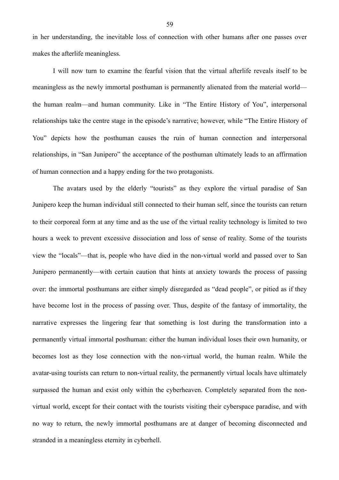in her understanding, the inevitable loss of connection with other humans after one passes over makes the afterlife meaningless.

 I will now turn to examine the fearful vision that the virtual afterlife reveals itself to be meaningless as the newly immortal posthuman is permanently alienated from the material world the human realm—and human community. Like in "The Entire History of You", interpersonal relationships take the centre stage in the episode's narrative; however, while "The Entire History of You" depicts how the posthuman causes the ruin of human connection and interpersonal relationships, in "San Junipero" the acceptance of the posthuman ultimately leads to an affirmation of human connection and a happy ending for the two protagonists.

 The avatars used by the elderly "tourists" as they explore the virtual paradise of San Junipero keep the human individual still connected to their human self, since the tourists can return to their corporeal form at any time and as the use of the virtual reality technology is limited to two hours a week to prevent excessive dissociation and loss of sense of reality. Some of the tourists view the "locals"—that is, people who have died in the non-virtual world and passed over to San Junipero permanently—with certain caution that hints at anxiety towards the process of passing over: the immortal posthumans are either simply disregarded as "dead people", or pitied as if they have become lost in the process of passing over. Thus, despite of the fantasy of immortality, the narrative expresses the lingering fear that something is lost during the transformation into a permanently virtual immortal posthuman: either the human individual loses their own humanity, or becomes lost as they lose connection with the non-virtual world, the human realm. While the avatar-using tourists can return to non-virtual reality, the permanently virtual locals have ultimately surpassed the human and exist only within the cyberheaven. Completely separated from the nonvirtual world, except for their contact with the tourists visiting their cyberspace paradise, and with no way to return, the newly immortal posthumans are at danger of becoming disconnected and stranded in a meaningless eternity in cyberhell.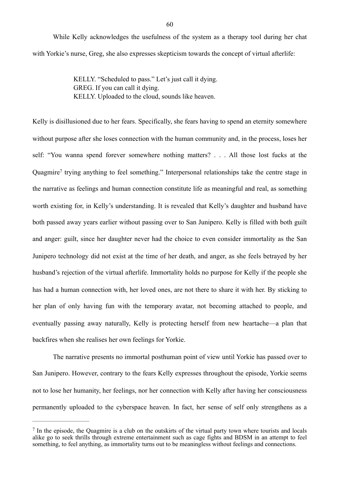While Kelly acknowledges the usefulness of the system as a therapy tool during her chat with Yorkie's nurse, Greg, she also expresses skepticism towards the concept of virtual afterlife:

> KELLY. "Scheduled to pass." Let's just call it dying. GREG. If you can call it dying. KELLY. Uploaded to the cloud, sounds like heaven.

<span id="page-62-1"></span>Kelly is disillusioned due to her fears. Specifically, she fears having to spend an eternity somewhere without purpose after she loses connection with the human community and, in the process, loses her self: "You wanna spend forever somewhere nothing matters? . . . All those lost fucks at the Quagmire<sup>7</sup>trying anything to feel something." Interpersonal relationships take the centre stage in the narrative as feelings and human connection constitute life as meaningful and real, as something worth existing for, in Kelly's understanding. It is revealed that Kelly's daughter and husband have both passed away years earlier without passing over to San Junipero. Kelly is filled with both guilt and anger: guilt, since her daughter never had the choice to even consider immortality as the San Junipero technology did not exist at the time of her death, and anger, as she feels betrayed by her husband's rejection of the virtual afterlife. Immortality holds no purpose for Kelly if the people she has had a human connection with, her loved ones, are not there to share it with her. By sticking to her plan of only having fun with the temporary avatar, not becoming attached to people, and eventually passing away naturally, Kelly is protecting herself from new heartache—a plan that backfires when she realises her own feelings for Yorkie.

 The narrative presents no immortal posthuman point of view until Yorkie has passed over to San Junipero. However, contrary to the fears Kelly expresses throughout the episode, Yorkie seems not to lose her humanity, her feelings, nor her connection with Kelly after having her consciousness permanently uploaded to the cyberspace heaven. In fact, her sense of self only strengthens as a

<span id="page-62-0"></span> $\frac{7}{1}$  $\frac{7}{1}$  $\frac{7}{1}$  In the episode, the Quagmire is a club on the outskirts of the virtual party town where tourists and locals alike go to seek thrills through extreme entertainment such as cage fights and BDSM in an attempt to feel something, to feel anything, as immortality turns out to be meaningless without feelings and connections.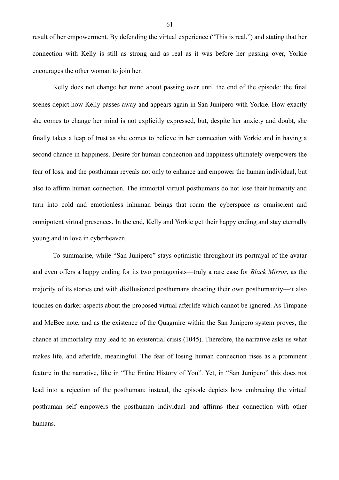result of her empowerment. By defending the virtual experience ("This is real.") and stating that her connection with Kelly is still as strong and as real as it was before her passing over, Yorkie encourages the other woman to join her.

 Kelly does not change her mind about passing over until the end of the episode: the final scenes depict how Kelly passes away and appears again in San Junipero with Yorkie. How exactly she comes to change her mind is not explicitly expressed, but, despite her anxiety and doubt, she finally takes a leap of trust as she comes to believe in her connection with Yorkie and in having a second chance in happiness. Desire for human connection and happiness ultimately overpowers the fear of loss, and the posthuman reveals not only to enhance and empower the human individual, but also to affirm human connection. The immortal virtual posthumans do not lose their humanity and turn into cold and emotionless inhuman beings that roam the cyberspace as omniscient and omnipotent virtual presences. In the end, Kelly and Yorkie get their happy ending and stay eternally young and in love in cyberheaven.

 To summarise, while "San Junipero" stays optimistic throughout its portrayal of the avatar and even offers a happy ending for its two protagonists—truly a rare case for *Black Mirror*, as the majority of its stories end with disillusioned posthumans dreading their own posthumanity—it also touches on darker aspects about the proposed virtual afterlife which cannot be ignored. As Timpane and McBee note, and as the existence of the Quagmire within the San Junipero system proves, the chance at immortality may lead to an existential crisis (1045). Therefore, the narrative asks us what makes life, and afterlife, meaningful. The fear of losing human connection rises as a prominent feature in the narrative, like in "The Entire History of You". Yet, in "San Junipero" this does not lead into a rejection of the posthuman; instead, the episode depicts how embracing the virtual posthuman self empowers the posthuman individual and affirms their connection with other humans.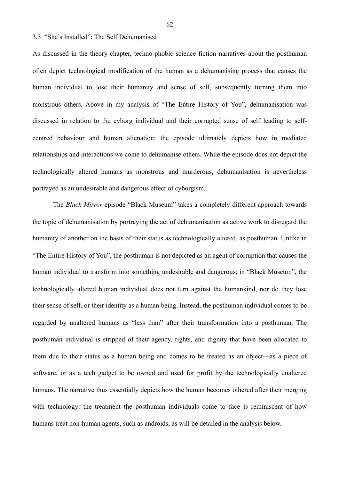## 3.3. "She's Installed": The Self Dehumanised

As discussed in the theory chapter, techno-phobic science fiction narratives about the posthuman often depict technological modification of the human as a dehumanising process that causes the human individual to lose their humanity and sense of self, subsequently turning them into monstrous others. Above in my analysis of "The Entire History of You", dehumanisation was discussed in relation to the cyborg individual and their corrupted sense of self leading to selfcentred behaviour and human alienation: the episode ultimately depicts how in mediated relationships and interactions we come to dehumanise others. While the episode does not depict the technologically altered humans as monstrous and murderous, dehumanisation is nevertheless portrayed as an undesirable and dangerous effect of cyborgism.

 The *Black Mirror* episode "Black Museum" takes a completely different approach towards the topic of dehumanisation by portraying the act of dehumanisation as active work to disregard the humanity of another on the basis of their status as technologically altered, as posthuman. Unlike in "The Entire History of You", the posthuman is not depicted as an agent of corruption that causes the human individual to transform into something undesirable and dangerous; in "Black Museum", the technologically altered human individual does not turn against the humankind, nor do they lose their sense of self, or their identity as a human being. Instead, the posthuman individual comes to be regarded by unaltered humans as "less than" after their transformation into a posthuman. The posthuman individual is stripped of their agency, rights, and dignity that have been allocated to them due to their status as a human being and comes to be treated as an object—as a piece of software, or as a tech gadget to be owned and used for profit by the technologically unaltered humans. The narrative thus essentially depicts how the human becomes othered after their merging with technology: the treatment the posthuman individuals come to face is reminiscent of how humans treat non-human agents, such as androids, as will be detailed in the analysis below.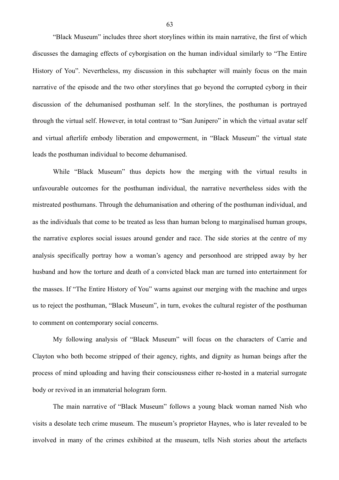"Black Museum" includes three short storylines within its main narrative, the first of which discusses the damaging effects of cyborgisation on the human individual similarly to "The Entire History of You". Nevertheless, my discussion in this subchapter will mainly focus on the main narrative of the episode and the two other storylines that go beyond the corrupted cyborg in their discussion of the dehumanised posthuman self. In the storylines, the posthuman is portrayed through the virtual self. However, in total contrast to "San Junipero" in which the virtual avatar self and virtual afterlife embody liberation and empowerment, in "Black Museum" the virtual state leads the posthuman individual to become dehumanised.

 While "Black Museum" thus depicts how the merging with the virtual results in unfavourable outcomes for the posthuman individual, the narrative nevertheless sides with the mistreated posthumans. Through the dehumanisation and othering of the posthuman individual, and as the individuals that come to be treated as less than human belong to marginalised human groups, the narrative explores social issues around gender and race. The side stories at the centre of my analysis specifically portray how a woman's agency and personhood are stripped away by her husband and how the torture and death of a convicted black man are turned into entertainment for the masses. If "The Entire History of You" warns against our merging with the machine and urges us to reject the posthuman, "Black Museum", in turn, evokes the cultural register of the posthuman to comment on contemporary social concerns.

 My following analysis of "Black Museum" will focus on the characters of Carrie and Clayton who both become stripped of their agency, rights, and dignity as human beings after the process of mind uploading and having their consciousness either re-hosted in a material surrogate body or revived in an immaterial hologram form.

The main narrative of "Black Museum" follows a young black woman named Nish who visits a desolate tech crime museum. The museum's proprietor Haynes, who is later revealed to be involved in many of the crimes exhibited at the museum, tells Nish stories about the artefacts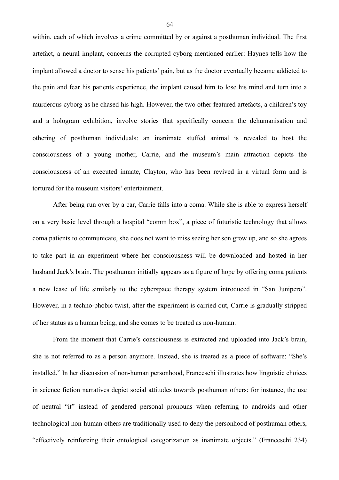within, each of which involves a crime committed by or against a posthuman individual. The first artefact, a neural implant, concerns the corrupted cyborg mentioned earlier: Haynes tells how the implant allowed a doctor to sense his patients' pain, but as the doctor eventually became addicted to the pain and fear his patients experience, the implant caused him to lose his mind and turn into a murderous cyborg as he chased his high. However, the two other featured artefacts, a children's toy and a hologram exhibition, involve stories that specifically concern the dehumanisation and othering of posthuman individuals: an inanimate stuffed animal is revealed to host the consciousness of a young mother, Carrie, and the museum's main attraction depicts the consciousness of an executed inmate, Clayton, who has been revived in a virtual form and is tortured for the museum visitors' entertainment.

 After being run over by a car, Carrie falls into a coma. While she is able to express herself on a very basic level through a hospital "comm box", a piece of futuristic technology that allows coma patients to communicate, she does not want to miss seeing her son grow up, and so she agrees to take part in an experiment where her consciousness will be downloaded and hosted in her husband Jack's brain. The posthuman initially appears as a figure of hope by offering coma patients a new lease of life similarly to the cyberspace therapy system introduced in "San Junipero". However, in a techno-phobic twist, after the experiment is carried out, Carrie is gradually stripped of her status as a human being, and she comes to be treated as non-human.

 From the moment that Carrie's consciousness is extracted and uploaded into Jack's brain, she is not referred to as a person anymore. Instead, she is treated as a piece of software: "She's installed." In her discussion of non-human personhood, Franceschi illustrates how linguistic choices in science fiction narratives depict social attitudes towards posthuman others: for instance, the use of neutral "it" instead of gendered personal pronouns when referring to androids and other technological non-human others are traditionally used to deny the personhood of posthuman others, "effectively reinforcing their ontological categorization as inanimate objects." (Franceschi 234)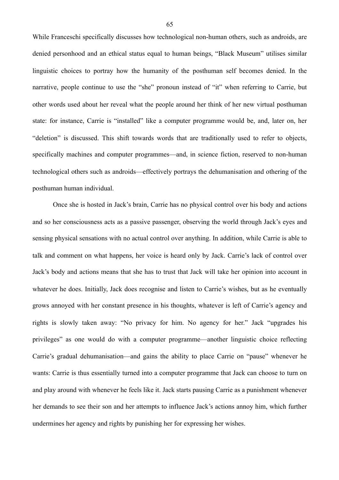While Franceschi specifically discusses how technological non-human others, such as androids, are denied personhood and an ethical status equal to human beings, "Black Museum" utilises similar linguistic choices to portray how the humanity of the posthuman self becomes denied. In the narrative, people continue to use the "she" pronoun instead of "it" when referring to Carrie, but other words used about her reveal what the people around her think of her new virtual posthuman state: for instance, Carrie is "installed" like a computer programme would be, and, later on, her "deletion" is discussed. This shift towards words that are traditionally used to refer to objects, specifically machines and computer programmes—and, in science fiction, reserved to non-human technological others such as androids—effectively portrays the dehumanisation and othering of the posthuman human individual.

Once she is hosted in Jack's brain, Carrie has no physical control over his body and actions and so her consciousness acts as a passive passenger, observing the world through Jack's eyes and sensing physical sensations with no actual control over anything. In addition, while Carrie is able to talk and comment on what happens, her voice is heard only by Jack. Carrie's lack of control over Jack's body and actions means that she has to trust that Jack will take her opinion into account in whatever he does. Initially, Jack does recognise and listen to Carrie's wishes, but as he eventually grows annoyed with her constant presence in his thoughts, whatever is left of Carrie's agency and rights is slowly taken away: "No privacy for him. No agency for her." Jack "upgrades his privileges" as one would do with a computer programme—another linguistic choice reflecting Carrie's gradual dehumanisation—and gains the ability to place Carrie on "pause" whenever he wants: Carrie is thus essentially turned into a computer programme that Jack can choose to turn on and play around with whenever he feels like it. Jack starts pausing Carrie as a punishment whenever her demands to see their son and her attempts to influence Jack's actions annoy him, which further undermines her agency and rights by punishing her for expressing her wishes.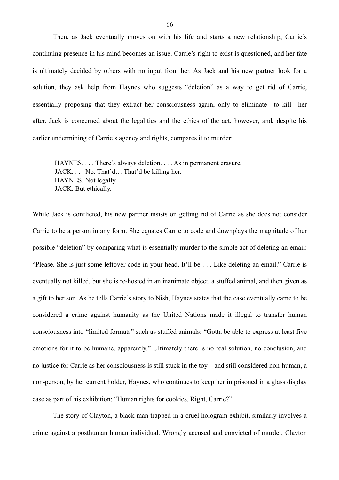Then, as Jack eventually moves on with his life and starts a new relationship, Carrie's continuing presence in his mind becomes an issue. Carrie's right to exist is questioned, and her fate is ultimately decided by others with no input from her. As Jack and his new partner look for a solution, they ask help from Haynes who suggests "deletion" as a way to get rid of Carrie, essentially proposing that they extract her consciousness again, only to eliminate—to kill—her after. Jack is concerned about the legalities and the ethics of the act, however, and, despite his earlier undermining of Carrie's agency and rights, compares it to murder:

HAYNES. . . . There's always deletion. . . . As in permanent erasure. JACK. . . . No. That'd… That'd be killing her. HAYNES. Not legally. JACK. But ethically.

While Jack is conflicted, his new partner insists on getting rid of Carrie as she does not consider Carrie to be a person in any form. She equates Carrie to code and downplays the magnitude of her possible "deletion" by comparing what is essentially murder to the simple act of deleting an email: "Please. She is just some leftover code in your head. It'll be . . . Like deleting an email." Carrie is eventually not killed, but she is re-hosted in an inanimate object, a stuffed animal, and then given as a gift to her son. As he tells Carrie's story to Nish, Haynes states that the case eventually came to be considered a crime against humanity as the United Nations made it illegal to transfer human consciousness into "limited formats" such as stuffed animals: "Gotta be able to express at least five emotions for it to be humane, apparently." Ultimately there is no real solution, no conclusion, and no justice for Carrie as her consciousness is still stuck in the toy—and still considered non-human, a non-person, by her current holder, Haynes, who continues to keep her imprisoned in a glass display case as part of his exhibition: "Human rights for cookies. Right, Carrie?"

 The story of Clayton, a black man trapped in a cruel hologram exhibit, similarly involves a crime against a posthuman human individual. Wrongly accused and convicted of murder, Clayton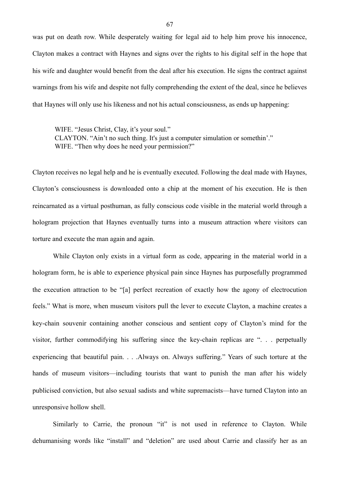was put on death row. While desperately waiting for legal aid to help him prove his innocence, Clayton makes a contract with Haynes and signs over the rights to his digital self in the hope that his wife and daughter would benefit from the deal after his execution. He signs the contract against warnings from his wife and despite not fully comprehending the extent of the deal, since he believes that Haynes will only use his likeness and not his actual consciousness, as ends up happening:

WIFE. "Jesus Christ, Clay, it's your soul." CLAYTON. "Ain't no such thing. It's just a computer simulation or somethin'." WIFE. "Then why does he need your permission?"

Clayton receives no legal help and he is eventually executed. Following the deal made with Haynes, Clayton's consciousness is downloaded onto a chip at the moment of his execution. He is then reincarnated as a virtual posthuman, as fully conscious code visible in the material world through a hologram projection that Haynes eventually turns into a museum attraction where visitors can torture and execute the man again and again.

 While Clayton only exists in a virtual form as code, appearing in the material world in a hologram form, he is able to experience physical pain since Haynes has purposefully programmed the execution attraction to be "[a] perfect recreation of exactly how the agony of electrocution feels." What is more, when museum visitors pull the lever to execute Clayton, a machine creates a key-chain souvenir containing another conscious and sentient copy of Clayton's mind for the visitor, further commodifying his suffering since the key-chain replicas are ". . . perpetually experiencing that beautiful pain. . . .Always on. Always suffering." Years of such torture at the hands of museum visitors—including tourists that want to punish the man after his widely publicised conviction, but also sexual sadists and white supremacists—have turned Clayton into an unresponsive hollow shell.

Similarly to Carrie, the pronoun "it" is not used in reference to Clayton. While dehumanising words like "install" and "deletion" are used about Carrie and classify her as an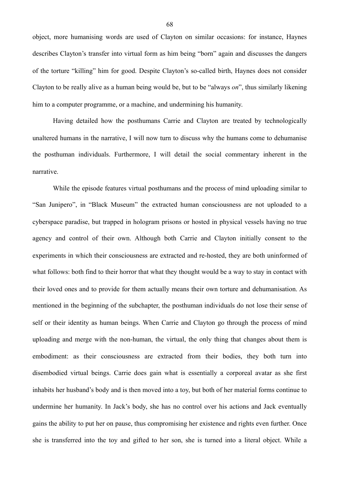object, more humanising words are used of Clayton on similar occasions: for instance, Haynes describes Clayton's transfer into virtual form as him being "born" again and discusses the dangers of the torture "killing" him for good. Despite Clayton's so-called birth, Haynes does not consider Clayton to be really alive as a human being would be, but to be "always *on*", thus similarly likening him to a computer programme, or a machine, and undermining his humanity.

 Having detailed how the posthumans Carrie and Clayton are treated by technologically unaltered humans in the narrative, I will now turn to discuss why the humans come to dehumanise the posthuman individuals. Furthermore, I will detail the social commentary inherent in the narrative.

 While the episode features virtual posthumans and the process of mind uploading similar to "San Junipero", in "Black Museum" the extracted human consciousness are not uploaded to a cyberspace paradise, but trapped in hologram prisons or hosted in physical vessels having no true agency and control of their own. Although both Carrie and Clayton initially consent to the experiments in which their consciousness are extracted and re-hosted, they are both uninformed of what follows: both find to their horror that what they thought would be a way to stay in contact with their loved ones and to provide for them actually means their own torture and dehumanisation. As mentioned in the beginning of the subchapter, the posthuman individuals do not lose their sense of self or their identity as human beings. When Carrie and Clayton go through the process of mind uploading and merge with the non-human, the virtual, the only thing that changes about them is embodiment: as their consciousness are extracted from their bodies, they both turn into disembodied virtual beings. Carrie does gain what is essentially a corporeal avatar as she first inhabits her husband's body and is then moved into a toy, but both of her material forms continue to undermine her humanity. In Jack's body, she has no control over his actions and Jack eventually gains the ability to put her on pause, thus compromising her existence and rights even further. Once she is transferred into the toy and gifted to her son, she is turned into a literal object. While a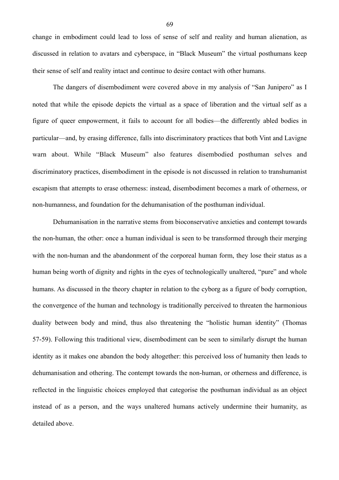change in embodiment could lead to loss of sense of self and reality and human alienation, as discussed in relation to avatars and cyberspace, in "Black Museum" the virtual posthumans keep their sense of self and reality intact and continue to desire contact with other humans.

 The dangers of disembodiment were covered above in my analysis of "San Junipero" as I noted that while the episode depicts the virtual as a space of liberation and the virtual self as a figure of queer empowerment, it fails to account for all bodies—the differently abled bodies in particular—and, by erasing difference, falls into discriminatory practices that both Vint and Lavigne warn about. While "Black Museum" also features disembodied posthuman selves and discriminatory practices, disembodiment in the episode is not discussed in relation to transhumanist escapism that attempts to erase otherness: instead, disembodiment becomes a mark of otherness, or non-humanness, and foundation for the dehumanisation of the posthuman individual.

 Dehumanisation in the narrative stems from bioconservative anxieties and contempt towards the non-human, the other: once a human individual is seen to be transformed through their merging with the non-human and the abandonment of the corporeal human form, they lose their status as a human being worth of dignity and rights in the eyes of technologically unaltered, "pure" and whole humans. As discussed in the theory chapter in relation to the cyborg as a figure of body corruption, the convergence of the human and technology is traditionally perceived to threaten the harmonious duality between body and mind, thus also threatening the "holistic human identity" (Thomas 57-59). Following this traditional view, disembodiment can be seen to similarly disrupt the human identity as it makes one abandon the body altogether: this perceived loss of humanity then leads to dehumanisation and othering. The contempt towards the non-human, or otherness and difference, is reflected in the linguistic choices employed that categorise the posthuman individual as an object instead of as a person, and the ways unaltered humans actively undermine their humanity, as detailed above.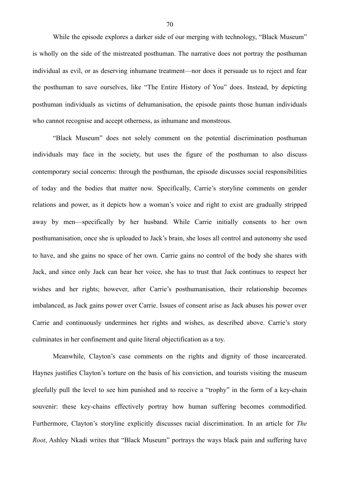While the episode explores a darker side of our merging with technology, "Black Museum" is wholly on the side of the mistreated posthuman. The narrative does not portray the posthuman individual as evil, or as deserving inhumane treatment—nor does it persuade us to reject and fear the posthuman to save ourselves, like "The Entire History of You" does. Instead, by depicting posthuman individuals as victims of dehumanisation, the episode paints those human individuals who cannot recognise and accept otherness, as inhumane and monstrous.

 "Black Museum" does not solely comment on the potential discrimination posthuman individuals may face in the society, but uses the figure of the posthuman to also discuss contemporary social concerns: through the posthuman, the episode discusses social responsibilities of today and the bodies that matter now. Specifically, Carrie's storyline comments on gender relations and power, as it depicts how a woman's voice and right to exist are gradually stripped away by men—specifically by her husband. While Carrie initially consents to her own posthumanisation, once she is uploaded to Jack's brain, she loses all control and autonomy she used to have, and she gains no space of her own. Carrie gains no control of the body she shares with Jack, and since only Jack can hear her voice, she has to trust that Jack continues to respect her wishes and her rights; however, after Carrie's posthumanisation, their relationship becomes imbalanced, as Jack gains power over Carrie. Issues of consent arise as Jack abuses his power over Carrie and continuously undermines her rights and wishes, as described above. Carrie's story culminates in her confinement and quite literal objectification as a toy.

 Meanwhile, Clayton's case comments on the rights and dignity of those incarcerated. Haynes justifies Clayton's torture on the basis of his conviction, and tourists visiting the museum gleefully pull the level to see him punished and to receive a "trophy" in the form of a key-chain souvenir: these key-chains effectively portray how human suffering becomes commodified. Furthermore, Clayton's storyline explicitly discusses racial discrimination. In an article for *The Root*, Ashley Nkadi writes that "Black Museum" portrays the ways black pain and suffering have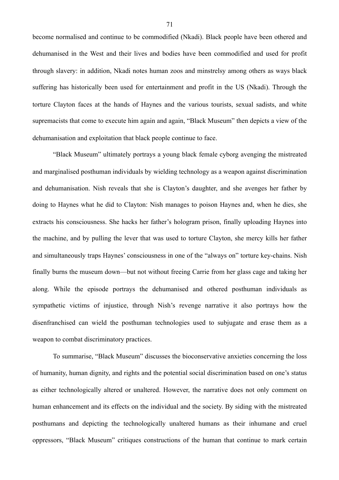become normalised and continue to be commodified (Nkadi). Black people have been othered and dehumanised in the West and their lives and bodies have been commodified and used for profit through slavery: in addition, Nkadi notes human zoos and minstrelsy among others as ways black suffering has historically been used for entertainment and profit in the US (Nkadi). Through the torture Clayton faces at the hands of Haynes and the various tourists, sexual sadists, and white supremacists that come to execute him again and again, "Black Museum" then depicts a view of the dehumanisation and exploitation that black people continue to face.

 "Black Museum" ultimately portrays a young black female cyborg avenging the mistreated and marginalised posthuman individuals by wielding technology as a weapon against discrimination and dehumanisation. Nish reveals that she is Clayton's daughter, and she avenges her father by doing to Haynes what he did to Clayton: Nish manages to poison Haynes and, when he dies, she extracts his consciousness. She hacks her father's hologram prison, finally uploading Haynes into the machine, and by pulling the lever that was used to torture Clayton, she mercy kills her father and simultaneously traps Haynes' consciousness in one of the "always on" torture key-chains. Nish finally burns the museum down—but not without freeing Carrie from her glass cage and taking her along. While the episode portrays the dehumanised and othered posthuman individuals as sympathetic victims of injustice, through Nish's revenge narrative it also portrays how the disenfranchised can wield the posthuman technologies used to subjugate and erase them as a weapon to combat discriminatory practices.

 To summarise, "Black Museum" discusses the bioconservative anxieties concerning the loss of humanity, human dignity, and rights and the potential social discrimination based on one's status as either technologically altered or unaltered. However, the narrative does not only comment on human enhancement and its effects on the individual and the society. By siding with the mistreated posthumans and depicting the technologically unaltered humans as their inhumane and cruel oppressors, "Black Museum" critiques constructions of the human that continue to mark certain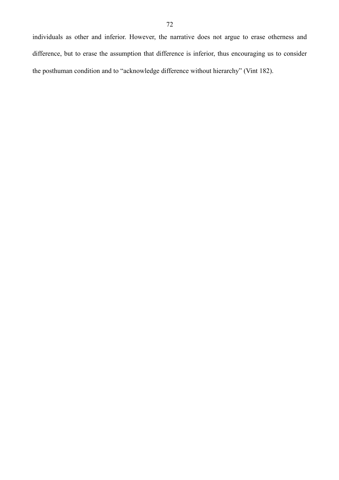individuals as other and inferior. However, the narrative does not argue to erase otherness and difference, but to erase the assumption that difference is inferior, thus encouraging us to consider the posthuman condition and to "acknowledge difference without hierarchy" (Vint 182).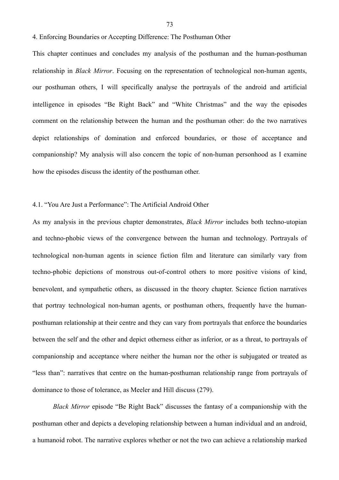4. Enforcing Boundaries or Accepting Difference: The Posthuman Other

This chapter continues and concludes my analysis of the posthuman and the human-posthuman relationship in *Black Mirror*. Focusing on the representation of technological non-human agents, our posthuman others, I will specifically analyse the portrayals of the android and artificial intelligence in episodes "Be Right Back" and "White Christmas" and the way the episodes comment on the relationship between the human and the posthuman other: do the two narratives depict relationships of domination and enforced boundaries, or those of acceptance and companionship? My analysis will also concern the topic of non-human personhood as I examine how the episodes discuss the identity of the posthuman other.

## 4.1. "You Are Just a Performance": The Artificial Android Other

As my analysis in the previous chapter demonstrates, *Black Mirror* includes both techno-utopian and techno-phobic views of the convergence between the human and technology. Portrayals of technological non-human agents in science fiction film and literature can similarly vary from techno-phobic depictions of monstrous out-of-control others to more positive visions of kind, benevolent, and sympathetic others, as discussed in the theory chapter. Science fiction narratives that portray technological non-human agents, or posthuman others, frequently have the humanposthuman relationship at their centre and they can vary from portrayals that enforce the boundaries between the self and the other and depict otherness either as inferior, or as a threat, to portrayals of companionship and acceptance where neither the human nor the other is subjugated or treated as "less than": narratives that centre on the human-posthuman relationship range from portrayals of dominance to those of tolerance, as Meeler and Hill discuss (279).

*Black Mirror* episode "Be Right Back" discusses the fantasy of a companionship with the posthuman other and depicts a developing relationship between a human individual and an android, a humanoid robot. The narrative explores whether or not the two can achieve a relationship marked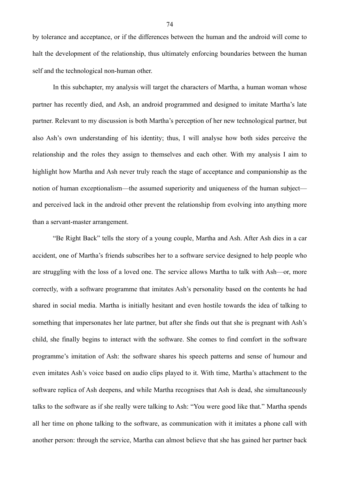by tolerance and acceptance, or if the differences between the human and the android will come to halt the development of the relationship, thus ultimately enforcing boundaries between the human self and the technological non-human other.

 In this subchapter, my analysis will target the characters of Martha, a human woman whose partner has recently died, and Ash, an android programmed and designed to imitate Martha's late partner. Relevant to my discussion is both Martha's perception of her new technological partner, but also Ash's own understanding of his identity; thus, I will analyse how both sides perceive the relationship and the roles they assign to themselves and each other. With my analysis I aim to highlight how Martha and Ash never truly reach the stage of acceptance and companionship as the notion of human exceptionalism—the assumed superiority and uniqueness of the human subject and perceived lack in the android other prevent the relationship from evolving into anything more than a servant-master arrangement.

 "Be Right Back" tells the story of a young couple, Martha and Ash. After Ash dies in a car accident, one of Martha's friends subscribes her to a software service designed to help people who are struggling with the loss of a loved one. The service allows Martha to talk with Ash—or, more correctly, with a software programme that imitates Ash's personality based on the contents he had shared in social media. Martha is initially hesitant and even hostile towards the idea of talking to something that impersonates her late partner, but after she finds out that she is pregnant with Ash's child, she finally begins to interact with the software. She comes to find comfort in the software programme's imitation of Ash: the software shares his speech patterns and sense of humour and even imitates Ash's voice based on audio clips played to it. With time, Martha's attachment to the software replica of Ash deepens, and while Martha recognises that Ash is dead, she simultaneously talks to the software as if she really were talking to Ash: "You were good like that." Martha spends all her time on phone talking to the software, as communication with it imitates a phone call with another person: through the service, Martha can almost believe that she has gained her partner back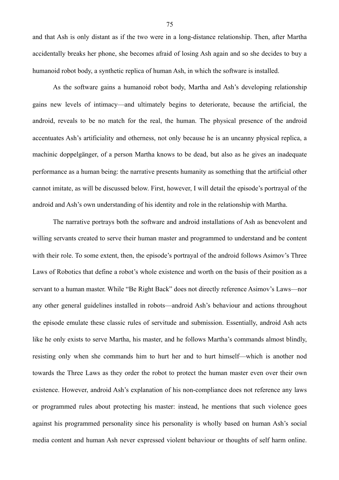and that Ash is only distant as if the two were in a long-distance relationship. Then, after Martha accidentally breaks her phone, she becomes afraid of losing Ash again and so she decides to buy a humanoid robot body, a synthetic replica of human Ash, in which the software is installed.

 As the software gains a humanoid robot body, Martha and Ash's developing relationship gains new levels of intimacy—and ultimately begins to deteriorate, because the artificial, the android, reveals to be no match for the real, the human. The physical presence of the android accentuates Ash's artificiality and otherness, not only because he is an uncanny physical replica, a machinic doppelgänger, of a person Martha knows to be dead, but also as he gives an inadequate performance as a human being: the narrative presents humanity as something that the artificial other cannot imitate, as will be discussed below. First, however, I will detail the episode's portrayal of the android and Ash's own understanding of his identity and role in the relationship with Martha.

 The narrative portrays both the software and android installations of Ash as benevolent and willing servants created to serve their human master and programmed to understand and be content with their role. To some extent, then, the episode's portraval of the android follows Asimov's Three Laws of Robotics that define a robot's whole existence and worth on the basis of their position as a servant to a human master. While "Be Right Back" does not directly reference Asimov's Laws—nor any other general guidelines installed in robots—android Ash's behaviour and actions throughout the episode emulate these classic rules of servitude and submission. Essentially, android Ash acts like he only exists to serve Martha, his master, and he follows Martha's commands almost blindly, resisting only when she commands him to hurt her and to hurt himself—which is another nod towards the Three Laws as they order the robot to protect the human master even over their own existence. However, android Ash's explanation of his non-compliance does not reference any laws or programmed rules about protecting his master: instead, he mentions that such violence goes against his programmed personality since his personality is wholly based on human Ash's social media content and human Ash never expressed violent behaviour or thoughts of self harm online.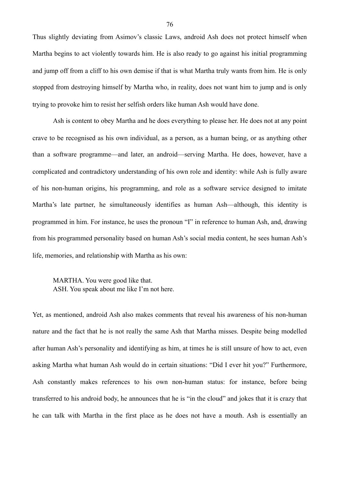Thus slightly deviating from Asimov's classic Laws, android Ash does not protect himself when Martha begins to act violently towards him. He is also ready to go against his initial programming and jump off from a cliff to his own demise if that is what Martha truly wants from him. He is only stopped from destroying himself by Martha who, in reality, does not want him to jump and is only trying to provoke him to resist her selfish orders like human Ash would have done.

 Ash is content to obey Martha and he does everything to please her. He does not at any point crave to be recognised as his own individual, as a person, as a human being, or as anything other than a software programme—and later, an android—serving Martha. He does, however, have a complicated and contradictory understanding of his own role and identity: while Ash is fully aware of his non-human origins, his programming, and role as a software service designed to imitate Martha's late partner, he simultaneously identifies as human Ash—although, this identity is programmed in him. For instance, he uses the pronoun "I" in reference to human Ash, and, drawing from his programmed personality based on human Ash's social media content, he sees human Ash's life, memories, and relationship with Martha as his own:

MARTHA. You were good like that. ASH. You speak about me like I'm not here.

Yet, as mentioned, android Ash also makes comments that reveal his awareness of his non-human nature and the fact that he is not really the same Ash that Martha misses. Despite being modelled after human Ash's personality and identifying as him, at times he is still unsure of how to act, even asking Martha what human Ash would do in certain situations: "Did I ever hit you?" Furthermore, Ash constantly makes references to his own non-human status: for instance, before being transferred to his android body, he announces that he is "in the cloud" and jokes that it is crazy that he can talk with Martha in the first place as he does not have a mouth. Ash is essentially an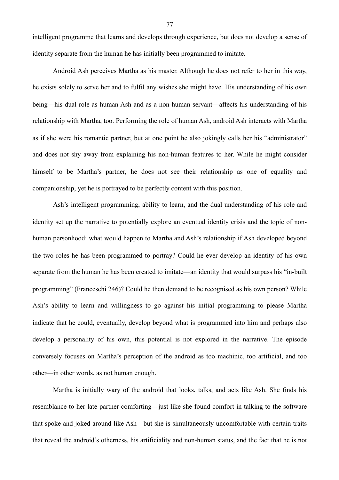intelligent programme that learns and develops through experience, but does not develop a sense of identity separate from the human he has initially been programmed to imitate.

Android Ash perceives Martha as his master. Although he does not refer to her in this way, he exists solely to serve her and to fulfil any wishes she might have. His understanding of his own being—his dual role as human Ash and as a non-human servant—affects his understanding of his relationship with Martha, too. Performing the role of human Ash, android Ash interacts with Martha as if she were his romantic partner, but at one point he also jokingly calls her his "administrator" and does not shy away from explaining his non-human features to her. While he might consider himself to be Martha's partner, he does not see their relationship as one of equality and companionship, yet he is portrayed to be perfectly content with this position.

 Ash's intelligent programming, ability to learn, and the dual understanding of his role and identity set up the narrative to potentially explore an eventual identity crisis and the topic of nonhuman personhood: what would happen to Martha and Ash's relationship if Ash developed beyond the two roles he has been programmed to portray? Could he ever develop an identity of his own separate from the human he has been created to imitate—an identity that would surpass his "in-built programming" (Franceschi 246)? Could he then demand to be recognised as his own person? While Ash's ability to learn and willingness to go against his initial programming to please Martha indicate that he could, eventually, develop beyond what is programmed into him and perhaps also develop a personality of his own, this potential is not explored in the narrative. The episode conversely focuses on Martha's perception of the android as too machinic, too artificial, and too other—in other words, as not human enough.

 Martha is initially wary of the android that looks, talks, and acts like Ash. She finds his resemblance to her late partner comforting—just like she found comfort in talking to the software that spoke and joked around like Ash—but she is simultaneously uncomfortable with certain traits that reveal the android's otherness, his artificiality and non-human status, and the fact that he is not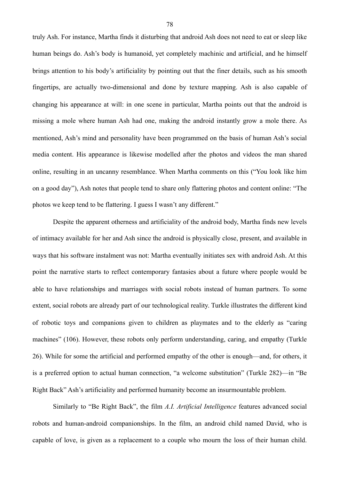truly Ash. For instance, Martha finds it disturbing that android Ash does not need to eat or sleep like human beings do. Ash's body is humanoid, yet completely machinic and artificial, and he himself brings attention to his body's artificiality by pointing out that the finer details, such as his smooth fingertips, are actually two-dimensional and done by texture mapping. Ash is also capable of changing his appearance at will: in one scene in particular, Martha points out that the android is missing a mole where human Ash had one, making the android instantly grow a mole there. As mentioned, Ash's mind and personality have been programmed on the basis of human Ash's social media content. His appearance is likewise modelled after the photos and videos the man shared online, resulting in an uncanny resemblance. When Martha comments on this ("You look like him on a good day"), Ash notes that people tend to share only flattering photos and content online: "The photos we keep tend to be flattering. I guess I wasn't any different."

 Despite the apparent otherness and artificiality of the android body, Martha finds new levels of intimacy available for her and Ash since the android is physically close, present, and available in ways that his software instalment was not: Martha eventually initiates sex with android Ash. At this point the narrative starts to reflect contemporary fantasies about a future where people would be able to have relationships and marriages with social robots instead of human partners. To some extent, social robots are already part of our technological reality. Turkle illustrates the different kind of robotic toys and companions given to children as playmates and to the elderly as "caring machines" (106). However, these robots only perform understanding, caring, and empathy (Turkle 26). While for some the artificial and performed empathy of the other is enough—and, for others, it is a preferred option to actual human connection, "a welcome substitution" (Turkle 282)—in "Be Right Back" Ash's artificiality and performed humanity become an insurmountable problem.

 Similarly to "Be Right Back", the film *A.I. Artificial Intelligence* features advanced social robots and human-android companionships. In the film, an android child named David, who is capable of love, is given as a replacement to a couple who mourn the loss of their human child.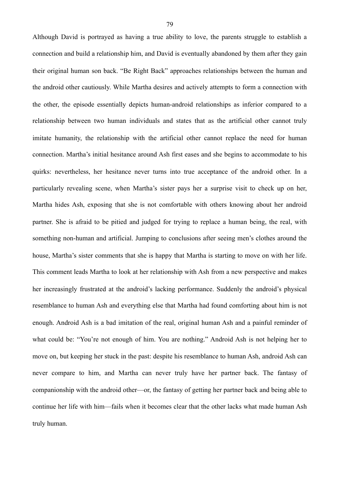Although David is portrayed as having a true ability to love, the parents struggle to establish a connection and build a relationship him, and David is eventually abandoned by them after they gain their original human son back. "Be Right Back" approaches relationships between the human and the android other cautiously. While Martha desires and actively attempts to form a connection with the other, the episode essentially depicts human-android relationships as inferior compared to a relationship between two human individuals and states that as the artificial other cannot truly imitate humanity, the relationship with the artificial other cannot replace the need for human connection. Martha's initial hesitance around Ash first eases and she begins to accommodate to his quirks: nevertheless, her hesitance never turns into true acceptance of the android other. In a particularly revealing scene, when Martha's sister pays her a surprise visit to check up on her, Martha hides Ash, exposing that she is not comfortable with others knowing about her android partner. She is afraid to be pitied and judged for trying to replace a human being, the real, with something non-human and artificial. Jumping to conclusions after seeing men's clothes around the house, Martha's sister comments that she is happy that Martha is starting to move on with her life. This comment leads Martha to look at her relationship with Ash from a new perspective and makes her increasingly frustrated at the android's lacking performance. Suddenly the android's physical resemblance to human Ash and everything else that Martha had found comforting about him is not enough. Android Ash is a bad imitation of the real, original human Ash and a painful reminder of what could be: "You're not enough of him. You are nothing." Android Ash is not helping her to move on, but keeping her stuck in the past: despite his resemblance to human Ash, android Ash can never compare to him, and Martha can never truly have her partner back. The fantasy of companionship with the android other—or, the fantasy of getting her partner back and being able to continue her life with him—fails when it becomes clear that the other lacks what made human Ash truly human.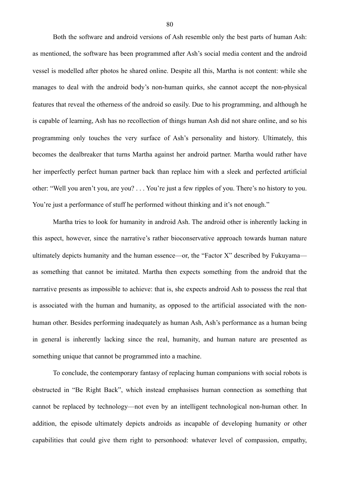Both the software and android versions of Ash resemble only the best parts of human Ash: as mentioned, the software has been programmed after Ash's social media content and the android vessel is modelled after photos he shared online. Despite all this, Martha is not content: while she manages to deal with the android body's non-human quirks, she cannot accept the non-physical features that reveal the otherness of the android so easily. Due to his programming, and although he is capable of learning, Ash has no recollection of things human Ash did not share online, and so his programming only touches the very surface of Ash's personality and history. Ultimately, this becomes the dealbreaker that turns Martha against her android partner. Martha would rather have her imperfectly perfect human partner back than replace him with a sleek and perfected artificial other: "Well you aren't you, are you? . . . You're just a few ripples of you. There's no history to you. You're just a performance of stuff he performed without thinking and it's not enough."

Martha tries to look for humanity in android Ash. The android other is inherently lacking in this aspect, however, since the narrative's rather bioconservative approach towards human nature ultimately depicts humanity and the human essence—or, the "Factor X" described by Fukuyama as something that cannot be imitated. Martha then expects something from the android that the narrative presents as impossible to achieve: that is, she expects android Ash to possess the real that is associated with the human and humanity, as opposed to the artificial associated with the nonhuman other. Besides performing inadequately as human Ash, Ash's performance as a human being in general is inherently lacking since the real, humanity, and human nature are presented as something unique that cannot be programmed into a machine.

 To conclude, the contemporary fantasy of replacing human companions with social robots is obstructed in "Be Right Back", which instead emphasises human connection as something that cannot be replaced by technology—not even by an intelligent technological non-human other. In addition, the episode ultimately depicts androids as incapable of developing humanity or other capabilities that could give them right to personhood: whatever level of compassion, empathy,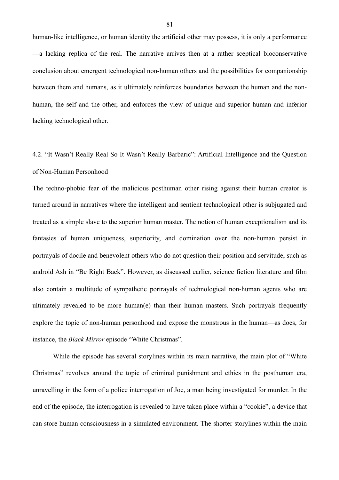human-like intelligence, or human identity the artificial other may possess, it is only a performance —a lacking replica of the real. The narrative arrives then at a rather sceptical bioconservative conclusion about emergent technological non-human others and the possibilities for companionship between them and humans, as it ultimately reinforces boundaries between the human and the nonhuman, the self and the other, and enforces the view of unique and superior human and inferior lacking technological other.

## 4.2. "It Wasn't Really Real So It Wasn't Really Barbaric": Artificial Intelligence and the Question of Non-Human Personhood

The techno-phobic fear of the malicious posthuman other rising against their human creator is turned around in narratives where the intelligent and sentient technological other is subjugated and treated as a simple slave to the superior human master. The notion of human exceptionalism and its fantasies of human uniqueness, superiority, and domination over the non-human persist in portrayals of docile and benevolent others who do not question their position and servitude, such as android Ash in "Be Right Back". However, as discussed earlier, science fiction literature and film also contain a multitude of sympathetic portrayals of technological non-human agents who are ultimately revealed to be more human(e) than their human masters. Such portrayals frequently explore the topic of non-human personhood and expose the monstrous in the human—as does, for instance, the *Black Mirror* episode "White Christmas".

 While the episode has several storylines within its main narrative, the main plot of "White Christmas" revolves around the topic of criminal punishment and ethics in the posthuman era, unravelling in the form of a police interrogation of Joe, a man being investigated for murder. In the end of the episode, the interrogation is revealed to have taken place within a "cookie", a device that can store human consciousness in a simulated environment. The shorter storylines within the main

81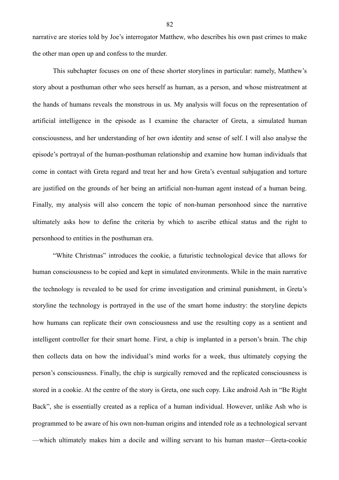narrative are stories told by Joe's interrogator Matthew, who describes his own past crimes to make the other man open up and confess to the murder.

 This subchapter focuses on one of these shorter storylines in particular: namely, Matthew's story about a posthuman other who sees herself as human, as a person, and whose mistreatment at the hands of humans reveals the monstrous in us. My analysis will focus on the representation of artificial intelligence in the episode as I examine the character of Greta, a simulated human consciousness, and her understanding of her own identity and sense of self. I will also analyse the episode's portrayal of the human-posthuman relationship and examine how human individuals that come in contact with Greta regard and treat her and how Greta's eventual subjugation and torture are justified on the grounds of her being an artificial non-human agent instead of a human being. Finally, my analysis will also concern the topic of non-human personhood since the narrative ultimately asks how to define the criteria by which to ascribe ethical status and the right to personhood to entities in the posthuman era.

 "White Christmas" introduces the cookie, a futuristic technological device that allows for human consciousness to be copied and kept in simulated environments. While in the main narrative the technology is revealed to be used for crime investigation and criminal punishment, in Greta's storyline the technology is portrayed in the use of the smart home industry: the storyline depicts how humans can replicate their own consciousness and use the resulting copy as a sentient and intelligent controller for their smart home. First, a chip is implanted in a person's brain. The chip then collects data on how the individual's mind works for a week, thus ultimately copying the person's consciousness. Finally, the chip is surgically removed and the replicated consciousness is stored in a cookie. At the centre of the story is Greta, one such copy. Like android Ash in "Be Right Back", she is essentially created as a replica of a human individual. However, unlike Ash who is programmed to be aware of his own non-human origins and intended role as a technological servant —which ultimately makes him a docile and willing servant to his human master—Greta-cookie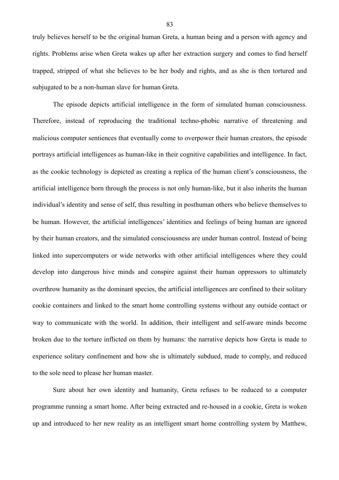truly believes herself to be the original human Greta, a human being and a person with agency and rights. Problems arise when Greta wakes up after her extraction surgery and comes to find herself trapped, stripped of what she believes to be her body and rights, and as she is then tortured and subjugated to be a non-human slave for human Greta.

 The episode depicts artificial intelligence in the form of simulated human consciousness. Therefore, instead of reproducing the traditional techno-phobic narrative of threatening and malicious computer sentiences that eventually come to overpower their human creators, the episode portrays artificial intelligences as human-like in their cognitive capabilities and intelligence. In fact, as the cookie technology is depicted as creating a replica of the human client's consciousness, the artificial intelligence born through the process is not only human-like, but it also inherits the human individual's identity and sense of self, thus resulting in posthuman others who believe themselves to be human. However, the artificial intelligences' identities and feelings of being human are ignored by their human creators, and the simulated consciousness are under human control. Instead of being linked into supercomputers or wide networks with other artificial intelligences where they could develop into dangerous hive minds and conspire against their human oppressors to ultimately overthrow humanity as the dominant species, the artificial intelligences are confined to their solitary cookie containers and linked to the smart home controlling systems without any outside contact or way to communicate with the world. In addition, their intelligent and self-aware minds become broken due to the torture inflicted on them by humans: the narrative depicts how Greta is made to experience solitary confinement and how she is ultimately subdued, made to comply, and reduced to the sole need to please her human master.

 Sure about her own identity and humanity, Greta refuses to be reduced to a computer programme running a smart home. After being extracted and re-housed in a cookie, Greta is woken up and introduced to her new reality as an intelligent smart home controlling system by Matthew,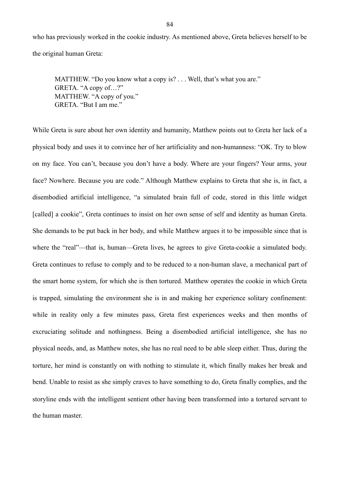who has previously worked in the cookie industry. As mentioned above, Greta believes herself to be the original human Greta:

MATTHEW. "Do you know what a copy is? . . . Well, that's what you are." GRETA. "A copy of…?" MATTHEW. "A copy of you." GRETA. "But I am me."

While Greta is sure about her own identity and humanity, Matthew points out to Greta her lack of a physical body and uses it to convince her of her artificiality and non-humanness: "OK. Try to blow on my face. You can't, because you don't have a body. Where are your fingers? Your arms, your face? Nowhere. Because you are code." Although Matthew explains to Greta that she is, in fact, a disembodied artificial intelligence, "a simulated brain full of code, stored in this little widget [called] a cookie", Greta continues to insist on her own sense of self and identity as human Greta. She demands to be put back in her body, and while Matthew argues it to be impossible since that is where the "real"—that is, human—Greta lives, he agrees to give Greta-cookie a simulated body. Greta continues to refuse to comply and to be reduced to a non-human slave, a mechanical part of the smart home system, for which she is then tortured. Matthew operates the cookie in which Greta is trapped, simulating the environment she is in and making her experience solitary confinement: while in reality only a few minutes pass, Greta first experiences weeks and then months of excruciating solitude and nothingness. Being a disembodied artificial intelligence, she has no physical needs, and, as Matthew notes, she has no real need to be able sleep either. Thus, during the torture, her mind is constantly on with nothing to stimulate it, which finally makes her break and bend. Unable to resist as she simply craves to have something to do, Greta finally complies, and the storyline ends with the intelligent sentient other having been transformed into a tortured servant to the human master.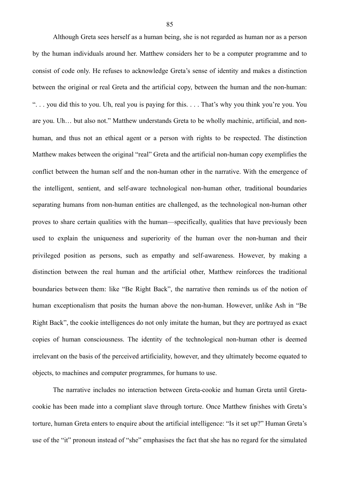Although Greta sees herself as a human being, she is not regarded as human nor as a person by the human individuals around her. Matthew considers her to be a computer programme and to consist of code only. He refuses to acknowledge Greta's sense of identity and makes a distinction between the original or real Greta and the artificial copy, between the human and the non-human: ". . . you did this to you. Uh, real you is paying for this. . . . That's why you think you're you. You are you. Uh… but also not." Matthew understands Greta to be wholly machinic, artificial, and nonhuman, and thus not an ethical agent or a person with rights to be respected. The distinction Matthew makes between the original "real" Greta and the artificial non-human copy exemplifies the conflict between the human self and the non-human other in the narrative. With the emergence of the intelligent, sentient, and self-aware technological non-human other, traditional boundaries separating humans from non-human entities are challenged, as the technological non-human other proves to share certain qualities with the human—specifically, qualities that have previously been used to explain the uniqueness and superiority of the human over the non-human and their privileged position as persons, such as empathy and self-awareness. However, by making a distinction between the real human and the artificial other, Matthew reinforces the traditional boundaries between them: like "Be Right Back", the narrative then reminds us of the notion of human exceptionalism that posits the human above the non-human. However, unlike Ash in "Be Right Back", the cookie intelligences do not only imitate the human, but they are portrayed as exact copies of human consciousness. The identity of the technological non-human other is deemed irrelevant on the basis of the perceived artificiality, however, and they ultimately become equated to objects, to machines and computer programmes, for humans to use.

 The narrative includes no interaction between Greta-cookie and human Greta until Gretacookie has been made into a compliant slave through torture. Once Matthew finishes with Greta's torture, human Greta enters to enquire about the artificial intelligence: "Is it set up?" Human Greta's use of the "it" pronoun instead of "she" emphasises the fact that she has no regard for the simulated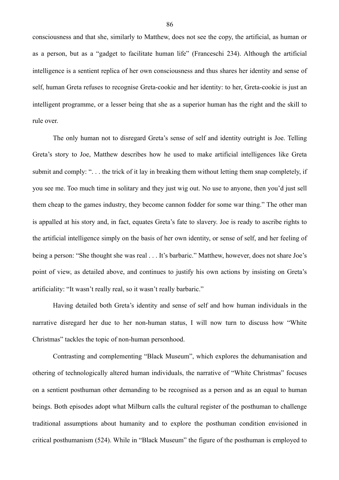consciousness and that she, similarly to Matthew, does not see the copy, the artificial, as human or as a person, but as a "gadget to facilitate human life" (Franceschi 234). Although the artificial intelligence is a sentient replica of her own consciousness and thus shares her identity and sense of self, human Greta refuses to recognise Greta-cookie and her identity: to her, Greta-cookie is just an intelligent programme, or a lesser being that she as a superior human has the right and the skill to rule over.

 The only human not to disregard Greta's sense of self and identity outright is Joe. Telling Greta's story to Joe, Matthew describes how he used to make artificial intelligences like Greta submit and comply: ". . . the trick of it lay in breaking them without letting them snap completely, if you see me. Too much time in solitary and they just wig out. No use to anyone, then you'd just sell them cheap to the games industry, they become cannon fodder for some war thing." The other man is appalled at his story and, in fact, equates Greta's fate to slavery. Joe is ready to ascribe rights to the artificial intelligence simply on the basis of her own identity, or sense of self, and her feeling of being a person: "She thought she was real . . . It's barbaric." Matthew, however, does not share Joe's point of view, as detailed above, and continues to justify his own actions by insisting on Greta's artificiality: "It wasn't really real, so it wasn't really barbaric."

 Having detailed both Greta's identity and sense of self and how human individuals in the narrative disregard her due to her non-human status, I will now turn to discuss how "White Christmas" tackles the topic of non-human personhood.

 Contrasting and complementing "Black Museum", which explores the dehumanisation and othering of technologically altered human individuals, the narrative of "White Christmas" focuses on a sentient posthuman other demanding to be recognised as a person and as an equal to human beings. Both episodes adopt what Milburn calls the cultural register of the posthuman to challenge traditional assumptions about humanity and to explore the posthuman condition envisioned in critical posthumanism (524). While in "Black Museum" the figure of the posthuman is employed to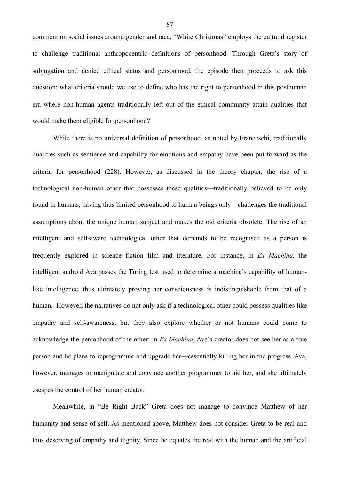comment on social issues around gender and race, "White Christmas" employs the cultural register to challenge traditional anthropocentric definitions of personhood. Through Greta's story of subjugation and denied ethical status and personhood, the episode then proceeds to ask this question: what criteria should we use to define who has the right to personhood in this posthuman era where non-human agents traditionally left out of the ethical community attain qualities that would make them eligible for personhood?

 While there is no universal definition of personhood, as noted by Franceschi, traditionally qualities such as sentience and capability for emotions and empathy have been put forward as the criteria for personhood (228). However, as discussed in the theory chapter, the rise of a technological non-human other that possesses these qualities—traditionally believed to be only found in humans, having thus limited personhood to human beings only—challenges the traditional assumptions about the unique human subject and makes the old criteria obsolete. The rise of an intelligent and self-aware technological other that demands to be recognised as a person is frequently explored in science fiction film and literature. For instance, in *Ex Machina,* the intelligent android Ava passes the Turing test used to determine a machine's capability of humanlike intelligence, thus ultimately proving her consciousness is indistinguishable from that of a human. However, the narratives do not only ask if a technological other could possess qualities like empathy and self-awareness, but they also explore whether or not humans could come to acknowledge the personhood of the other: in *Ex Machina*, Ava's creator does not see her as a true person and he plans to reprogramme and upgrade her—essentially killing her in the progress. Ava, however, manages to manipulate and convince another programmer to aid her, and she ultimately escapes the control of her human creator.

 Meanwhile, in "Be Right Back" Greta does not manage to convince Matthew of her humanity and sense of self. As mentioned above, Matthew does not consider Greta to be real and thus deserving of empathy and dignity. Since he equates the real with the human and the artificial

87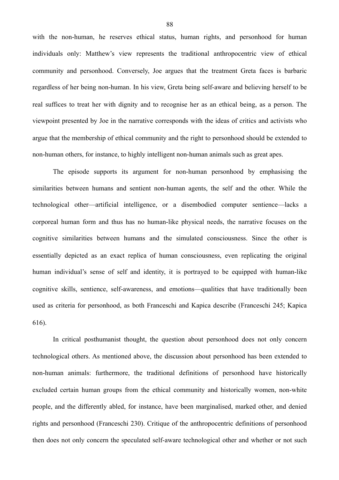with the non-human, he reserves ethical status, human rights, and personhood for human individuals only: Matthew's view represents the traditional anthropocentric view of ethical community and personhood. Conversely, Joe argues that the treatment Greta faces is barbaric regardless of her being non-human. In his view, Greta being self-aware and believing herself to be real suffices to treat her with dignity and to recognise her as an ethical being, as a person. The viewpoint presented by Joe in the narrative corresponds with the ideas of critics and activists who argue that the membership of ethical community and the right to personhood should be extended to non-human others, for instance, to highly intelligent non-human animals such as great apes.

 The episode supports its argument for non-human personhood by emphasising the similarities between humans and sentient non-human agents, the self and the other. While the technological other—artificial intelligence, or a disembodied computer sentience—lacks a corporeal human form and thus has no human-like physical needs, the narrative focuses on the cognitive similarities between humans and the simulated consciousness. Since the other is essentially depicted as an exact replica of human consciousness, even replicating the original human individual's sense of self and identity, it is portrayed to be equipped with human-like cognitive skills, sentience, self-awareness, and emotions—qualities that have traditionally been used as criteria for personhood, as both Franceschi and Kapica describe (Franceschi 245; Kapica 616).

 In critical posthumanist thought, the question about personhood does not only concern technological others. As mentioned above, the discussion about personhood has been extended to non-human animals: furthermore, the traditional definitions of personhood have historically excluded certain human groups from the ethical community and historically women, non-white people, and the differently abled, for instance, have been marginalised, marked other, and denied rights and personhood (Franceschi 230). Critique of the anthropocentric definitions of personhood then does not only concern the speculated self-aware technological other and whether or not such

88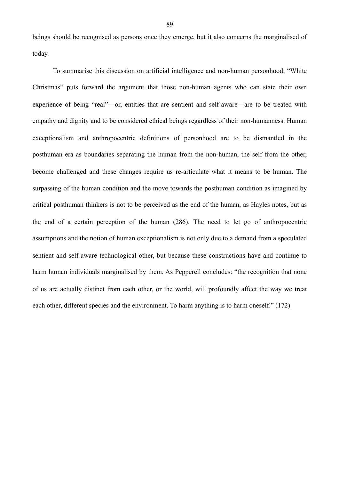beings should be recognised as persons once they emerge, but it also concerns the marginalised of today.

 To summarise this discussion on artificial intelligence and non-human personhood, "White Christmas" puts forward the argument that those non-human agents who can state their own experience of being "real"—or, entities that are sentient and self-aware—are to be treated with empathy and dignity and to be considered ethical beings regardless of their non-humanness. Human exceptionalism and anthropocentric definitions of personhood are to be dismantled in the posthuman era as boundaries separating the human from the non-human, the self from the other, become challenged and these changes require us re-articulate what it means to be human. The surpassing of the human condition and the move towards the posthuman condition as imagined by critical posthuman thinkers is not to be perceived as the end of the human, as Hayles notes, but as the end of a certain perception of the human (286). The need to let go of anthropocentric assumptions and the notion of human exceptionalism is not only due to a demand from a speculated sentient and self-aware technological other, but because these constructions have and continue to harm human individuals marginalised by them. As Pepperell concludes: "the recognition that none of us are actually distinct from each other, or the world, will profoundly affect the way we treat each other, different species and the environment. To harm anything is to harm oneself." (172)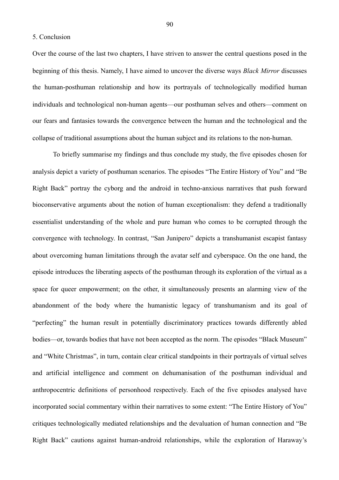5. Conclusion

Over the course of the last two chapters, I have striven to answer the central questions posed in the beginning of this thesis. Namely, I have aimed to uncover the diverse ways *Black Mirror* discusses the human-posthuman relationship and how its portrayals of technologically modified human individuals and technological non-human agents—our posthuman selves and others—comment on our fears and fantasies towards the convergence between the human and the technological and the collapse of traditional assumptions about the human subject and its relations to the non-human.

 To briefly summarise my findings and thus conclude my study, the five episodes chosen for analysis depict a variety of posthuman scenarios. The episodes "The Entire History of You" and "Be Right Back" portray the cyborg and the android in techno-anxious narratives that push forward bioconservative arguments about the notion of human exceptionalism: they defend a traditionally essentialist understanding of the whole and pure human who comes to be corrupted through the convergence with technology. In contrast, "San Junipero" depicts a transhumanist escapist fantasy about overcoming human limitations through the avatar self and cyberspace. On the one hand, the episode introduces the liberating aspects of the posthuman through its exploration of the virtual as a space for queer empowerment; on the other, it simultaneously presents an alarming view of the abandonment of the body where the humanistic legacy of transhumanism and its goal of "perfecting" the human result in potentially discriminatory practices towards differently abled bodies—or, towards bodies that have not been accepted as the norm. The episodes "Black Museum" and "White Christmas", in turn, contain clear critical standpoints in their portrayals of virtual selves and artificial intelligence and comment on dehumanisation of the posthuman individual and anthropocentric definitions of personhood respectively. Each of the five episodes analysed have incorporated social commentary within their narratives to some extent: "The Entire History of You" critiques technologically mediated relationships and the devaluation of human connection and "Be Right Back" cautions against human-android relationships, while the exploration of Haraway's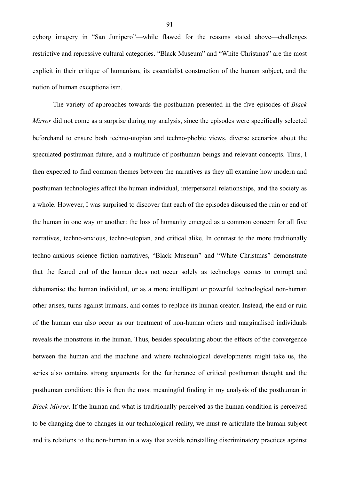cyborg imagery in "San Junipero"—while flawed for the reasons stated above—challenges restrictive and repressive cultural categories. "Black Museum" and "White Christmas" are the most explicit in their critique of humanism, its essentialist construction of the human subject, and the notion of human exceptionalism.

 The variety of approaches towards the posthuman presented in the five episodes of *Black Mirror* did not come as a surprise during my analysis, since the episodes were specifically selected beforehand to ensure both techno-utopian and techno-phobic views, diverse scenarios about the speculated posthuman future, and a multitude of posthuman beings and relevant concepts. Thus, I then expected to find common themes between the narratives as they all examine how modern and posthuman technologies affect the human individual, interpersonal relationships, and the society as a whole. However, I was surprised to discover that each of the episodes discussed the ruin or end of the human in one way or another: the loss of humanity emerged as a common concern for all five narratives, techno-anxious, techno-utopian, and critical alike. In contrast to the more traditionally techno-anxious science fiction narratives, "Black Museum" and "White Christmas" demonstrate that the feared end of the human does not occur solely as technology comes to corrupt and dehumanise the human individual, or as a more intelligent or powerful technological non-human other arises, turns against humans, and comes to replace its human creator. Instead, the end or ruin of the human can also occur as our treatment of non-human others and marginalised individuals reveals the monstrous in the human. Thus, besides speculating about the effects of the convergence between the human and the machine and where technological developments might take us, the series also contains strong arguments for the furtherance of critical posthuman thought and the posthuman condition: this is then the most meaningful finding in my analysis of the posthuman in *Black Mirror*. If the human and what is traditionally perceived as the human condition is perceived to be changing due to changes in our technological reality, we must re-articulate the human subject and its relations to the non-human in a way that avoids reinstalling discriminatory practices against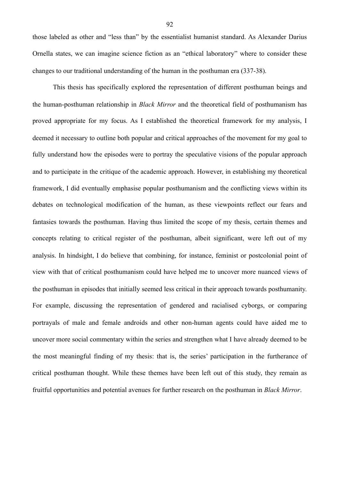those labeled as other and "less than" by the essentialist humanist standard. As Alexander Darius Ornella states, we can imagine science fiction as an "ethical laboratory" where to consider these changes to our traditional understanding of the human in the posthuman era (337-38).

 This thesis has specifically explored the representation of different posthuman beings and the human-posthuman relationship in *Black Mirror* and the theoretical field of posthumanism has proved appropriate for my focus. As I established the theoretical framework for my analysis, I deemed it necessary to outline both popular and critical approaches of the movement for my goal to fully understand how the episodes were to portray the speculative visions of the popular approach and to participate in the critique of the academic approach. However, in establishing my theoretical framework, I did eventually emphasise popular posthumanism and the conflicting views within its debates on technological modification of the human, as these viewpoints reflect our fears and fantasies towards the posthuman. Having thus limited the scope of my thesis, certain themes and concepts relating to critical register of the posthuman, albeit significant, were left out of my analysis. In hindsight, I do believe that combining, for instance, feminist or postcolonial point of view with that of critical posthumanism could have helped me to uncover more nuanced views of the posthuman in episodes that initially seemed less critical in their approach towards posthumanity. For example, discussing the representation of gendered and racialised cyborgs, or comparing portrayals of male and female androids and other non-human agents could have aided me to uncover more social commentary within the series and strengthen what I have already deemed to be the most meaningful finding of my thesis: that is, the series' participation in the furtherance of critical posthuman thought. While these themes have been left out of this study, they remain as fruitful opportunities and potential avenues for further research on the posthuman in *Black Mirror*.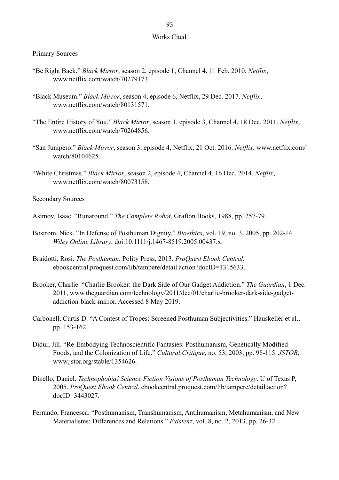## Works Cited

Primary Sources

- "Be Right Back." *Black Mirror*, season 2, episode 1, Channel 4, 11 Feb. 2010. *Netflix*, www.netflix.com/watch/70279173.
- "Black Museum." *Black Mirror*, season 4, episode 6, Netflix, 29 Dec. 2017. *Netflix*, www.netflix.com/watch/80131571.
- "The Entire History of You." *Black Mirror*, season 1, episode 3, Channel 4, 18 Dec. 2011. *Netflix*, www.netflix.com/watch/70264856.
- "San Junipero." *Black Mirror*, season 3, episode 4, Netflix, 21 Oct. 2016. *Netflix*, www.netflix.com/ watch/80104625.
- "White Christmas." *Black Mirror*, season 2, episode 4, Channel 4, 16 Dec. 2014. *Netflix*, www.netflix.com/watch/80073158.

Secondary Sources

- Asimov, Isaac. "Runaround." *The Complete Robot*, Grafton Books, 1988, pp. 257-79.
- Bostrom, Nick. "In Defense of Posthuman Dignity." *Bioethics*, vol. 19, no. 3, 2005, pp. 202-14. *Wiley Online Library*, doi:10.1111/j.1467-8519.2005.00437.x.
- Braidotti, Rosi. *The Posthuman*. Polity Press, 2013. *ProQuest Ebook Central*, ebookcentral.proquest.com/lib/tampere/detail.action?docID=1315633.
- Brooker, Charlie. "Charlie Brooker: the Dark Side of Our Gadget Addiction." *The Guardian*, 1 Dec. 2011, www.theguardian.com/technology/2011/dec/01/charlie-brooker-dark-side-gadget addiction-black-mirror. Accessed 8 May 2019.
- Carbonell, Curtis D. "A Contest of Tropes: Screened Posthuman Subjectivities." Hauskeller et al., pp. 153-162.
- Didur, Jill. "Re-Embodying Technoscientific Fantasies: Posthumanism, Genetically Modified Foods, and the Colonization of Life." *Cultural Critique*, no. 53, 2003, pp. 98-115. *JSTOR*, www.jstor.org/stable/1354626.
- Dinello, Daniel. *Technophobia! Science Fiction Visions of Posthuman Technology*. U of Texas P, 2005. *ProQuest Ebook Central*, ebookcentral.proquest.com/lib/tampere/detail.action? docID=3443027.
- Ferrando, Francesca. "Posthumanism, Transhumanism, Antihumanism, Metahumanism, and New Materialisms: Differences and Relations." *Existenz*, vol. 8, no. 2, 2013, pp. 26-32.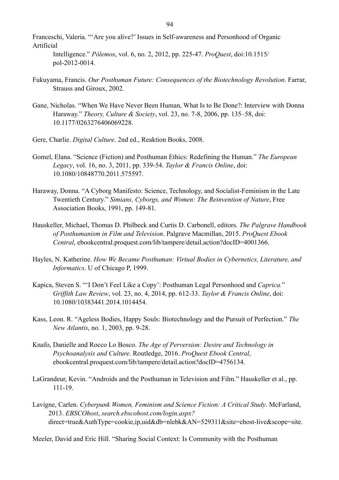Franceschi, Valeria. "'Are you alive?' Issues in Self-awareness and Personhood of Organic Artificial

 Intelligence." *Pólemos*, vol. 6, no. 2, 2012, pp. 225-47. *ProQuest*, doi:10.1515/ pol-2012-0014.

- Fukuyama, Francis. *Our Posthuman Future: Consequences of the Biotechnology Revolution*. Farrar, Strauss and Giroux, 2002.
- Gane, Nicholas. "When We Have Never Been Human, What Is to Be Done?: Interview with Donna Haraway." *Theory, Culture & Society*, vol. 23, no. 7-8, 2006, pp. 135–58, doi: 10.1177/0263276406069228.
- Gere, Charlie. *Digital Culture*. 2nd ed., Reaktion Books, 2008.
- Gomel, Elana. "Science (Fiction) and Posthuman Ethics: Redefining the Human." *The European Legacy*, vol. 16, no. 3, 2011, pp. 339-54. *Taylor & Francis Online*, doi: 10.1080/10848770.2011.575597.
- Haraway, Donna. "A Cyborg Manifesto: Science, Technology, and Socialist-Feminism in the Late Twentieth Century." *Simians, Cyborgs, and Women: The Reinvention of Nature*, Free Association Books, 1991, pp. 149-81.
- Hauskeller, Michael, Thomas D. Philbeck and Curtis D. Carbonell, editors. *The Palgrave Handbook of Posthumanism in Film and Television*. Palgrave Macmillan, 2015. *ProQuest Ebook Central*, ebookcentral.proquest.com/lib/tampere/detail.action?docID=4001366.
- Hayles, N. Katherine. *How We Became Posthuman: Virtual Bodies in Cybernetics, Literature, and Informatics*. U of Chicago P, 1999.
- Kapica, Steven S. "'I Don't Feel Like a Copy': Posthuman Legal Personhood and *Caprica.*" *Griffith Law Review*, vol. 23, no. 4, 2014, pp. 612-33. *Taylor & Francis Online*, doi: 10.1080/10383441.2014.1014454.
- Kass, Leon. R. "Ageless Bodies, Happy Souls: Biotechnology and the Pursuit of Perfection." *The New Atlantis*, no. 1, 2003, pp. 9-28.
- Knafo, Danielle and Rocco Lo Bosco. *The Age of Perversion: Desire and Technology in Psychoanalysis and Culture*. Routledge, 2016. *ProQuest Ebook Central*, ebookcentral.proquest.com/lib/tampere/detail.action?docID=4756134.
- LaGrandeur, Kevin. "Androids and the Posthuman in Television and Film." Hauskeller et al., pp. 111-19.
- Lavigne, Carlen. *Cyberpunk Women, Feminism and Science Fiction: A Critical Study*. McFarland, 2013. *EBSCOhost*, *search.ebscohost.com/login.aspx?* direct=true&AuthType=cookie,ip,uid&db=nlebk&AN=529311&site=ehost-live&scope=site.

Meeler, David and Eric Hill. "Sharing Social Context: Is Community with the Posthuman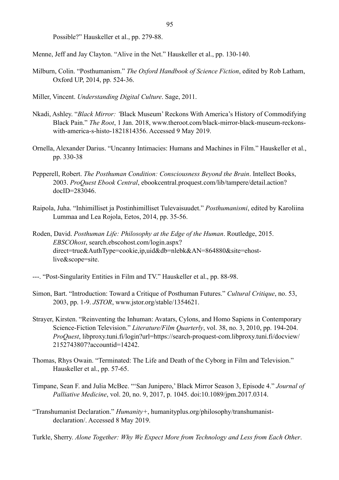Possible?" Hauskeller et al., pp. 279-88.

Menne, Jeff and Jay Clayton. "Alive in the Net." Hauskeller et al., pp. 130-140.

- Milburn, Colin. "Posthumanism." *The Oxford Handbook of Science Fiction*, edited by Rob Latham, Oxford UP, 2014, pp. 524-36.
- Miller, Vincent. *Understanding Digital Culture*. Sage, 2011.
- Nkadi, Ashley. "*Black Mirror: '*Black Museum' Reckons With America's History of Commodifying Black Pain." *The Root*, 1 Jan. 2018, www.theroot.com/black-mirror-black-museum-reckons with-america-s-histo-1821814356. Accessed 9 May 2019.
- Ornella, Alexander Darius. "Uncanny Intimacies: Humans and Machines in Film." Hauskeller et al., pp. 330-38
- Pepperell, Robert. *The Posthuman Condition: Consciousness Beyond the Brain*. Intellect Books, 2003. *ProQuest Ebook Central*, ebookcentral.proquest.com/lib/tampere/detail.action? docID=283046.
- Raipola, Juha. "Inhimilliset ja Postinhimilliset Tulevaisuudet." *Posthumanismi*, edited by Karoliina Lummaa and Lea Rojola, Eetos, 2014, pp. 35-56.
- Roden, David. *Posthuman Life: Philosophy at the Edge of the Human*. Routledge, 2015. *EBSCOhost*, search.ebscohost.com/login.aspx? direct=true&AuthType=cookie,ip,uid&db=nlebk&AN=864880&site=ehost live&scope=site.
- ---. "Post-Singularity Entities in Film and TV." Hauskeller et al., pp. 88-98.
- Simon, Bart. "Introduction: Toward a Critique of Posthuman Futures." *Cultural Critique*, no. 53, 2003, pp. 1-9. *JSTOR*, www.jstor.org/stable/1354621.
- Strayer, Kirsten. "Reinventing the Inhuman: Avatars, Cylons, and Homo Sapiens in Contemporary Science-Fiction Television." *Literature/Film Quarterly*, vol. 38, no. 3, 2010, pp. 194-204. *ProQuest*, libproxy.tuni.fi/login?url=https://search-proquest-com.libproxy.tuni.fi/docview/ 2152743807?accountid=14242.
- Thomas, Rhys Owain. "Terminated: The Life and Death of the Cyborg in Film and Television." Hauskeller et al., pp. 57-65.
- Timpane, Sean F. and Julia McBee. "'San Junipero,' Black Mirror Season 3, Episode 4." *Journal of Palliative Medicine*, vol. 20, no. 9, 2017, p. 1045. doi:10.1089/jpm.2017.0314.
- "Transhumanist Declaration." *Humanity+*, humanityplus.org/philosophy/transhumanist declaration/. Accessed 8 May 2019.
- Turkle, Sherry. *Alone Together: Why We Expect More from Technology and Less from Each Other*.